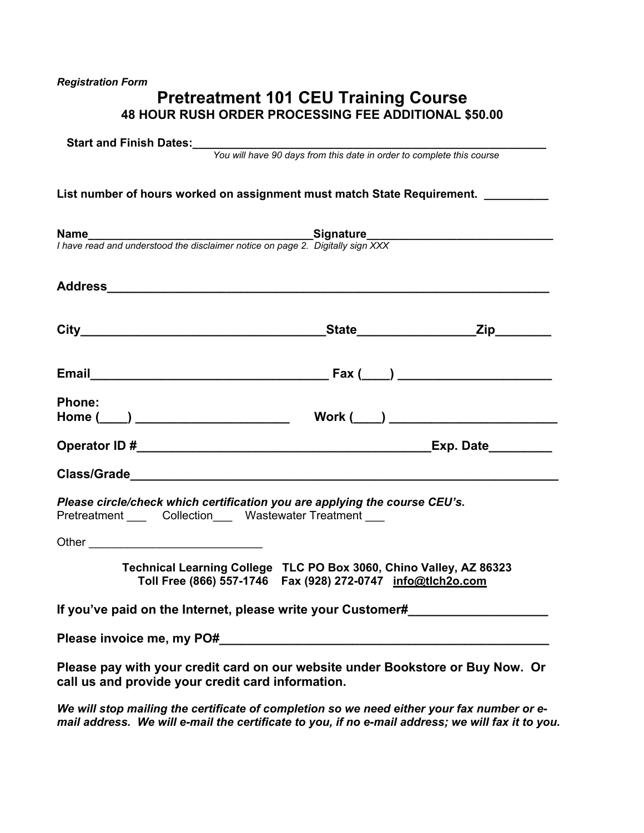*Registration Form* 

## **Pretreatment 101 CEU Training Course 48 HOUR RUSH ORDER PROCESSING FEE ADDITIONAL \$50.00**

|        | List number of hours worked on assignment must match State Requirement. ________                                                       |  |
|--------|----------------------------------------------------------------------------------------------------------------------------------------|--|
|        | <b>Name</b><br>I have read and understood the disclaimer notice on page 2. Digitally sign XXX                                          |  |
|        |                                                                                                                                        |  |
|        |                                                                                                                                        |  |
|        |                                                                                                                                        |  |
| Phone: |                                                                                                                                        |  |
|        |                                                                                                                                        |  |
|        |                                                                                                                                        |  |
|        | Please circle/check which certification you are applying the course CEU's.<br>Pretreatment ____ Collection___ Wastewater Treatment ___ |  |
|        |                                                                                                                                        |  |
|        | Technical Learning College TLC PO Box 3060, Chino Valley, AZ 86323<br>Toll Free (866) 557-1746  Fax (928) 272-0747  info@tlch2o.com    |  |
|        | If you've paid on the Internet, please write your Customer#                                                                            |  |
|        |                                                                                                                                        |  |

*We will stop mailing the certificate of completion so we need either your fax number or email address. We will e-mail the certificate to you, if no e-mail address; we will fax it to you.*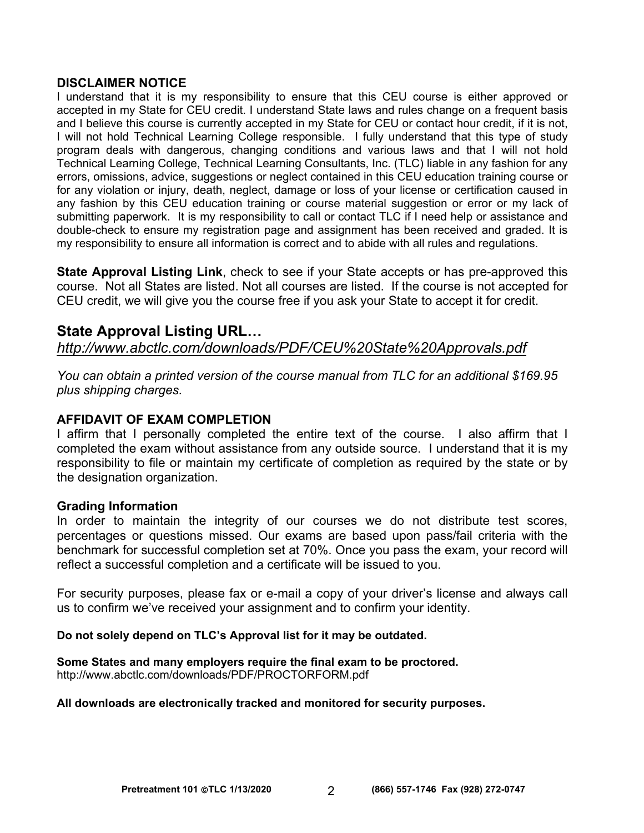#### **DISCLAIMER NOTICE**

I understand that it is my responsibility to ensure that this CEU course is either approved or accepted in my State for CEU credit. I understand State laws and rules change on a frequent basis and I believe this course is currently accepted in my State for CEU or contact hour credit, if it is not, I will not hold Technical Learning College responsible. I fully understand that this type of study program deals with dangerous, changing conditions and various laws and that I will not hold Technical Learning College, Technical Learning Consultants, Inc. (TLC) liable in any fashion for any errors, omissions, advice, suggestions or neglect contained in this CEU education training course or for any violation or injury, death, neglect, damage or loss of your license or certification caused in any fashion by this CEU education training or course material suggestion or error or my lack of submitting paperwork. It is my responsibility to call or contact TLC if I need help or assistance and double-check to ensure my registration page and assignment has been received and graded. It is my responsibility to ensure all information is correct and to abide with all rules and regulations.

**State Approval Listing Link**, check to see if your State accepts or has pre-approved this course. Not all States are listed. Not all courses are listed. If the course is not accepted for CEU credit, we will give you the course free if you ask your State to accept it for credit.

## **State Approval Listing URL…**

*<http://www.abctlc.com/downloads/PDF/CEU%20State%20Approvals.pdf>*

*You can obtain a printed version of the course manual from TLC for an additional \$169.95 plus shipping charges.* 

#### **AFFIDAVIT OF EXAM COMPLETION**

I affirm that I personally completed the entire text of the course. I also affirm that I completed the exam without assistance from any outside source. I understand that it is my responsibility to file or maintain my certificate of completion as required by the state or by the designation organization.

#### **Grading Information**

In order to maintain the integrity of our courses we do not distribute test scores, percentages or questions missed. Our exams are based upon pass/fail criteria with the benchmark for successful completion set at 70%. Once you pass the exam, your record will reflect a successful completion and a certificate will be issued to you.

For security purposes, please fax or e-mail a copy of your driver's license and always call us to confirm we've received your assignment and to confirm your identity.

#### **Do not solely depend on TLC's Approval list for it may be outdated.**

#### **Some States and many employers require the final exam to be proctored.**

<http://www.abctlc.com/downloads/PDF/PROCTORFORM.pdf>

#### **All downloads are electronically tracked and monitored for security purposes.**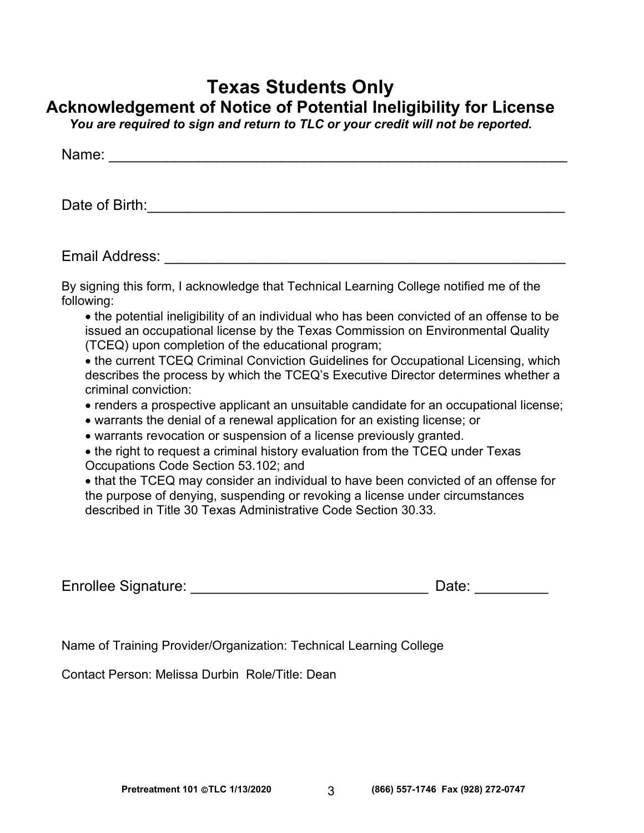## **Texas Students Only**

# **Acknowledgement of Notice of Potential Ineligibility for License**

*You are required to sign and return to TLC or your credit will not be reported.* 

| Name:          |  |  |  |
|----------------|--|--|--|
|                |  |  |  |
| Date of Birth: |  |  |  |

Email Address: \_\_\_\_\_\_\_\_\_\_\_\_\_\_\_\_\_\_\_\_\_\_\_\_\_\_\_\_\_\_\_\_\_\_\_\_\_\_\_\_\_\_\_\_\_\_\_\_\_

By signing this form, I acknowledge that Technical Learning College notified me of the following:

- the potential ineligibility of an individual who has been convicted of an offense to be issued an occupational license by the Texas Commission on Environmental Quality (TCEQ) upon completion of the educational program;
- the current TCEQ Criminal Conviction Guidelines for Occupational Licensing, which describes the process by which the TCEQ's Executive Director determines whether a criminal conviction:
- renders a prospective applicant an unsuitable candidate for an occupational license;
- warrants the denial of a renewal application for an existing license; or
- warrants revocation or suspension of a license previously granted.
- the right to request a criminal history evaluation from the TCEQ under Texas Occupations Code Section 53.102; and

 that the TCEQ may consider an individual to have been convicted of an offense for the purpose of denying, suspending or revoking a license under circumstances described in Title 30 Texas Administrative Code Section 30.33.

| <b>Enrollee Signature:</b> | Date: |  |
|----------------------------|-------|--|
|                            |       |  |

Name of Training Provider/Organization: Technical Learning College

Contact Person: Melissa Durbin Role/Title: Dean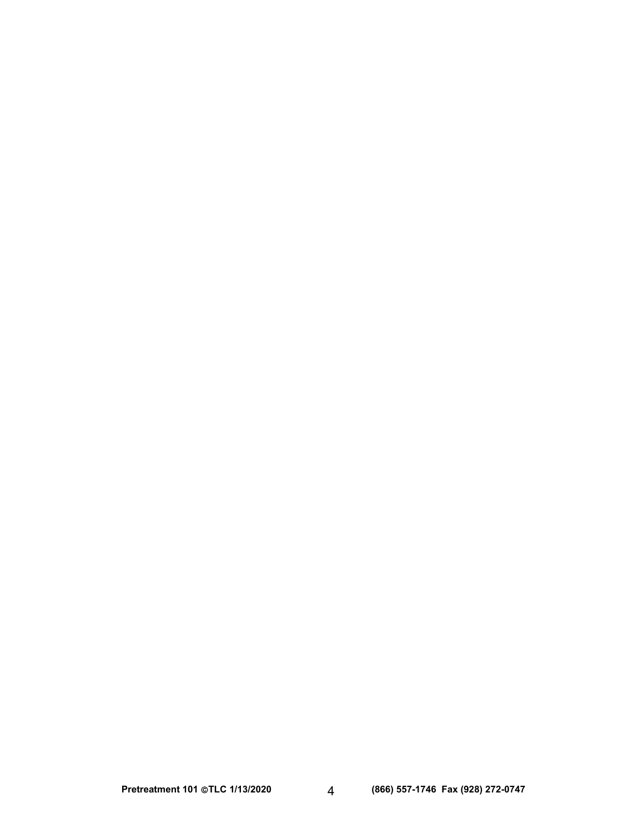**Pretreatment 101 ©TLC 1/13/2020** 4 (866) 557-1746 Fax (928) 272-0747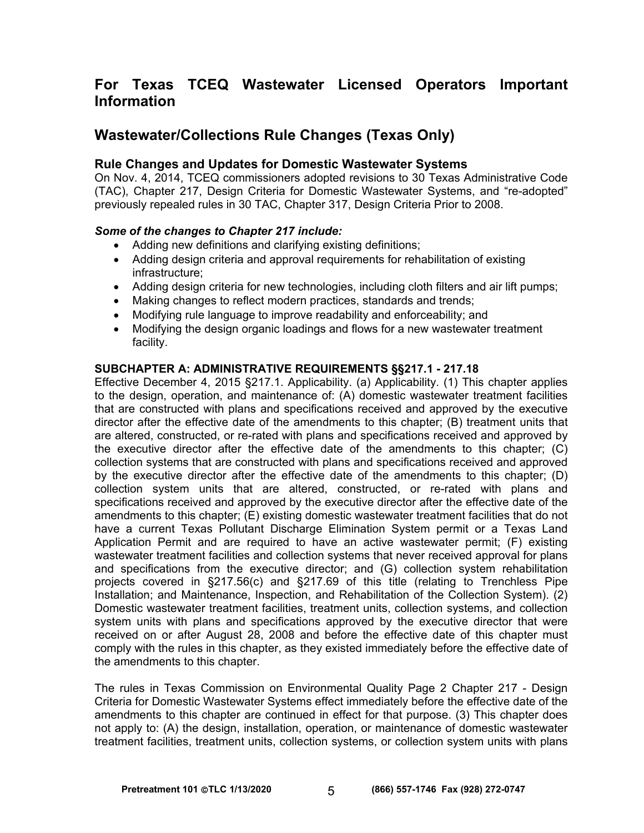## **For Texas TCEQ Wastewater Licensed Operators Important Information**

## **Wastewater/Collections Rule Changes (Texas Only)**

#### **Rule Changes and Updates for Domestic Wastewater Systems**

On Nov. 4, 2014, TCEQ commissioners adopted revisions to 30 Texas Administrative Code (TAC), Chapter 217, Design Criteria for Domestic Wastewater Systems, and "re-adopted" previously repealed rules in 30 TAC, Chapter 317, Design Criteria Prior to 2008.

#### *Some of the changes to Chapter 217 include:*

- Adding new definitions and clarifying existing definitions;
- Adding design criteria and approval requirements for rehabilitation of existing infrastructure;
- Adding design criteria for new technologies, including cloth filters and air lift pumps;
- Making changes to reflect modern practices, standards and trends;
- Modifying rule language to improve readability and enforceability; and
- Modifying the design organic loadings and flows for a new wastewater treatment facility.

#### **SUBCHAPTER A: ADMINISTRATIVE REQUIREMENTS §§217.1 - 217.18**

Effective December 4, 2015 §217.1. Applicability. (a) Applicability. (1) This chapter applies to the design, operation, and maintenance of: (A) domestic wastewater treatment facilities that are constructed with plans and specifications received and approved by the executive director after the effective date of the amendments to this chapter; (B) treatment units that are altered, constructed, or re-rated with plans and specifications received and approved by the executive director after the effective date of the amendments to this chapter; (C) collection systems that are constructed with plans and specifications received and approved by the executive director after the effective date of the amendments to this chapter; (D) collection system units that are altered, constructed, or re-rated with plans and specifications received and approved by the executive director after the effective date of the amendments to this chapter; (E) existing domestic wastewater treatment facilities that do not have a current Texas Pollutant Discharge Elimination System permit or a Texas Land Application Permit and are required to have an active wastewater permit; (F) existing wastewater treatment facilities and collection systems that never received approval for plans and specifications from the executive director; and (G) collection system rehabilitation projects covered in §217.56(c) and §217.69 of this title (relating to Trenchless Pipe Installation; and Maintenance, Inspection, and Rehabilitation of the Collection System). (2) Domestic wastewater treatment facilities, treatment units, collection systems, and collection system units with plans and specifications approved by the executive director that were received on or after August 28, 2008 and before the effective date of this chapter must comply with the rules in this chapter, as they existed immediately before the effective date of the amendments to this chapter.

The rules in Texas Commission on Environmental Quality Page 2 Chapter 217 - Design Criteria for Domestic Wastewater Systems effect immediately before the effective date of the amendments to this chapter are continued in effect for that purpose. (3) This chapter does not apply to: (A) the design, installation, operation, or maintenance of domestic wastewater treatment facilities, treatment units, collection systems, or collection system units with plans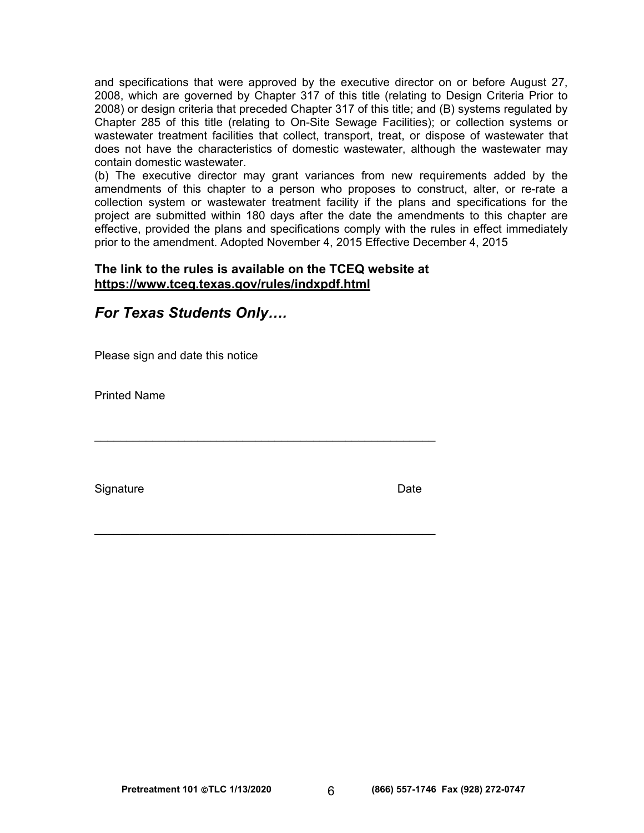and specifications that were approved by the executive director on or before August 27, 2008, which are governed by Chapter 317 of this title (relating to Design Criteria Prior to 2008) or design criteria that preceded Chapter 317 of this title; and (B) systems regulated by Chapter 285 of this title (relating to On-Site Sewage Facilities); or collection systems or wastewater treatment facilities that collect, transport, treat, or dispose of wastewater that does not have the characteristics of domestic wastewater, although the wastewater may contain domestic wastewater.

(b) The executive director may grant variances from new requirements added by the amendments of this chapter to a person who proposes to construct, alter, or re-rate a collection system or wastewater treatment facility if the plans and specifications for the project are submitted within 180 days after the date the amendments to this chapter are effective, provided the plans and specifications comply with the rules in effect immediately prior to the amendment. Adopted November 4, 2015 Effective December 4, 2015

#### **The link to the rules is available on the TCEQ website at <https://www.tceq.texas.gov/rules/indxpdf.html>**

*For Texas Students Only….* 

| Please sign and date this notice |      |
|----------------------------------|------|
| <b>Printed Name</b>              |      |
|                                  |      |
| Signature                        | Date |

 $\mathcal{L}_\text{max}$  and  $\mathcal{L}_\text{max}$  and  $\mathcal{L}_\text{max}$  and  $\mathcal{L}_\text{max}$  and  $\mathcal{L}_\text{max}$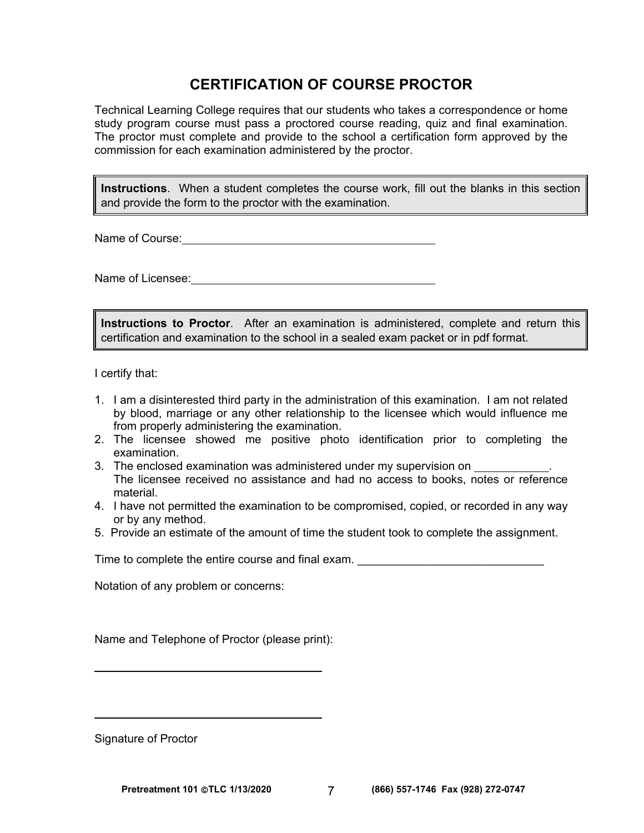## **CERTIFICATION OF COURSE PROCTOR**

Technical Learning College requires that our students who takes a correspondence or home study program course must pass a proctored course reading, quiz and final examination. The proctor must complete and provide to the school a certification form approved by the commission for each examination administered by the proctor.

**Instructions**. When a student completes the course work, fill out the blanks in this section and provide the form to the proctor with the examination.

Name of Course: **Name of Course:** 

Name of Licensee:

**Instructions to Proctor**. After an examination is administered, complete and return this certification and examination to the school in a sealed exam packet or in pdf format.

I certify that:

- 1. I am a disinterested third party in the administration of this examination. I am not related by blood, marriage or any other relationship to the licensee which would influence me from properly administering the examination.
- 2. The licensee showed me positive photo identification prior to completing the examination.
- 3. The enclosed examination was administered under my supervision on  $\frac{1}{2}$ The licensee received no assistance and had no access to books, notes or reference material.
- 4. I have not permitted the examination to be compromised, copied, or recorded in any way or by any method.
- 5. Provide an estimate of the amount of time the student took to complete the assignment.

Time to complete the entire course and final exam.

Notation of any problem or concerns:

Name and Telephone of Proctor (please print):

Signature of Proctor

 $\overline{a}$ 

 $\overline{a}$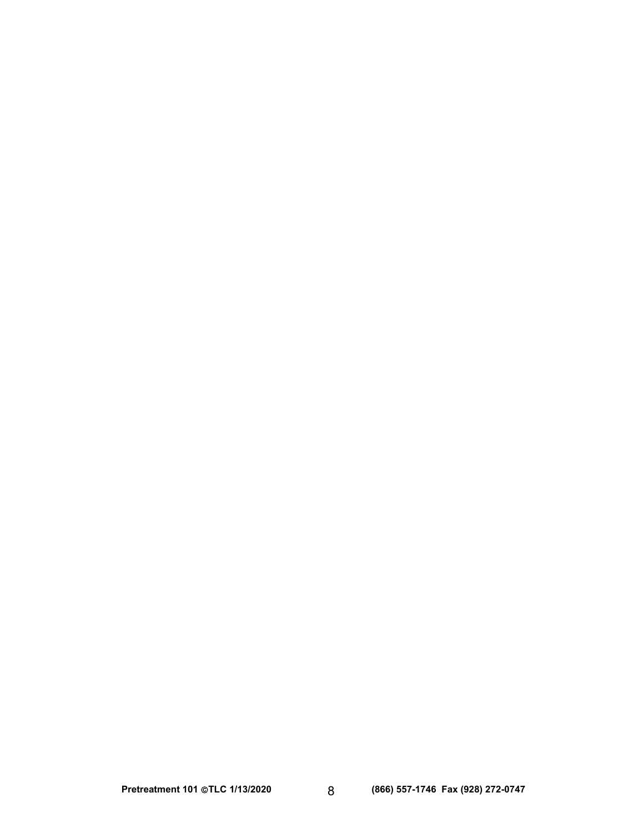**Pretreatment 101 ©TLC 1/13/2020** 8 (866) 557-1746 Fax (928) 272-0747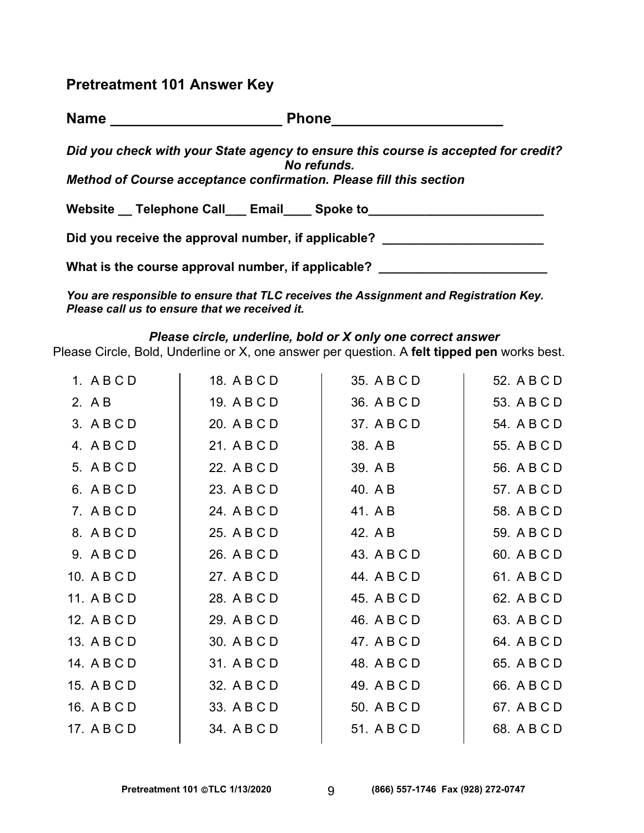**Pretreatment 101 Answer Key** 

| <b>Name</b> | <b>Phone</b> |  |
|-------------|--------------|--|
|             |              |  |

*Did you check with your State agency to ensure this course is accepted for credit? No refunds.* 

*Method of Course acceptance confirmation. Please fill this section* 

Website Telephone Call Email Spoke to

Did you receive the approval number, if applicable?

What is the course approval number, if applicable? *\_\_\_\_\_\_\_\_\_\_\_\_\_\_\_\_\_\_* 

*You are responsible to ensure that TLC receives the Assignment and Registration Key. Please call us to ensure that we received it.* 

#### *Please circle, underline, bold or X only one correct answer*

Please Circle, Bold, Underline or X, one answer per question. A **felt tipped pen** works best.

| 1. ABCD     | 18. A B C D | 35. A B C D | 52. A B C D |
|-------------|-------------|-------------|-------------|
| 2. A B      | 19. A B C D | 36. A B C D | 53. A B C D |
| 3. ABCD     | 20. A B C D | 37. A B C D | 54. A B C D |
| 4. ABCD     | 21. A B C D | 38. A B     | 55. A B C D |
| 5. A B C D  | 22. A B C D | 39. A B     | 56. A B C D |
| 6. ABCD     | 23. A B C D | 40. A B     | 57. A B C D |
| 7. ABCD     | 24. A B C D | 41. A B     | 58. A B C D |
| 8. ABCD     | 25. A B C D | 42. A B     | 59. A B C D |
| 9. ABCD     | 26. A B C D | 43. A B C D | 60. A B C D |
| 10. A B C D | 27. A B C D | 44. A B C D | 61. A B C D |
| 11. A B C D | 28. A B C D | 45. A B C D | 62. A B C D |
| 12. A B C D | 29. A B C D | 46. A B C D | 63. A B C D |
| 13. A B C D | 30. A B C D | 47. A B C D | 64. A B C D |
| 14. A B C D | 31. A B C D | 48. A B C D | 65. A B C D |
| 15. A B C D | 32. A B C D | 49. A B C D | 66. A B C D |
| 16. A B C D | 33. A B C D | 50. A B C D | 67. A B C D |
| 17. A B C D | 34. A B C D | 51. A B C D | 68. A B C D |
|             |             |             |             |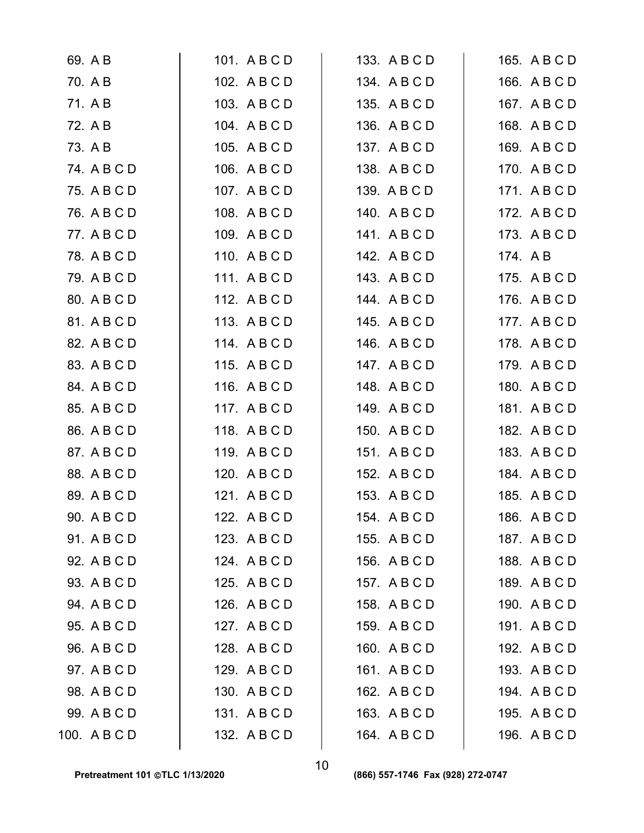| 69. A B      | 101. A B C D | 133. A B C D | 165. A B C D |
|--------------|--------------|--------------|--------------|
| 70. A B      | 102. A B C D | 134. A B C D | 166. A B C D |
| 71. A B      | 103. A B C D | 135. A B C D | 167. A B C D |
| 72. A B      | 104. A B C D | 136. A B C D | 168. A B C D |
| 73. A B      | 105. A B C D | 137. ABCD    | 169. A B C D |
| 74. A B C D  | 106. A B C D | 138. A B C D | 170. A B C D |
| 75. A B C D  | 107. ABCD    | 139. A B C D | 171. ABCD    |
| 76. A B C D  | 108. A B C D | 140. ABCD    | 172. A B C D |
| 77. A B C D  | 109. ABCD    | 141. ABCD    | 173. A B C D |
| 78. A B C D  | 110. ABCD    | 142. A B C D | 174. AB      |
| 79. A B C D  | 111. ABCD    | 143. ABCD    | 175. A B C D |
| 80. A B C D  | 112. A B C D | 144. ABCD    | 176. A B C D |
| 81. A B C D  | 113. ABCD    | 145. A B C D | 177. ABCD    |
| 82. A B C D  | 114. ABCD    | 146. A B C D | 178. A B C D |
| 83. A B C D  | 115. ABCD    | 147. ABCD    | 179. ABCD    |
| 84. A B C D  | 116. ABCD    | 148. ABCD    | 180. A B C D |
| 85. A B C D  | 117. ABCD    | 149. ABCD    | 181. ABCD    |
| 86. A B C D  | 118. ABCD    | 150. A B C D | 182. A B C D |
| 87. A B C D  | 119. ABCD    | 151. ABCD    | 183. A B C D |
| 88. A B C D  | 120. A B C D | 152. A B C D | 184. A B C D |
| 89. A B C D  | 121. A B C D | 153. A B C D | 185. A B C D |
| 90. A B C D  | 122. A B C D | 154. A B C D | 186. A B C D |
| 91. A B C D  | 123. A B C D | 155. A B C D | 187. A B C D |
| 92. A B C D  | 124. ABCD    | 156. A B C D | 188. A B C D |
| 93. A B C D  | 125. A B C D | 157. ABCD    | 189. ABCD    |
| 94. A B C D  | 126. A B C D | 158. A B C D | 190. A B C D |
| 95. A B C D  | 127. ABCD    | 159. ABCD    | 191. ABCD    |
| 96. A B C D  | 128. A B C D | 160. A B C D | 192. A B C D |
| 97. A B C D  | 129. ABCD    | 161. ABCD    | 193. A B C D |
| 98. A B C D  | 130. A B C D | 162. A B C D | 194. A B C D |
| 99. A B C D  | 131. ABCD    | 163. A B C D | 195. A B C D |
| 100. A B C D | 132. A B C D | 164. A B C D | 196. A B C D |
|              |              |              |              |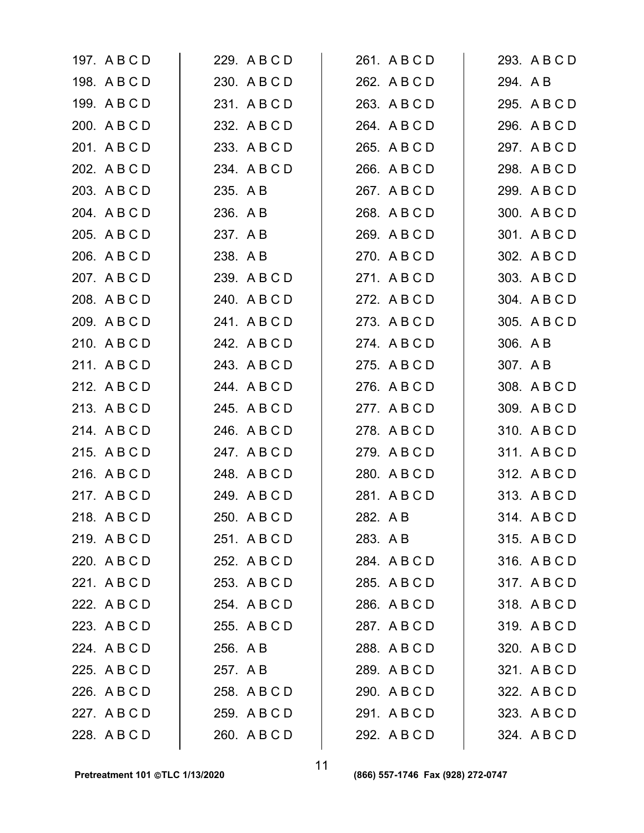| 197. A B C D | 229. A B C D | 261. A B C D | 293. A B C D |
|--------------|--------------|--------------|--------------|
| 198. A B C D | 230. A B C D | 262. A B C D | 294. AB      |
| 199. A B C D | 231. ABCD    | 263. A B C D | 295. A B C D |
| 200. A B C D | 232. A B C D | 264. A B C D | 296. A B C D |
| 201. A B C D | 233. A B C D | 265. A B C D | 297. A B C D |
| 202. A B C D | 234. A B C D | 266. A B C D | 298. A B C D |
| 203. A B C D | 235. A B     | 267. ABCD    | 299. A B C D |
| 204. A B C D | 236. A B     | 268. A B C D | 300. A B C D |
| 205. A B C D | 237. A B     | 269. A B C D | 301. ABCD    |
| 206. A B C D | 238. A B     | 270. A B C D | 302. A B C D |
| 207. ABCD    | 239. A B C D | 271. ABCD    | 303. A B C D |
| 208. A B C D | 240. A B C D | 272. A B C D | 304. ABCD    |
| 209. A B C D | 241. ABCD    | 273. A B C D | 305. A B C D |
| 210. ABCD    | 242. A B C D | 274. ABCD    | 306. AB      |
| 211. ABCD    | 243. A B C D | 275. A B C D | 307. A B     |
| 212. A B C D | 244. A B C D | 276. A B C D | 308. A B C D |
| 213. A B C D | 245. ABCD    | 277. ABCD    | 309. A B C D |
| 214. ABCD    | 246. A B C D | 278. ABCD    | 310. ABCD    |
| 215. A B C D | 247. ABCD    | 279. ABCD    | 311. ABCD    |
| 216. A B C D | 248. ABCD    | 280. A B C D | 312. A B C D |
| 217. ABCD    | 249. A B C D | 281. ABCD    | 313. A B C D |
| 218. ABCD    | 250. A B C D | 282. A B     | 314. A B C D |
| 219. A B C D | 251. ABCD    | 283. A B     | 315. A B C D |
| 220. A B C D | 252. A B C D | 284. A B C D | 316. ABCD    |
| 221. ABCD    | 253. A B C D | 285. A B C D | 317. ABCD    |
| 222. A B C D | 254. A B C D | 286. A B C D | 318. A B C D |
| 223. A B C D | 255. A B C D | 287. A B C D | 319. A B C D |
| 224. A B C D | 256. A B     | 288. A B C D | 320. A B C D |
| 225. A B C D | 257. A B     | 289. ABCD    | 321. A B C D |
| 226. A B C D | 258. A B C D | 290. A B C D | 322. A B C D |
| 227. A B C D | 259. A B C D | 291. A B C D | 323. A B C D |
| 228. A B C D | 260. A B C D | 292. A B C D | 324. A B C D |
|              |              |              |              |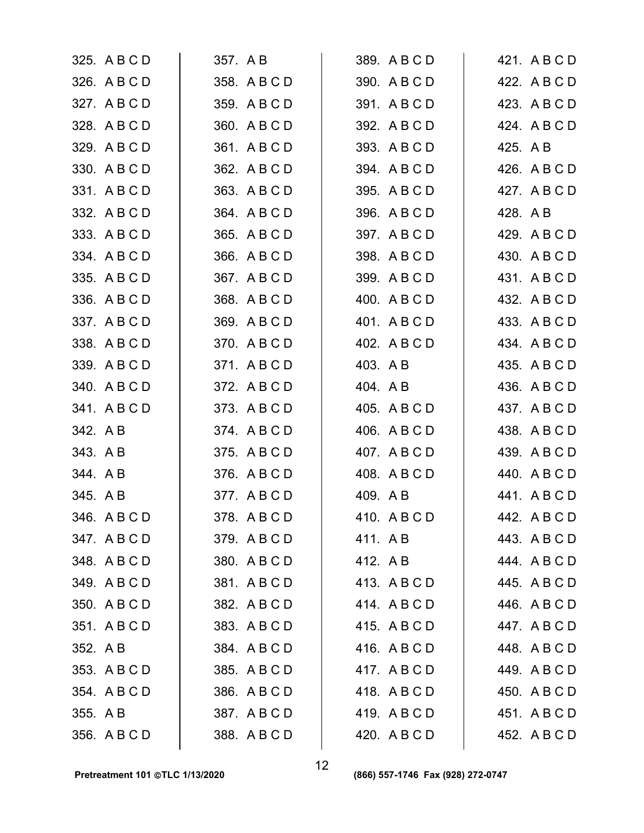| 325. A B C D | 357. A B     | 389. A B C D | 421. A B C D |
|--------------|--------------|--------------|--------------|
| 326. A B C D | 358. A B C D | 390. A B C D | 422. A B C D |
| 327. ABCD    | 359. A B C D | 391. A B C D | 423. A B C D |
| 328. A B C D | 360. A B C D | 392. A B C D | 424. ABCD    |
| 329. A B C D | 361. A B C D | 393. A B C D | 425. A B     |
| 330. A B C D | 362. A B C D | 394. A B C D | 426. A B C D |
| 331. ABCD    | 363. A B C D | 395. A B C D | 427. A B C D |
| 332. A B C D | 364. A B C D | 396. A B C D | 428. AB      |
| 333. A B C D | 365. A B C D | 397. A B C D | 429. A B C D |
| 334. A B C D | 366. A B C D | 398. A B C D | 430. A B C D |
| 335. A B C D | 367. A B C D | 399. A B C D | 431. ABCD    |
| 336. A B C D | 368. A B C D | 400. A B C D | 432. A B C D |
| 337. ABCD    | 369. A B C D | 401. ABCD    | 433. A B C D |
| 338. A B C D | 370. A B C D | 402. A B C D | 434. ABCD    |
| 339. A B C D | 371. ABCD    | 403. A B     | 435. A B C D |
| 340. A B C D | 372. A B C D | 404. A B     | 436. A B C D |
| 341. A B C D | 373. A B C D | 405. A B C D | 437. A B C D |
| 342. A B     | 374. ABCD    | 406. A B C D | 438. A B C D |
| 343. AB      | 375. A B C D | 407. ABCD    | 439. A B C D |
| 344. AB      | 376. A B C D | 408. A B C D | 440. A B C D |
| 345. AB      | 377. A B C D | 409. A B     | 441. A B C D |
| 346. A B C D | 378. A B C D | 410. A B C D | 442. A B C D |
| 347. A B C D | 379. A B C D | 411. AB      | 443. A B C D |
| 348. ABCD    | 380. A B C D | 412. AB      | 444. ABCD    |
| 349. ABCD    | 381. A B C D | 413. ABCD    | 445. A B C D |
| 350. A B C D | 382. A B C D | 414. A B C D | 446. A B C D |
| 351. ABCD    | 383. A B C D | 415. A B C D | 447. ABCD    |
| 352. A B     | 384. A B C D | 416. A B C D | 448. A B C D |
| 353. A B C D | 385. A B C D | 417. ABCD    | 449. A B C D |
| 354. A B C D | 386. A B C D | 418. A B C D | 450. A B C D |
| 355. A B     | 387. A B C D | 419. A B C D | 451. A B C D |
| 356. A B C D | 388. A B C D | 420. A B C D | 452. A B C D |
|              |              |              |              |

12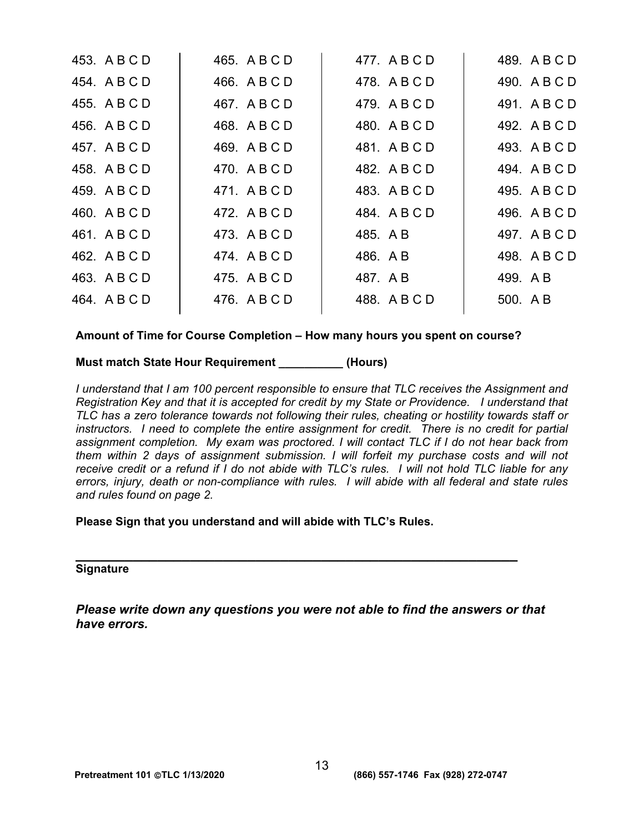| 453. A B C D | 465. A B C D | 477. ABCD    | 489. A B C D |
|--------------|--------------|--------------|--------------|
| 454. A B C D | 466. A B C D | 478. A B C D | 490. A B C D |
| 455. A B C D | 467. A B C D | 479. A B C D | 491. ABCD    |
| 456. A B C D | 468. A B C D | 480. A B C D | 492. A B C D |
| 457. A B C D | 469. A B C D | 481. ABCD    | 493. A B C D |
| 458. A B C D | 470. A B C D | 482. A B C D | 494. A B C D |
| 459. A B C D | 471. A B C D | 483. A B C D | 495. A B C D |
| 460. A B C D | 472. A B C D | 484. A B C D | 496. A B C D |
| 461. ABCD    | 473. A B C D | 485. A B     | 497. ABCD    |
| 462. A B C D | 474. ABCD    | 486. AB      | 498. A B C D |
| 463. A B C D | 475. A B C D | 487. AB      | 499. AB      |
| 464. A B C D | 476. A B C D | 488. ABCD    | 500. AB      |
|              |              |              |              |

**Amount of Time for Course Completion – How many hours you spent on course?** 

#### **Must match State Hour Requirement (Hours)**

*I understand that I am 100 percent responsible to ensure that TLC receives the Assignment and Registration Key and that it is accepted for credit by my State or Providence. I understand that TLC has a zero tolerance towards not following their rules, cheating or hostility towards staff or*  instructors. I need to complete the entire assignment for credit. There is no credit for partial *assignment completion. My exam was proctored. I will contact TLC if I do not hear back from them within 2 days of assignment submission. I will forfeit my purchase costs and will not receive credit or a refund if I do not abide with TLC's rules. I will not hold TLC liable for any errors, injury, death or non-compliance with rules. I will abide with all federal and state rules and rules found on page 2.* 

**Please Sign that you understand and will abide with TLC's Rules.** 

# **\_\_\_\_\_\_\_\_\_\_\_\_\_\_\_\_\_\_\_\_\_\_\_\_\_\_\_\_\_\_\_\_\_\_\_\_\_\_\_\_\_\_\_\_\_\_\_\_\_\_\_\_\_\_ Signature**

*Please write down any questions you were not able to find the answers or that have errors.*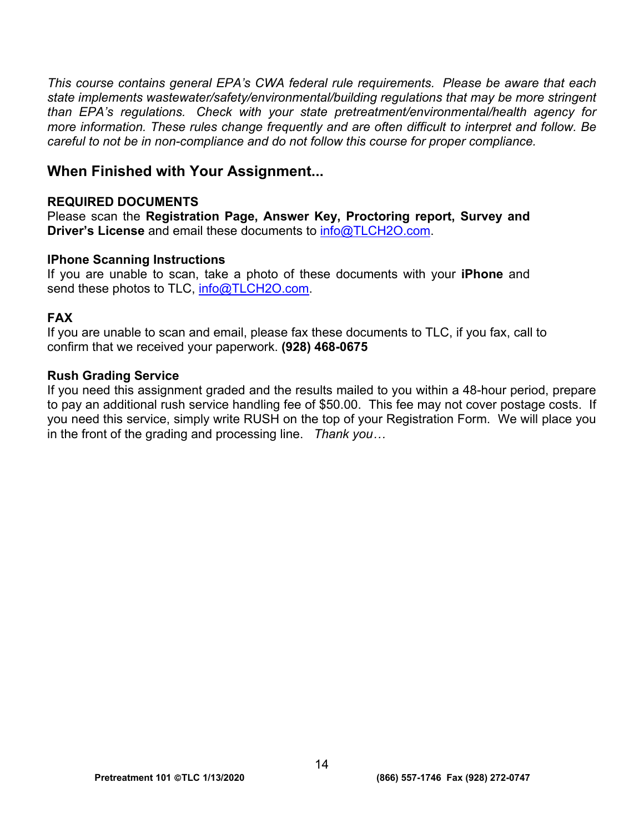*This course contains general EPA's CWA federal rule requirements. Please be aware that each state implements wastewater/safety/environmental/building regulations that may be more stringent than EPA's regulations. Check with your state pretreatment/environmental/health agency for more information. These rules change frequently and are often difficult to interpret and follow. Be careful to not be in non-compliance and do not follow this course for proper compliance.* 

## **When Finished with Your Assignment...**

#### **REQUIRED DOCUMENTS**

Please scan the **Registration Page, Answer Key, Proctoring report, Survey and Driver's License** and email these documents to [info@TLCH2O.com.](mailto:info@TLCH2O.com) 

#### **IPhone Scanning Instructions**

If you are unable to scan, take a photo of these documents with your **iPhone** and send these photos to TLC, info@TLCH2O.com.

#### **FAX**

If you are unable to scan and email, please fax these documents to TLC, if you fax, call to confirm that we received your paperwork. **(928) 468-0675** 

#### **Rush Grading Service**

If you need this assignment graded and the results mailed to you within a 48-hour period, prepare to pay an additional rush service handling fee of \$50.00. This fee may not cover postage costs. If you need this service, simply write RUSH on the top of your Registration Form. We will place you in the front of the grading and processing line. *Thank you…*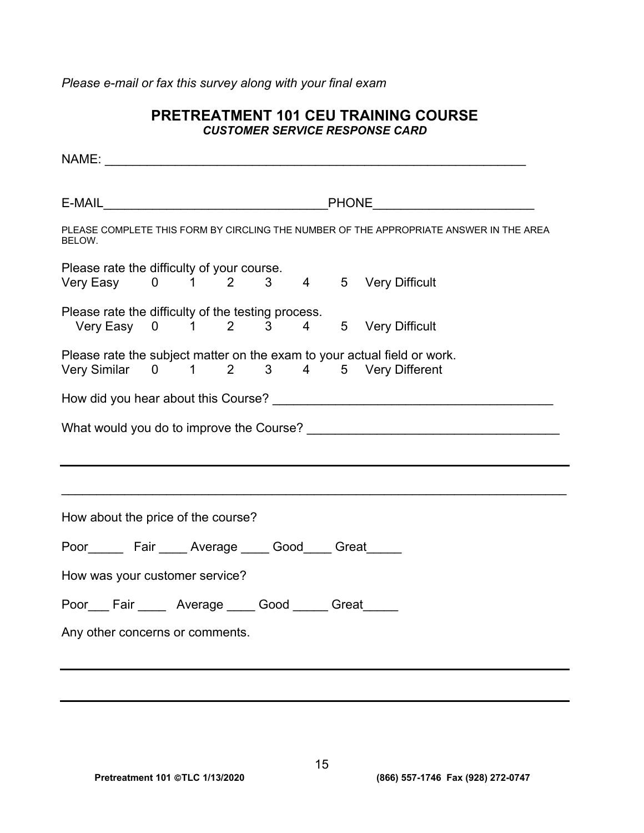*Please e-mail or fax this survey along with your final exam* 

#### **PRETREATMENT 101 CEU TRAINING COURSE**  *CUSTOMER SERVICE RESPONSE CARD*

| BELOW.                                                                                     |  |  |  |  |  |  | PLEASE COMPLETE THIS FORM BY CIRCLING THE NUMBER OF THE APPROPRIATE ANSWER IN THE AREA |
|--------------------------------------------------------------------------------------------|--|--|--|--|--|--|----------------------------------------------------------------------------------------|
| Please rate the difficulty of your course.<br>Very Easy 0 1 2 3 4 5 Very Difficult         |  |  |  |  |  |  |                                                                                        |
| Please rate the difficulty of the testing process.<br>Very Easy 0 1 2 3 4 5 Very Difficult |  |  |  |  |  |  |                                                                                        |
| Very Similar 0 1 2 3 4 5 Very Different                                                    |  |  |  |  |  |  | Please rate the subject matter on the exam to your actual field or work.               |
|                                                                                            |  |  |  |  |  |  |                                                                                        |
|                                                                                            |  |  |  |  |  |  |                                                                                        |
|                                                                                            |  |  |  |  |  |  |                                                                                        |
|                                                                                            |  |  |  |  |  |  |                                                                                        |
| How about the price of the course?                                                         |  |  |  |  |  |  |                                                                                        |
| Poor_________ Fair ______ Average ______ Good______ Great______                            |  |  |  |  |  |  |                                                                                        |
| How was your customer service?                                                             |  |  |  |  |  |  |                                                                                        |
| Poor___Fair _____ Average _____Good ______Great_____                                       |  |  |  |  |  |  |                                                                                        |
| Any other concerns or comments.                                                            |  |  |  |  |  |  |                                                                                        |
|                                                                                            |  |  |  |  |  |  |                                                                                        |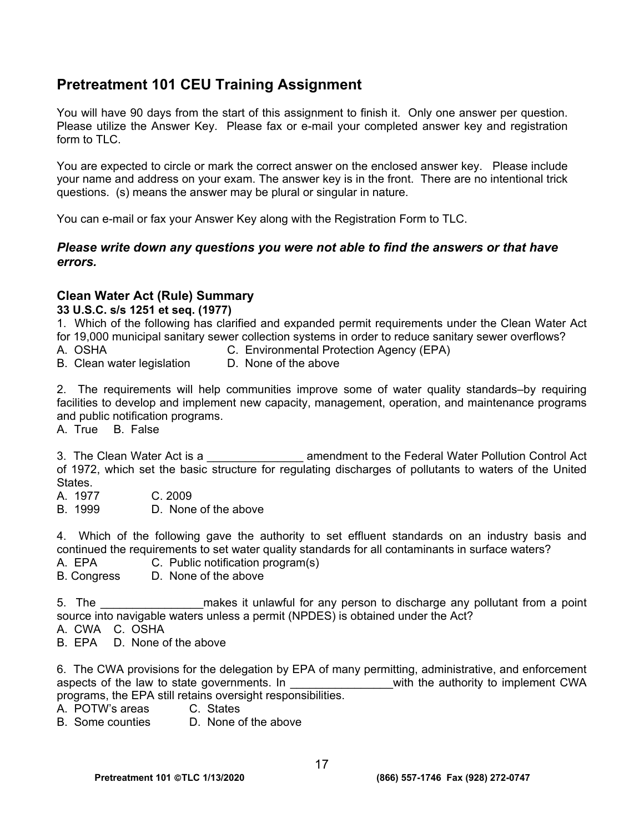## **Pretreatment 101 CEU Training Assignment**

You will have 90 days from the start of this assignment to finish it. Only one answer per question. Please utilize the Answer Key. Please fax or e-mail your completed answer key and registration form to TLC.

You are expected to circle or mark the correct answer on the enclosed answer key. Please include your name and address on your exam. The answer key is in the front. There are no intentional trick questions. (s) means the answer may be plural or singular in nature.

You can e-mail or fax your Answer Key along with the Registration Form to TLC.

#### *Please write down any questions you were not able to find the answers or that have errors.*

#### **Clean Water Act (Rule) Summary**

#### **33 U.S.C. s/s 1251 et seq. (1977)**

1. Which of the following has clarified and expanded permit requirements under the Clean Water Act for 19,000 municipal sanitary sewer collection systems in order to reduce sanitary sewer overflows?

- A. OSHA C. Environmental Protection Agency (EPA)
- B. Clean water legislation D. None of the above

2. The requirements will help communities improve some of water quality standards–by requiring facilities to develop and implement new capacity, management, operation, and maintenance programs and public notification programs.

A. True B. False

3. The Clean Water Act is a **Exercise 2. The Clean Water Pollution Control Act** of 1972, which set the basic structure for regulating discharges of pollutants to waters of the United States.

- A. 1977 C. 2009
- B. 1999 D. None of the above

4. Which of the following gave the authority to set effluent standards on an industry basis and continued the requirements to set water quality standards for all contaminants in surface waters?

A. EPA C. Public notification program(s)

B. Congress D. None of the above

5. The the same makes it unlawful for any person to discharge any pollutant from a point source into navigable waters unless a permit (NPDES) is obtained under the Act?

A. CWA C. OSHA

B. EPA D. None of the above

6. The CWA provisions for the delegation by EPA of many permitting, administrative, and enforcement aspects of the law to state governments. In \_\_\_\_\_\_\_\_\_\_\_\_\_\_\_\_with the authority to implement CWA programs, the EPA still retains oversight responsibilities.

- A. POTW's areas C. States
- B. Some counties D. None of the above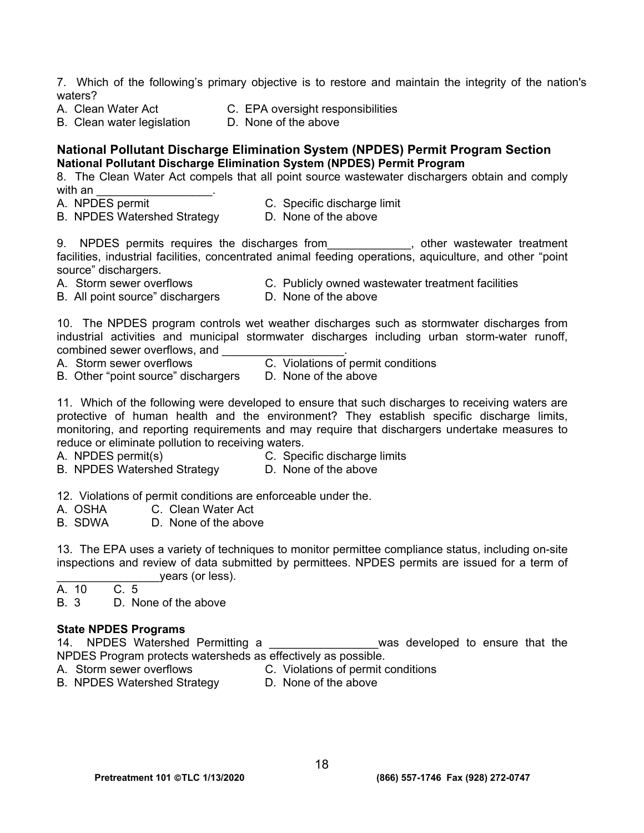7. Which of the following's primary objective is to restore and maintain the integrity of the nation's waters?

- A. Clean Water Act **C. EPA oversight responsibilities**
- B. Clean water legislation D. None of the above

#### **National Pollutant Discharge Elimination System (NPDES) Permit Program Section National Pollutant Discharge Elimination System (NPDES) Permit Program**

8. The Clean Water Act compels that all point source wastewater dischargers obtain and comply with an

- A. NPDES permit C. Specific discharge limit
	-

B. NPDES Watershed Strategy D. None of the above

- 9. NPDES permits requires the discharges from \_\_\_\_\_\_\_\_\_\_\_\_, other wastewater treatment facilities, industrial facilities, concentrated animal feeding operations, aquiculture, and other "point source" dischargers.
- A. Storm sewer overflows C. Publicly owned wastewater treatment facilities
- B. All point source" dischargers D. None of the above
- 

10. The NPDES program controls wet weather discharges such as stormwater discharges from industrial activities and municipal stormwater discharges including urban storm-water runoff, combined sewer overflows, and

- 
- A. Storm sewer overflows<br>
B. Other "point source" dischargers 
D. None of the above

11. Which of the following were developed to ensure that such discharges to receiving waters are protective of human health and the environment? They establish specific discharge limits, monitoring, and reporting requirements and may require that dischargers undertake measures to reduce or eliminate pollution to receiving waters.

- 
- A. NPDES permit(s) C. Specific discharge limits
- B. NPDES Watershed Strategy D. None of the above
	-

12. Violations of permit conditions are enforceable under the.

A. OSHA C. Clean Water Act

B. Other "point source" dischargers

B. SDWA D. None of the above

13. The EPA uses a variety of techniques to monitor permittee compliance status, including on-site inspections and review of data submitted by permittees. NPDES permits are issued for a term of years (or less).

A. 10 C. 5

B. 3 D. None of the above

#### **State NPDES Programs**

14. NPDES Watershed Permitting a **Example 20 and Self and Seveloped** to ensure that the NPDES Program protects watersheds as effectively as possible.

- A. Storm sewer overflows C. Violations of permit conditions
- B. NPDES Watershed Strategy D. None of the above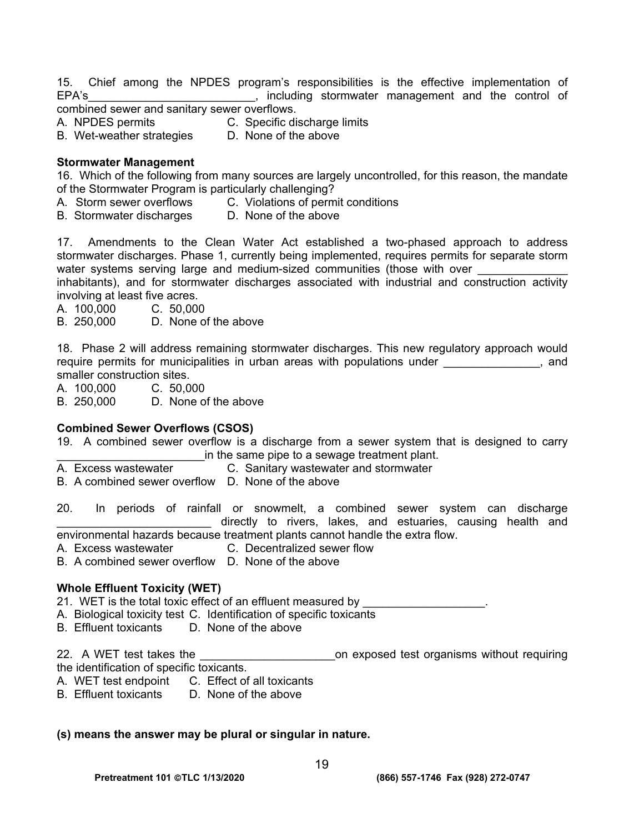15. Chief among the NPDES program's responsibilities is the effective implementation of EPA's\_\_\_\_\_\_\_\_\_\_\_\_\_\_\_\_\_\_\_\_\_\_\_\_\_\_\_\_, including stormwater management and the control of combined sewer and sanitary sewer overflows.

- 
- A. NPDES permits C. Specific discharge limits<br>B. Wet-weather strategies D. None of the above
- B. Wet-weather strategies
- 

#### **Stormwater Management**

16. Which of the following from many sources are largely uncontrolled, for this reason, the mandate of the Stormwater Program is particularly challenging?

- A. Storm sewer overflows C. Violations of permit conditions
- B. Stormwater discharges D. None of the above

17. Amendments to the Clean Water Act established a two-phased approach to address stormwater discharges. Phase 1, currently being implemented, requires permits for separate storm water systems serving large and medium-sized communities (those with over

inhabitants), and for stormwater discharges associated with industrial and construction activity involving at least five acres.

- A. 100,000 C. 50,000
- D. None of the above

18. Phase 2 will address remaining stormwater discharges. This new regulatory approach would require permits for municipalities in urban areas with populations under Theorem and smaller construction sites.

- A. 100,000 C. 50,000
- B. 250,000 D. None of the above

#### **Combined Sewer Overflows (CSOS)**

- 19. A combined sewer overflow is a discharge from a sewer system that is designed to carry in the same pipe to a sewage treatment plant.
- A. Excess wastewater **C. Sanitary wastewater and stormwater**
- B. A combined sewer overflow D. None of the above
- 20. In periods of rainfall or snowmelt, a combined sewer system can discharge directly to rivers, lakes, and estuaries, causing health and environmental hazards because treatment plants cannot handle the extra flow.
- A. Excess wastewater C. Decentralized sewer flow
- B. A combined sewer overflow D. None of the above

#### **Whole Effluent Toxicity (WET)**

- 21. WET is the total toxic effect of an effluent measured by
- A. Biological toxicity test C. Identification of specific toxicants
- B. Effluent toxicants D. None of the above

22. A WET test takes the **EXECUTE 10** on exposed test organisms without requiring the identification of specific toxicants.

- A. WET test endpoint C. Effect of all toxicants<br>B. Effluent toxicants D. None of the above
- B. Effluent toxicants

#### **(s) means the answer may be plural or singular in nature.**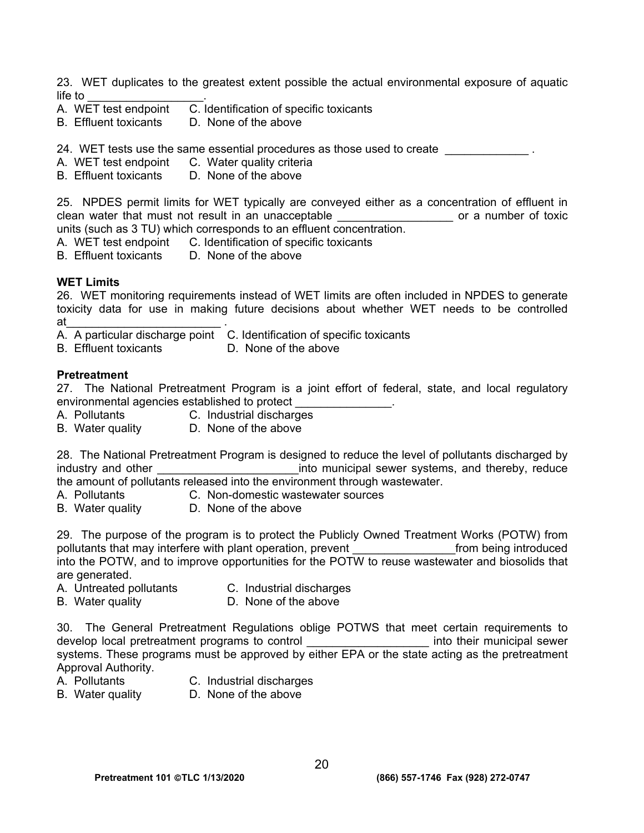23. WET duplicates to the greatest extent possible the actual environmental exposure of aquatic  $l$  ife to

- A. WET test endpoint C. Identification of specific toxicants<br>B. Effluent toxicants D. None of the above
- B. Effluent toxicants

24. WET tests use the same essential procedures as those used to create  $\qquad \qquad \ldots$ 

- A. WET test endpoint C. Water quality criteria
- B. Effluent toxicants D. None of the above

25. NPDES permit limits for WET typically are conveyed either as a concentration of effluent in clean water that must not result in an unacceptable \_\_\_\_\_\_\_\_\_\_\_\_\_\_\_\_\_\_ or a number of toxic units (such as 3 TU) which corresponds to an effluent concentration.

- A. WET test endpoint C. Identification of specific toxicants
- B. Effluent toxicants D. None of the above

#### **WET Limits**

26. WET monitoring requirements instead of WET limits are often included in NPDES to generate toxicity data for use in making future decisions about whether WET needs to be controlled at\_\_\_\_\_\_\_\_\_\_\_\_\_\_\_\_\_\_\_\_\_\_\_\_ .

- A. A particular discharge point C. Identification of specific toxicants
- B. Effluent toxicants D. None of the above

#### **Pretreatment**

27. The National Pretreatment Program is a joint effort of federal, state, and local regulatory environmental agencies established to protect \_\_\_\_\_\_\_\_\_\_\_\_\_\_\_\_.

- A. Pollutants C. Industrial discharges
- B. Water quality D. None of the above

28. The National Pretreatment Program is designed to reduce the level of pollutants discharged by industry and other **contact and interest and sextems** and thereby, reduce the amount of pollutants released into the environment through wastewater.

- A. Pollutants C. Non-domestic wastewater sources
- B. Water quality D. None of the above

29. The purpose of the program is to protect the Publicly Owned Treatment Works (POTW) from pollutants that may interfere with plant operation, prevent entitled that the from being introduced into the POTW, and to improve opportunities for the POTW to reuse wastewater and biosolids that are generated.

- A. Untreated pollutants C. Industrial discharges
	-
- B. Water quality **D. None of the above**

30. The General Pretreatment Regulations oblige POTWS that meet certain requirements to develop local pretreatment programs to control \_\_\_\_\_\_\_\_\_\_\_\_\_\_\_\_\_\_\_\_\_\_\_ into their municipal sewer systems. These programs must be approved by either EPA or the state acting as the pretreatment Approval Authority.

- 
- A. Pollutants C. Industrial discharges
- B. Water quality D. None of the above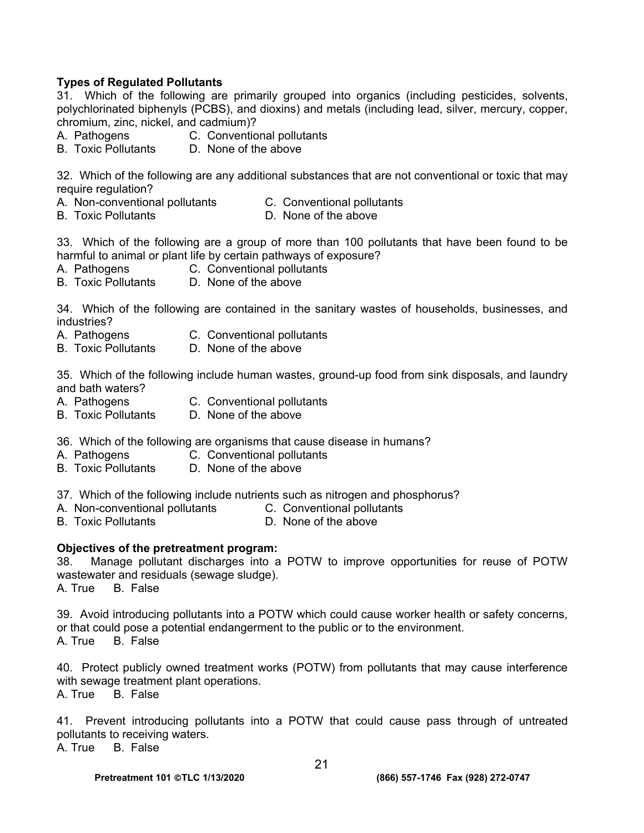#### **Types of Regulated Pollutants**

31. Which of the following are primarily grouped into organics (including pesticides, solvents, polychlorinated biphenyls (PCBS), and dioxins) and metals (including lead, silver, mercury, copper, chromium, zinc, nickel, and cadmium)?

- C. Conventional pollutants
- B. Toxic Pollutants D. None of the above

32. Which of the following are any additional substances that are not conventional or toxic that may require regulation?

- A. Non-conventional pollutants C. Conventional pollutants<br>B. Toxic Pollutants **C.** None of the above
- 

D. None of the above

33. Which of the following are a group of more than 100 pollutants that have been found to be harmful to animal or plant life by certain pathways of exposure?

- A. Pathogens C. Conventional pollutants
- B. Toxic Pollutants D. None of the above

34. Which of the following are contained in the sanitary wastes of households, businesses, and industries?

- A. Pathogens C. Conventional pollutants
- B. Toxic Pollutants D. None of the above

35. Which of the following include human wastes, ground-up food from sink disposals, and laundry and bath waters?

- A. Pathogens C. Conventional pollutants
- B. Toxic Pollutants D. None of the above
- 36. Which of the following are organisms that cause disease in humans?
- A. Pathogens C. Conventional pollutants
- B. Toxic Pollutants D. None of the above
- 37. Which of the following include nutrients such as nitrogen and phosphorus?
- A. Non-conventional pollutants C. Conventional pollutants<br>
B. Toxic Pollutants **C.** None of the above
- D. None of the above

#### **Objectives of the pretreatment program:**

38. Manage pollutant discharges into a POTW to improve opportunities for reuse of POTW wastewater and residuals (sewage sludge).

A. True B. False

39. Avoid introducing pollutants into a POTW which could cause worker health or safety concerns, or that could pose a potential endangerment to the public or to the environment. A. True B. False

40. Protect publicly owned treatment works (POTW) from pollutants that may cause interference with sewage treatment plant operations. A. True B. False

41. Prevent introducing pollutants into a POTW that could cause pass through of untreated pollutants to receiving waters.

A. True B. False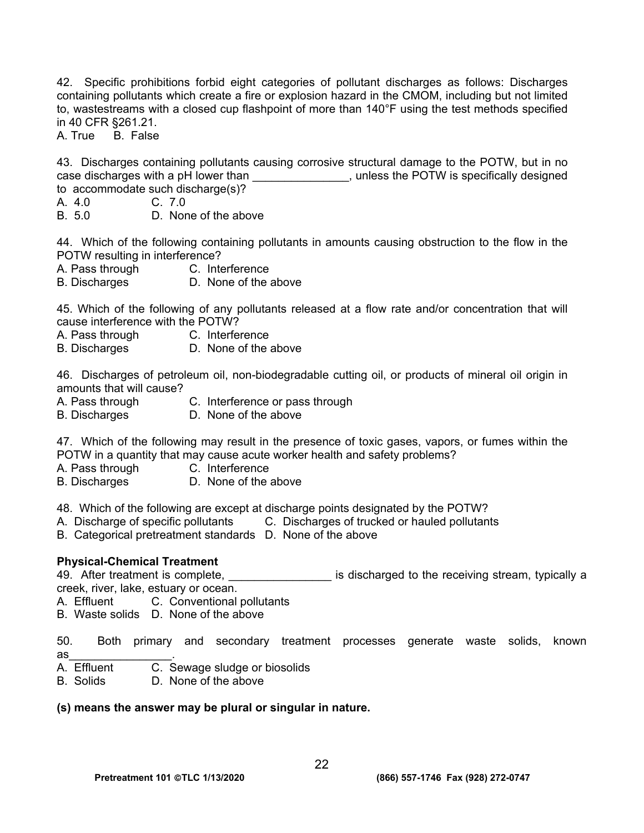42. Specific prohibitions forbid eight categories of pollutant discharges as follows: Discharges containing pollutants which create a fire or explosion hazard in the CMOM, including but not limited to, wastestreams with a closed cup flashpoint of more than 140°F using the test methods specified in 40 CFR §261.21.

A. True B. False

43. Discharges containing pollutants causing corrosive structural damage to the POTW, but in no case discharges with a pH lower than \_\_\_\_\_\_\_\_\_\_\_\_\_\_\_, unless the POTW is specifically designed to accommodate such discharge(s)?

- A. 4.0 C. 7.0
- B. 5.0 D. None of the above

44. Which of the following containing pollutants in amounts causing obstruction to the flow in the POTW resulting in interference?

- A. Pass through C. Interference
- B. Discharges D. None of the above

45. Which of the following of any pollutants released at a flow rate and/or concentration that will cause interference with the POTW?

- A. Pass through C. Interference
- B. Discharges D. None of the above

46. Discharges of petroleum oil, non-biodegradable cutting oil, or products of mineral oil origin in amounts that will cause?

- A. Pass through C. Interference or pass through
- B. Discharges D. None of the above

47. Which of the following may result in the presence of toxic gases, vapors, or fumes within the POTW in a quantity that may cause acute worker health and safety problems?

- A. Pass through C. Interference
- B. Discharges D. None of the above

48. Which of the following are except at discharge points designated by the POTW?

- A. Discharge of specific pollutants C. Discharges of trucked or hauled pollutants
- B. Categorical pretreatment standards D. None of the above

#### **Physical-Chemical Treatment**

49. After treatment is complete, \_\_\_\_\_\_\_\_\_\_\_\_\_\_\_\_\_\_ is discharged to the receiving stream, typically a creek, river, lake, estuary or ocean.

A. Effluent C. Conventional pollutants

B. Waste solids D. None of the above

50. Both primary and secondary treatment processes generate waste solids, known as\_\_\_\_\_\_\_\_\_\_\_\_\_\_\_\_.

- A. Effluent C. Sewage sludge or biosolids
- B. Solids D. None of the above

#### **(s) means the answer may be plural or singular in nature.**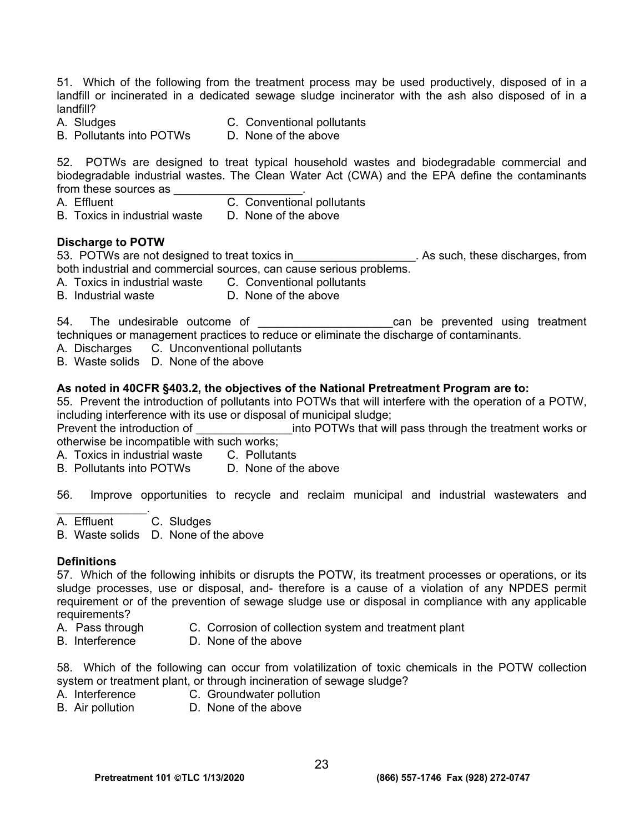51. Which of the following from the treatment process may be used productively, disposed of in a landfill or incinerated in a dedicated sewage sludge incinerator with the ash also disposed of in a landfill?

- 
- 
- A. Sludges C. Conventional pollutants<br>
B. Pollutants into POTWs D. None of the above B. Pollutants into POTWs

52. POTWs are designed to treat typical household wastes and biodegradable commercial and biodegradable industrial wastes. The Clean Water Act (CWA) and the EPA define the contaminants from these sources as \_\_\_\_\_\_\_\_\_\_\_\_\_\_\_\_\_\_\_\_.

- A. Effluent C. Conventional pollutants
- B. Toxics in industrial waste D. None of the above

#### **Discharge to POTW**

53. POTWs are not designed to treat toxics in **EXAL CONCO 10. As such, these discharges**, from both industrial and commercial sources, can cause serious problems.

- A. Toxics in industrial waste C. Conventional pollutants
- B. Industrial waste D. None of the above

54. The undesirable outcome of \_\_\_\_\_\_\_\_\_\_\_\_\_\_\_\_\_\_\_\_\_\_\_\_\_\_can be prevented using treatment techniques or management practices to reduce or eliminate the discharge of contaminants.

- A. Discharges C. Unconventional pollutants
- B. Waste solids D. None of the above

#### **As noted in 40CFR §403.2, the objectives of the National Pretreatment Program are to:**

55. Prevent the introduction of pollutants into POTWs that will interfere with the operation of a POTW, including interference with its use or disposal of municipal sludge;

Prevent the introduction of **EXA intervent into POTWs** that will pass through the treatment works or otherwise be incompatible with such works;

- A. Toxics in industrial waste C. Pollutants
- B. Pollutants into POTWs D. None of the above
- 56. Improve opportunities to recycle and reclaim municipal and industrial wastewaters and
- A. Effluent C. Sludges
- B. Waste solids D. None of the above

#### **Definitions**

 $\mathcal{L}_\text{max}$  and  $\mathcal{L}_\text{max}$ 

57. Which of the following inhibits or disrupts the POTW, its treatment processes or operations, or its sludge processes, use or disposal, and- therefore is a cause of a violation of any NPDES permit requirement or of the prevention of sewage sludge use or disposal in compliance with any applicable requirements?

- A. Pass through C. Corrosion of collection system and treatment plant
- B. Interference D. None of the above

58. Which of the following can occur from volatilization of toxic chemicals in the POTW collection system or treatment plant, or through incineration of sewage sludge?

- A. Interference C. Groundwater pollution
- B. Air pollution D. None of the above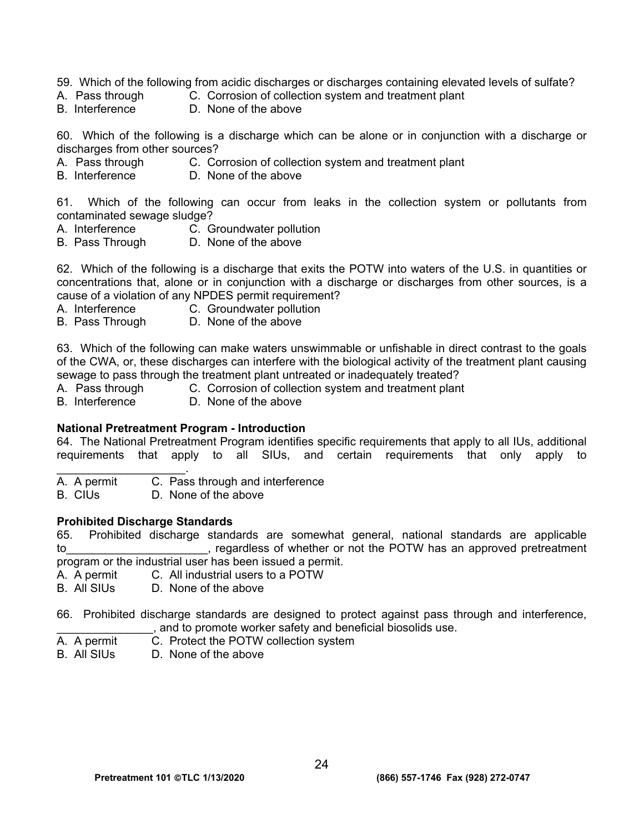59. Which of the following from acidic discharges or discharges containing elevated levels of sulfate?

- A. Pass through C. Corrosion of collection system and treatment plant
- B. Interference D. None of the above

60. Which of the following is a discharge which can be alone or in conjunction with a discharge or discharges from other sources?

- A. Pass through C. Corrosion of collection system and treatment plant
- B. Interference D. None of the above

61. Which of the following can occur from leaks in the collection system or pollutants from contaminated sewage sludge?

- A. Interference C. Groundwater pollution
- B. Pass Through D. None of the above

62. Which of the following is a discharge that exits the POTW into waters of the U.S. in quantities or concentrations that, alone or in conjunction with a discharge or discharges from other sources, is a cause of a violation of any NPDES permit requirement?

- A. Interference C. Groundwater pollution
- B. Pass Through D. None of the above

63. Which of the following can make waters unswimmable or unfishable in direct contrast to the goals of the CWA, or, these discharges can interfere with the biological activity of the treatment plant causing sewage to pass through the treatment plant untreated or inadequately treated?

- A. Pass through C. Corrosion of collection system and treatment plant
- B. Interference D. None of the above

#### **National Pretreatment Program - Introduction**

64. The National Pretreatment Program identifies specific requirements that apply to all IUs, additional requirements that apply to all SIUs, and certain requirements that only apply to

 $\mathcal{L}_\text{max}$  and  $\mathcal{L}_\text{max}$  and  $\mathcal{L}_\text{max}$ A. A permit C. Pass through and interference

B. CIUs D. None of the above

#### **Prohibited Discharge Standards**

65. Prohibited discharge standards are somewhat general, national standards are applicable to to the summann to the POTW has an approved pretreatment program or the industrial user has been issued a permit.

A. A permit C. All industrial users to a POTW

B. All SIUs D. None of the above

66. Prohibited discharge standards are designed to protect against pass through and interference, , and to promote worker safety and beneficial biosolids use.

- A. A permit C. Protect the POTW collection system
- B. All SIUs D. None of the above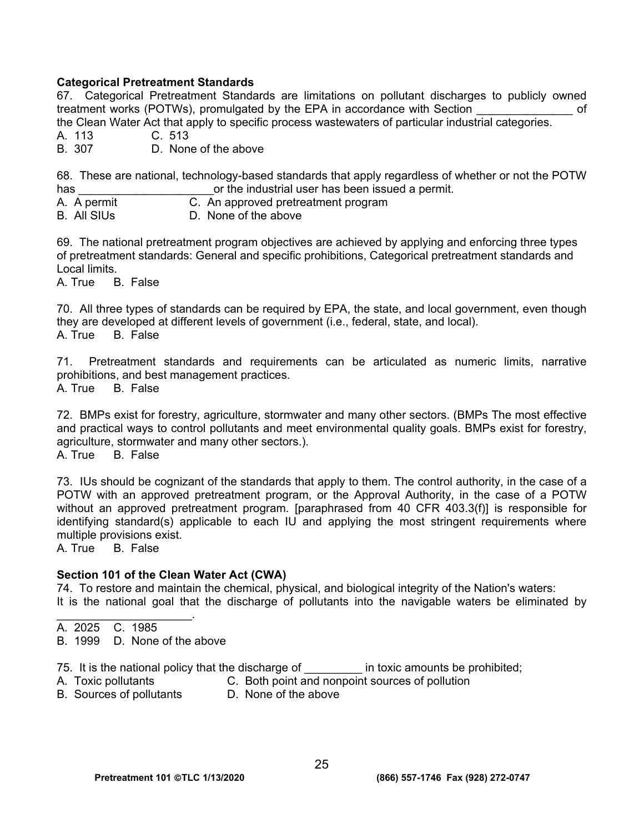#### **Categorical Pretreatment Standards**

67. Categorical Pretreatment Standards are limitations on pollutant discharges to publicly owned treatment works (POTWs), promulgated by the EPA in accordance with Section of the Clean Water Act that apply to specific process wastewaters of particular industrial categories.

A. 113 C. 513

B. 307 D. None of the above

68. These are national, technology-based standards that apply regardless of whether or not the POTW has **has has has has has has has has has has has has has has has has has hnr has hnr hnr hnr hnr hnr hnr hnr hnr hnr hn** 

A. A permit C. An approved pretreatment program

B. All SIUs D. None of the above

69. The national pretreatment program objectives are achieved by applying and enforcing three types of pretreatment standards: General and specific prohibitions, Categorical pretreatment standards and Local limits.

A. True B. False

70. All three types of standards can be required by EPA, the state, and local government, even though they are developed at different levels of government (i.e., federal, state, and local). A. True B. False

71. Pretreatment standards and requirements can be articulated as numeric limits, narrative prohibitions, and best management practices.

A. True B. False

72. BMPs exist for forestry, agriculture, stormwater and many other sectors. (BMPs The most effective and practical ways to control pollutants and meet environmental quality goals. BMPs exist for forestry, agriculture, stormwater and many other sectors.).

A. True B. False

73. IUs should be cognizant of the standards that apply to them. The control authority, in the case of a POTW with an approved pretreatment program, or the Approval Authority, in the case of a POTW without an approved pretreatment program. [paraphrased from 40 CFR 403.3(f)] is responsible for identifying standard(s) applicable to each IU and applying the most stringent requirements where multiple provisions exist.

A. True B. False

#### **Section 101 of the Clean Water Act (CWA)**

74. To restore and maintain the chemical, physical, and biological integrity of the Nation's waters: It is the national goal that the discharge of pollutants into the navigable waters be eliminated by

 $\mathcal{L}_\text{max}$  and  $\mathcal{L}_\text{max}$  and  $\mathcal{L}_\text{max}$ A. 2025 C. 1985

- B. 1999 D. None of the above
- 75. It is the national policy that the discharge of Table in toxic amounts be prohibited;

- A. Toxic pollutants C. Both point and nonpoint sources of pollution
- B. Sources of pollutants D. None of the above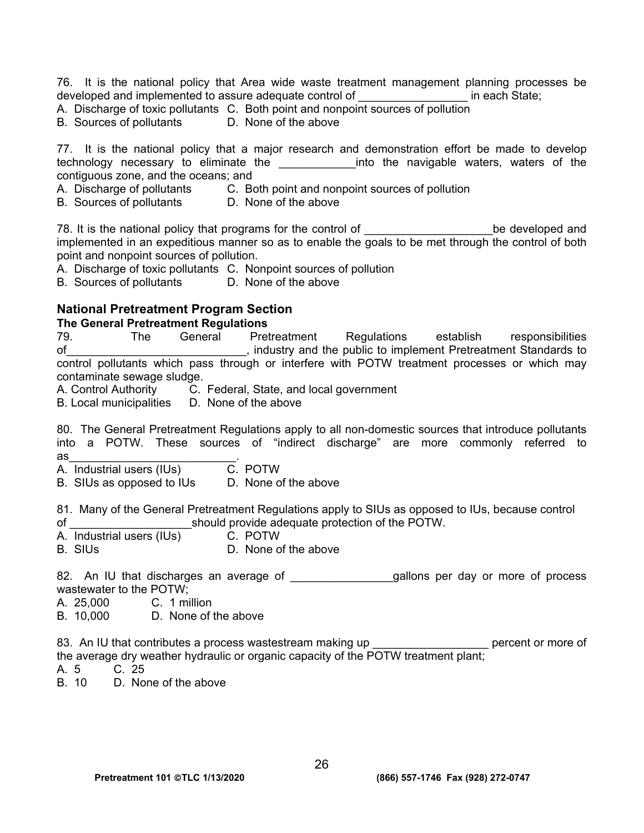76. It is the national policy that Area wide waste treatment management planning processes be developed and implemented to assure adequate control of **with all assumes 20** in each State;

A. Discharge of toxic pollutants C. Both point and nonpoint sources of pollution B. Sources of pollutants D. None of the above

B. Sources of pollutants

77. It is the national policy that a major research and demonstration effort be made to develop technology necessary to eliminate the **Example 10** into the navigable waters, waters of the contiguous zone, and the oceans; and

- A. Discharge of pollutants C. Both point and nonpoint sources of pollution
- B. Sources of pollutants D. None of the above

78. It is the national policy that programs for the control of \_\_\_\_\_\_\_\_\_\_\_\_\_\_\_\_\_\_\_\_\_\_ be developed and implemented in an expeditious manner so as to enable the goals to be met through the control of both point and nonpoint sources of pollution.

A. Discharge of toxic pollutants C. Nonpoint sources of pollution

B. Sources of pollutants D. None of the above

#### **National Pretreatment Program Section**

#### **The General Pretreatment Regulations**

79. The General Pretreatment Regulations establish responsibilities of the public to implement Pretreatment Standards to control pollutants which pass through or interfere with POTW treatment processes or which may contaminate sewage sludge. A. Control Authority C. Federal, State, and local government B. Local municipalities D. None of the above 80. The General Pretreatment Regulations apply to all non-domestic sources that introduce pollutants into a POTW. These sources of "indirect discharge" are more commonly referred to as  $\frac{1}{2}$ A. Industrial users (IUs) C. POTW B. SIUs as opposed to IUs D. None of the above 81. Many of the General Pretreatment Regulations apply to SIUs as opposed to IUs, because control of \_\_\_\_\_\_\_\_\_\_\_\_\_\_\_\_\_\_\_should provide adequate protection of the POTW. A. Industrial users (IUs) C. POTW B. SIUs D. None of the above 82. An IU that discharges an average of \_\_\_\_\_\_\_\_\_\_\_\_\_\_\_\_gallons per day or more of process wastewater to the POTW; A. 25,000 C. 1 million B. 10,000 D. None of the above

83. An IU that contributes a process wastestream making up \_\_\_\_\_\_\_\_\_\_\_\_\_\_\_\_\_\_\_\_ percent or more of the average dry weather hydraulic or organic capacity of the POTW treatment plant;

A. 5 C. 25

B. 10 D. None of the above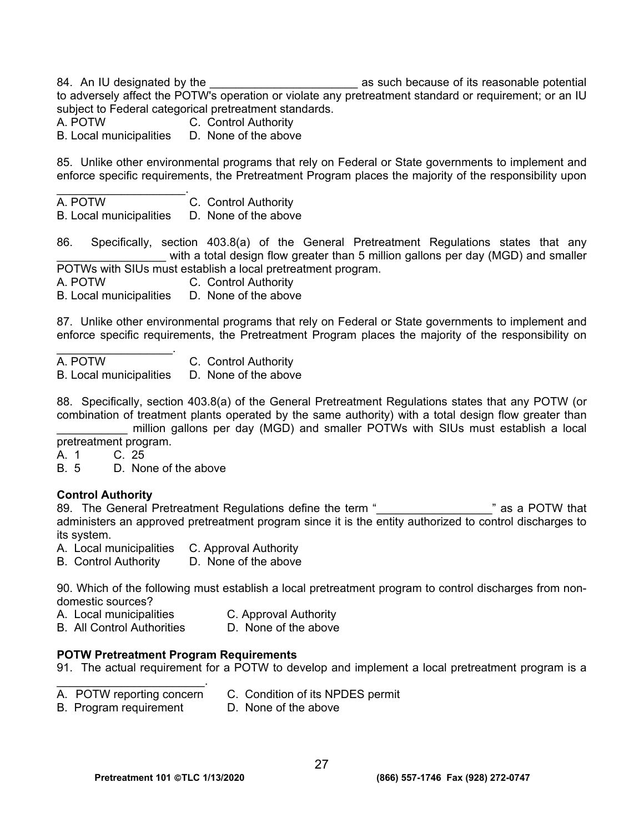84. An IU designated by the \_\_\_\_\_\_\_\_\_\_\_\_\_\_\_\_\_\_\_\_\_\_\_ as such because of its reasonable potential to adversely affect the POTW's operation or violate any pretreatment standard or requirement; or an IU subject to Federal categorical pretreatment standards.

A. POTW C. Control Authority

B. Local municipalities D. None of the above

85. Unlike other environmental programs that rely on Federal or State governments to implement and enforce specific requirements, the Pretreatment Program places the majority of the responsibility upon

 $\mathcal{L}_\text{max}$  and  $\mathcal{L}_\text{max}$  and  $\mathcal{L}_\text{max}$ A. POTW C. Control Authority B. Local municipalities D. None of the above

86. Specifically, section 403.8(a) of the General Pretreatment Regulations states that any with a total design flow greater than 5 million gallons per day (MGD) and smaller POTWs with SIUs must establish a local pretreatment program.

A. POTW C. Control Authority

B. Local municipalities D. None of the above

87. Unlike other environmental programs that rely on Federal or State governments to implement and enforce specific requirements, the Pretreatment Program places the majority of the responsibility on

 $\mathcal{L}_\text{max}$  and  $\mathcal{L}_\text{max}$  and  $\mathcal{L}_\text{max}$ A. POTW C. Control Authority

B. Local municipalities D. None of the above

88. Specifically, section 403.8(a) of the General Pretreatment Regulations states that any POTW (or combination of treatment plants operated by the same authority) with a total design flow greater than million gallons per day (MGD) and smaller POTWs with SIUs must establish a local

pretreatment program.

A. 1 C. 25

B. 5 D. None of the above

#### **Control Authority**

89. The General Pretreatment Regulations define the term " \_\_\_\_\_\_\_\_\_\_\_\_\_\_\_\_\_\_\_\_\_ " as a POTW that administers an approved pretreatment program since it is the entity authorized to control discharges to its system.

- A. Local municipalities C. Approval Authority
- B. Control Authority D. None of the above

90. Which of the following must establish a local pretreatment program to control discharges from nondomestic sources?

- A. Local municipalities C. Approval Authority
- B. All Control Authorities D. None of the above

#### **POTW Pretreatment Program Requirements**

 $\mathcal{L}_\text{max}$  and  $\mathcal{L}_\text{max}$  and  $\mathcal{L}_\text{max}$ 

- 91. The actual requirement for a POTW to develop and implement a local pretreatment program is a
- A. POTW reporting concern C. Condition of its NPDES permit<br>B. Program requirement D. None of the above
- B. Program requirement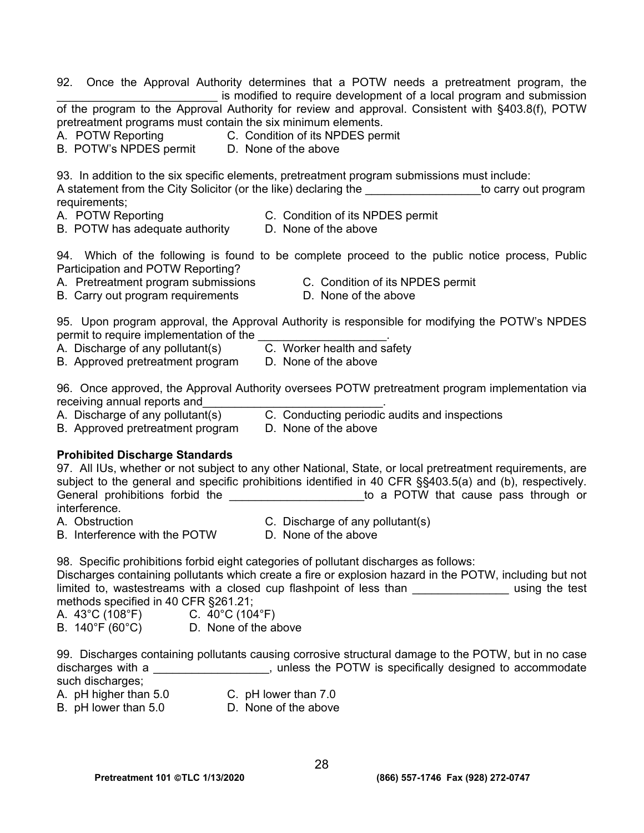|                                                                                                                                                                                                               | 92. Once the Approval Authority determines that a POTW needs a pretreatment program, the<br>is modified to require development of a local program and submission                                         |  |  |  |
|---------------------------------------------------------------------------------------------------------------------------------------------------------------------------------------------------------------|----------------------------------------------------------------------------------------------------------------------------------------------------------------------------------------------------------|--|--|--|
|                                                                                                                                                                                                               | of the program to the Approval Authority for review and approval. Consistent with §403.8(f), POTW                                                                                                        |  |  |  |
| pretreatment programs must contain the six minimum elements.                                                                                                                                                  |                                                                                                                                                                                                          |  |  |  |
| A. POTW Reporting C. Condition of its NPDES permit<br>B. POTW's NPDES permit D. None of the above                                                                                                             |                                                                                                                                                                                                          |  |  |  |
|                                                                                                                                                                                                               |                                                                                                                                                                                                          |  |  |  |
|                                                                                                                                                                                                               | 93. In addition to the six specific elements, pretreatment program submissions must include:<br>A statement from the City Solicitor (or the like) declaring the ____________________to carry out program |  |  |  |
| requirements;                                                                                                                                                                                                 |                                                                                                                                                                                                          |  |  |  |
| A. POTW Reporting                                                                                                                                                                                             | C. Condition of its NPDES permit                                                                                                                                                                         |  |  |  |
| B. POTW has adequate authority                                                                                                                                                                                | D. None of the above                                                                                                                                                                                     |  |  |  |
| Participation and POTW Reporting?                                                                                                                                                                             | 94. Which of the following is found to be complete proceed to the public notice process, Public                                                                                                          |  |  |  |
|                                                                                                                                                                                                               | A. Pretreatment program submissions C. Condition of its NPDES permit                                                                                                                                     |  |  |  |
| B. Carry out program requirements                                                                                                                                                                             | D. None of the above                                                                                                                                                                                     |  |  |  |
| 95. Upon program approval, the Approval Authority is responsible for modifying the POTW's NPDES<br>permit to require implementation of the<br>A. Discharge of any pollutant(s)<br>C. Worker health and safety |                                                                                                                                                                                                          |  |  |  |
|                                                                                                                                                                                                               |                                                                                                                                                                                                          |  |  |  |
| B. Approved pretreatment program D. None of the above                                                                                                                                                         |                                                                                                                                                                                                          |  |  |  |
| receiving annual reports and                                                                                                                                                                                  | 96. Once approved, the Approval Authority oversees POTW pretreatment program implementation via                                                                                                          |  |  |  |
|                                                                                                                                                                                                               | receiving annual reports and_________________________________.<br>A. Discharge of any pollutant(s)     C. Conducting periodic audits and inspections                                                     |  |  |  |
| B. Approved pretreatment program D. None of the above                                                                                                                                                         |                                                                                                                                                                                                          |  |  |  |
|                                                                                                                                                                                                               |                                                                                                                                                                                                          |  |  |  |
| <b>Prohibited Discharge Standards</b>                                                                                                                                                                         | 97. All IUs, whether or not subject to any other National, State, or local pretreatment requirements, are                                                                                                |  |  |  |
|                                                                                                                                                                                                               | subject to the general and specific prohibitions identified in 40 CFR §§403.5(a) and (b), respectively.                                                                                                  |  |  |  |
|                                                                                                                                                                                                               | General prohibitions forbid the the state of the state of POTW that cause pass through or                                                                                                                |  |  |  |
| interference.                                                                                                                                                                                                 |                                                                                                                                                                                                          |  |  |  |
| A. Obstruction                                                                                                                                                                                                | C. Discharge of any pollutant(s)                                                                                                                                                                         |  |  |  |
| B. Interference with the POTW                                                                                                                                                                                 | D. None of the above                                                                                                                                                                                     |  |  |  |
|                                                                                                                                                                                                               | 98. Specific prohibitions forbid eight categories of pollutant discharges as follows:                                                                                                                    |  |  |  |
| Discharges containing pollutants which create a fire or explosion hazard in the POTW, including but not<br>limited to westertrooms with a closed cup flashpoint of loss than the union the test               |                                                                                                                                                                                                          |  |  |  |

limited to, wastestreams with a closed cup flashpoint of less than \_\_\_\_\_\_\_\_\_\_\_\_\_\_\_\_\_\_\_\_ using the test methods specified in 40 CFR §261.21;

- A. 43°C (108°F) C. 40°C (104°F)
- B. 140°F (60°C) D. None of the above

99. Discharges containing pollutants causing corrosive structural damage to the POTW, but in no case discharges with a \_\_\_\_\_\_\_\_\_\_\_\_\_\_\_\_\_\_\_, unless the POTW is specifically designed to accommodate such discharges;

- 
- A. pH higher than 5.0 C. pH lower than 7.0
- B. pH lower than 5.0 D. None of the above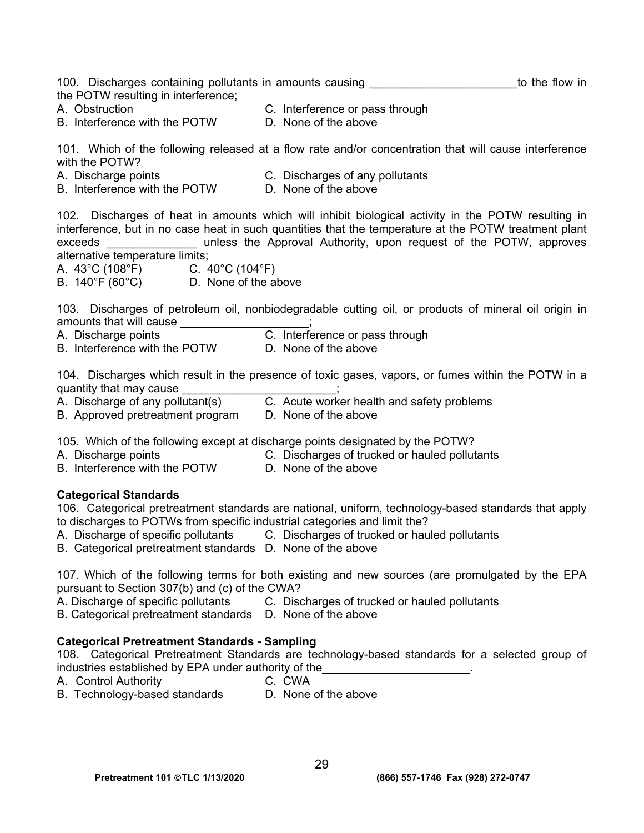100. Discharges containing pollutants in amounts causing **the endominant of the flow in** the POTW resulting in interference;

- 
- B. Interference with the POTW
- 
- A. Obstruction C. Interference or pass through<br>B. Interference with the POTW D. None of the above

101. Which of the following released at a flow rate and/or concentration that will cause interference with the POTW?

- A. Discharge points C. Discharges of any pollutants
- B. Interference with the POTW D. None of the above

102. Discharges of heat in amounts which will inhibit biological activity in the POTW resulting in interference, but in no case heat in such quantities that the temperature at the POTW treatment plant exceeds **Exceeds EXCELL UNES UNES UPORTS** unless the Approval Authority, upon request of the POTW, approves alternative temperature limits;

- A. 43°C (108°F) C. 40°C (104°F)
- B. 140°F (60°C) D. None of the above

103. Discharges of petroleum oil, nonbiodegradable cutting oil, or products of mineral oil origin in amounts that will cause **EXACUTE:**  $\qquad$ ;

- A. Discharge points C. Interference or pass through
- B. Interference with the POTW D. None of the above

104. Discharges which result in the presence of toxic gases, vapors, or fumes within the POTW in a quantity that may cause

A. Discharge of any pollutant(s) C. Acute worker health and safety problems

B. Approved pretreatment program D. None of the above

105. Which of the following except at discharge points designated by the POTW?

- A. Discharge points C. Discharges of trucked or hauled pollutants
- B. Interference with the POTW D. None of the above

#### **Categorical Standards**

106. Categorical pretreatment standards are national, uniform, technology-based standards that apply to discharges to POTWs from specific industrial categories and limit the?

- A. Discharge of specific pollutants C. Discharges of trucked or hauled pollutants
- B. Categorical pretreatment standards D. None of the above

107. Which of the following terms for both existing and new sources (are promulgated by the EPA pursuant to Section 307(b) and (c) of the CWA?

- A. Discharge of specific pollutants C. Discharges of trucked or hauled pollutants
- B. Categorical pretreatment standards D. None of the above

#### **Categorical Pretreatment Standards - Sampling**

108. Categorical Pretreatment Standards are technology-based standards for a selected group of industries established by EPA under authority of the  $\blacksquare$ 

- A. Control Authority **C. CWA** 
	-
- B. Technology-based standards D. None of the above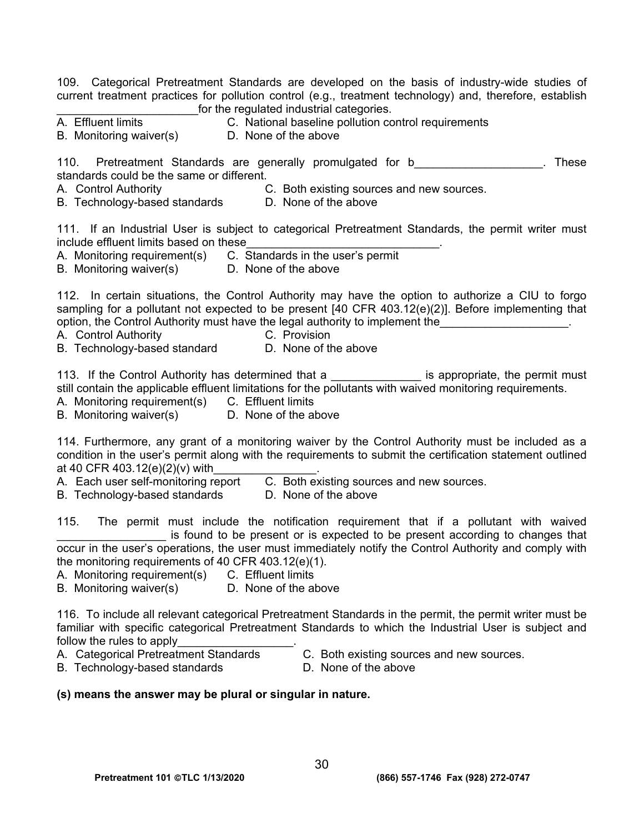109. Categorical Pretreatment Standards are developed on the basis of industry-wide studies of current treatment practices for pollution control (e.g., treatment technology) and, therefore, establish The regulated industrial categories.<br>A. Effluent limits **C. National baseline pollution** co

- B. Monitoring waiver(s)
- C. National baseline pollution control requirements<br>D. None of the above

110. Pretreatment Standards are generally promulgated for b These standards could be the same or different.

A. Control Authority C. Both existing sources and new sources.

B. Technology-based standards D. None of the above

111. If an Industrial User is subject to categorical Pretreatment Standards, the permit writer must include effluent limits based on these

A. Monitoring requirement(s) C. Standards in the user's permit

B. Monitoring waiver(s) D. None of the above

112. In certain situations, the Control Authority may have the option to authorize a CIU to forgo sampling for a pollutant not expected to be present [40 CFR 403.12(e)(2)]. Before implementing that option, the Control Authority must have the legal authority to implement the

A. Control Authority **C. Provision** 

B. Technology-based standard D. None of the above

113. If the Control Authority has determined that a \_\_\_\_\_\_\_\_\_\_\_\_\_\_\_\_ is appropriate, the permit must still contain the applicable effluent limitations for the pollutants with waived monitoring requirements.

A. Monitoring requirement(s) C. Effluent limits

B. Monitoring waiver(s) D. None of the above

114. Furthermore, any grant of a monitoring waiver by the Control Authority must be included as a condition in the user's permit along with the requirements to submit the certification statement outlined at 40 CFR 403.12(e)(2)(v) with\_\_\_\_\_\_\_\_\_\_\_\_\_\_\_\_.

A. Each user self-monitoring report C. Both existing sources and new sources.

B. Technology-based standards D. None of the above

115. The permit must include the notification requirement that if a pollutant with waived is found to be present or is expected to be present according to changes that occur in the user's operations, the user must immediately notify the Control Authority and comply with the monitoring requirements of 40 CFR 403.12(e)(1).

A. Monitoring requirement(s) C. Effluent limits

B. Monitoring waiver(s) D. None of the above

116. To include all relevant categorical Pretreatment Standards in the permit, the permit writer must be familiar with specific categorical Pretreatment Standards to which the Industrial User is subject and follow the rules to apply

A. Categorical Pretreatment Standards C. Both existing sources and new sources.

- B. Technology-based standards D. None of the above
- 
- 

**(s) means the answer may be plural or singular in nature.**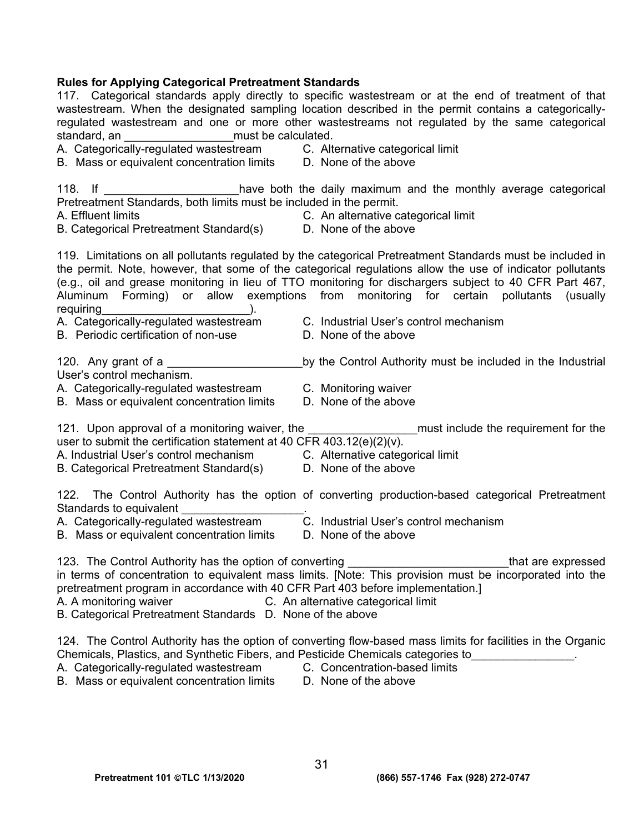#### **Rules for Applying Categorical Pretreatment Standards**

117. Categorical standards apply directly to specific wastestream or at the end of treatment of that wastestream. When the designated sampling location described in the permit contains a categoricallyregulated wastestream and one or more other wastestreams not regulated by the same categorical standard, an  $\Box$  must be calculated. A. Categorically-regulated wastestream C. Alternative categorical limit B. Mass or equivalent concentration limits D. None of the above 118. If \_\_\_\_\_\_\_\_\_\_\_\_\_\_\_\_\_\_\_\_\_have both the daily maximum and the monthly average categorical Pretreatment Standards, both limits must be included in the permit. A. Effluent limits C. An alternative categorical limit B. Categorical Pretreatment Standard(s) D. None of the above 119. Limitations on all pollutants regulated by the categorical Pretreatment Standards must be included in the permit. Note, however, that some of the categorical regulations allow the use of indicator pollutants (e.g., oil and grease monitoring in lieu of TTO monitoring for dischargers subject to 40 CFR Part 467, Aluminum Forming) or allow exemptions from monitoring for certain pollutants (usually requiring the control of the control of the control of the control of the control of the control of the control of the control of the control of the control of the control of the control of the control of the control of th A. Categorically-regulated wastestream C. Industrial User's control mechanism B. Periodic certification of non-use **D.** None of the above 120. Any grant of a **the control Authority must be included in the Industrial** User's control mechanism. A. Categorically-regulated wastestream C. Monitoring waiver<br>B. Mass or equivalent concentration limits D. None of the above B. Mass or equivalent concentration limits 121. Upon approval of a monitoring waiver, the the must include the requirement for the user to submit the certification statement at 40 CFR 403.12(e)(2)(v). A. Industrial User's control mechanism C. Alternative categorical limit B. Categorical Pretreatment Standard(s) D. None of the above 122. The Control Authority has the option of converting production-based categorical Pretreatment Standards to equivalent \_\_\_\_\_\_\_\_\_\_\_\_\_\_\_\_\_\_\_\_\_\_\_.<br>A. Categorically-regulated wastestream C. Industrial User's control mechanism A. Categorically-regulated wastestream B. Mass or equivalent concentration limits D. None of the above 123. The Control Authority has the option of converting the state of the state expressed in terms of concentration to equivalent mass limits. [Note: This provision must be incorporated into the pretreatment program in accordance with 40 CFR Part 403 before implementation.] A. A monitoring waiver **C.** An alternative categorical limit

B. Categorical Pretreatment Standards D. None of the above

124. The Control Authority has the option of converting flow-based mass limits for facilities in the Organic Chemicals, Plastics, and Synthetic Fibers, and Pesticide Chemicals categories to\_\_\_\_\_\_\_\_\_\_\_\_\_\_\_\_.

- A. Categorically-regulated wastestream C. Concentration-based limits
	-

B. Mass or equivalent concentration limits D. None of the above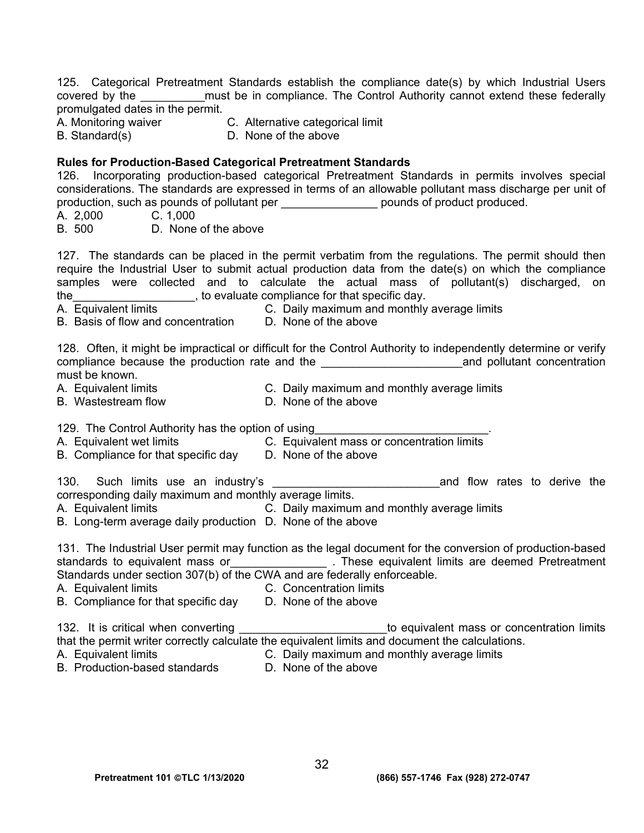| promulgated dates in the permit.<br>A. Monitoring waiver C. Alternative categorical limit<br>B. Standard(s) D. None of the above                                                                                                                                                                                                                                                                                                                                                                                                                         | 125. Categorical Pretreatment Standards establish the compliance date(s) by which Industrial Users<br>covered by the ____________ must be in compliance. The Control Authority cannot extend these federally         |
|----------------------------------------------------------------------------------------------------------------------------------------------------------------------------------------------------------------------------------------------------------------------------------------------------------------------------------------------------------------------------------------------------------------------------------------------------------------------------------------------------------------------------------------------------------|----------------------------------------------------------------------------------------------------------------------------------------------------------------------------------------------------------------------|
| <b>Rules for Production-Based Categorical Pretreatment Standards</b><br>126. Incorporating production-based categorical Pretreatment Standards in permits involves special<br>considerations. The standards are expressed in terms of an allowable pollutant mass discharge per unit of<br>production, such as pounds of pollutant per _________________ pounds of product produced.<br>A. 2,000 C. 1,000<br>B. 500 D. None of the above                                                                                                                 |                                                                                                                                                                                                                      |
| 127. The standards can be placed in the permit verbatim from the regulations. The permit should then<br>require the Industrial User to submit actual production data from the date(s) on which the compliance<br>samples were collected and to calculate the actual mass of pollutant(s) discharged, on<br>the_________________________, to evaluate compliance for that specific day.<br>A. Equivalent limits <b>Exercise Set Act Constructs</b> C. Daily maximum and monthly average limits<br>B. Basis of flow and concentration D. None of the above |                                                                                                                                                                                                                      |
| must be known.<br>A. Equivalent limits<br>B. Wastestream flow                                                                                                                                                                                                                                                                                                                                                                                                                                                                                            | 128. Often, it might be impractical or difficult for the Control Authority to independently determine or verify<br>C. Daily maximum and monthly average limits<br>D. None of the above                               |
| 129. The Control Authority has the option of using______________________________<br>B. Compliance for that specific day D. None of the above                                                                                                                                                                                                                                                                                                                                                                                                             | A. Equivalent wet limits <b>Example 20</b> C. Equivalent mass or concentration limits                                                                                                                                |
| 130. Such limits use an industry's _<br>corresponding daily maximum and monthly average limits.<br>A. Equivalent limits<br>B. Long-term average daily production D. None of the above                                                                                                                                                                                                                                                                                                                                                                    | C. Daily maximum and monthly average limits                                                                                                                                                                          |
| standards to equivalent mass or<br>Standards under section 307(b) of the CWA and are federally enforceable.<br>A. Equivalent limits<br>B. Compliance for that specific day                                                                                                                                                                                                                                                                                                                                                                               | 131. The Industrial User permit may function as the legal document for the conversion of production-based<br>. These equivalent limits are deemed Pretreatment<br>C. Concentration limits<br>D. None of the above    |
| 132. It is critical when converting<br>A. Equivalent limits<br><b>B.</b> Production-based standards                                                                                                                                                                                                                                                                                                                                                                                                                                                      | to equivalent mass or concentration limits<br>that the permit writer correctly calculate the equivalent limits and document the calculations.<br>C. Daily maximum and monthly average limits<br>D. None of the above |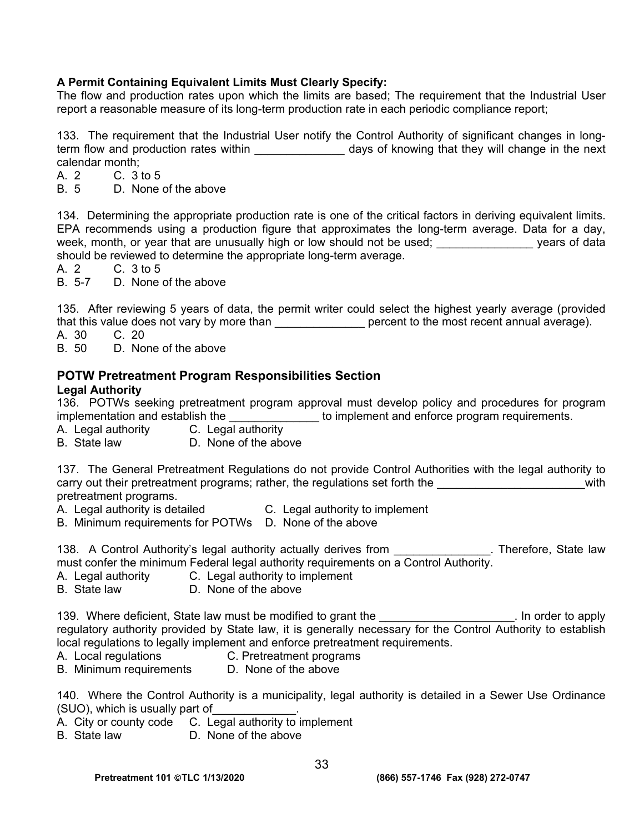#### **A Permit Containing Equivalent Limits Must Clearly Specify:**

The flow and production rates upon which the limits are based; The requirement that the Industrial User report a reasonable measure of its long-term production rate in each periodic compliance report;

133. The requirement that the Industrial User notify the Control Authority of significant changes in longterm flow and production rates within \_\_\_\_\_\_\_\_\_\_\_\_\_\_\_\_ days of knowing that they will change in the next calendar month;

A. 2 C. 3 to 5

B. 5 D. None of the above

134. Determining the appropriate production rate is one of the critical factors in deriving equivalent limits. EPA recommends using a production figure that approximates the long-term average. Data for a day, week, month, or year that are unusually high or low should not be used; exactled are vears of data should be reviewed to determine the appropriate long-term average.

A. 2 C. 3 to 5

B. 5-7 D. None of the above

135. After reviewing 5 years of data, the permit writer could select the highest yearly average (provided that this value does not vary by more than **the percent to the most recent annual average**).

A. 30 C. 20

B. 50 D. None of the above

#### **POTW Pretreatment Program Responsibilities Section**

#### **Legal Authority**

136. POTWs seeking pretreatment program approval must develop policy and procedures for program implementation and establish the discussion of the dimplement and enforce program requirements.

- A. Legal authority C. Legal authority
- B. State law D. None of the above

137. The General Pretreatment Regulations do not provide Control Authorities with the legal authority to carry out their pretreatment programs; rather, the regulations set forth the  $\blacksquare$ pretreatment programs.

- A. Legal authority is detailed C. Legal authority to implement
- B. Minimum requirements for POTWs D. None of the above

138. A Control Authority's legal authority actually derives from \_\_\_\_\_\_\_\_\_\_\_\_\_\_\_. Therefore, State law must confer the minimum Federal legal authority requirements on a Control Authority.

- A. Legal authority C. Legal authority to implement
- B. State law D. None of the above

139. Where deficient, State law must be modified to grant the \_\_\_\_\_\_\_\_\_\_\_\_\_\_\_\_\_\_\_\_\_. In order to apply regulatory authority provided by State law, it is generally necessary for the Control Authority to establish local regulations to legally implement and enforce pretreatment requirements.

A. Local regulations C. Pretreatment programs

B. Minimum requirements D. None of the above

140. Where the Control Authority is a municipality, legal authority is detailed in a Sewer Use Ordinance (SUO), which is usually part of

- A. City or county code C. Legal authority to implement
- B. State law D. None of the above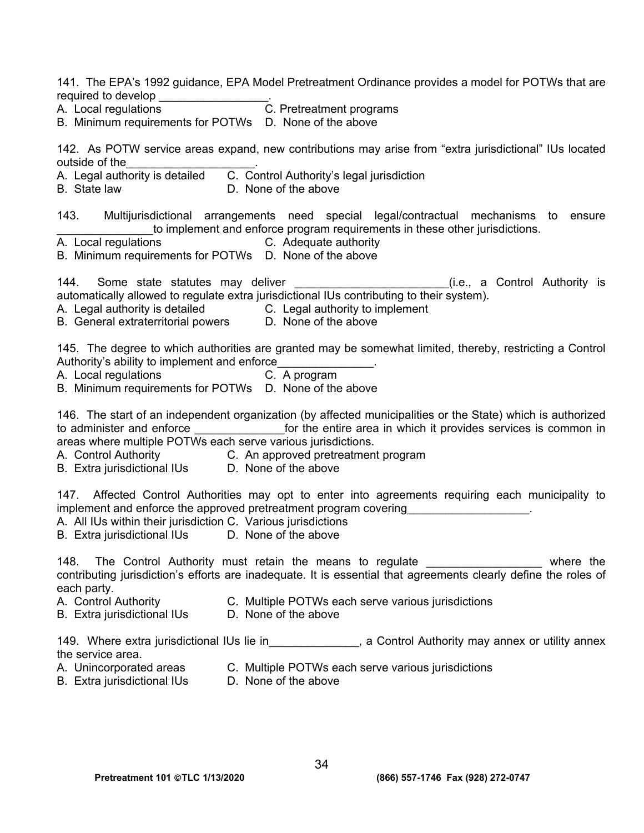141. The EPA's 1992 guidance, EPA Model Pretreatment Ordinance provides a model for POTWs that are required to develop \_\_\_\_\_\_\_\_\_\_\_\_\_\_\_\_\_\_

- A. Local regulations C. Pretreatment programs
- B. Minimum requirements for POTWs D. None of the above

142. As POTW service areas expand, new contributions may arise from "extra jurisdictional" IUs located outside of the

- A. Legal authority is detailed C. Control Authority's legal jurisdiction
- B. State law D. None of the above

143. Multijurisdictional arrangements need special legal/contractual mechanisms to ensure to implement and enforce program requirements in these other jurisdictions.

A. Local regulations C. Adequate authority

B. Minimum requirements for POTWs D. None of the above

144. Some state statutes may deliver \_\_\_\_\_\_\_\_\_\_\_\_\_\_\_\_\_\_\_\_\_\_\_\_\_(i.e., a Control Authority is automatically allowed to regulate extra jurisdictional IUs contributing to their system).

A. Legal authority is detailed **C. Legal authority to implement** 

B. General extraterritorial powers D. None of the above

145. The degree to which authorities are granted may be somewhat limited, thereby, restricting a Control Authority's ability to implement and enforce

A. Local regulations C. A program

B. Minimum requirements for POTWs D. None of the above

146. The start of an independent organization (by affected municipalities or the State) which is authorized to administer and enforce **the entire area in which it provides services is common in** areas where multiple POTWs each serve various jurisdictions.

- A. Control Authority **C.** An approved pretreatment program
- B. Extra jurisdictional IUs D. None of the above

147. Affected Control Authorities may opt to enter into agreements requiring each municipality to implement and enforce the approved pretreatment program covering entitled and enforce the approved pretreatment

- A. All IUs within their jurisdiction C. Various jurisdictions
- B. Extra jurisdictional IUs D. None of the above

148. The Control Authority must retain the means to regulate The where the contributing jurisdiction's efforts are inadequate. It is essential that agreements clearly define the roles of each party.

- A. Control Authority C. Multiple POTWs each serve various jurisdictions
- B. Extra jurisdictional IUs D. None of the above

149. Where extra jurisdictional IUs lie in Theorem Theoric Scontrol Authority may annex or utility annex the service area.

- A. Unincorporated areas C. Multiple POTWs each serve various jurisdictions
- B. Extra jurisdictional IUs D. None of the above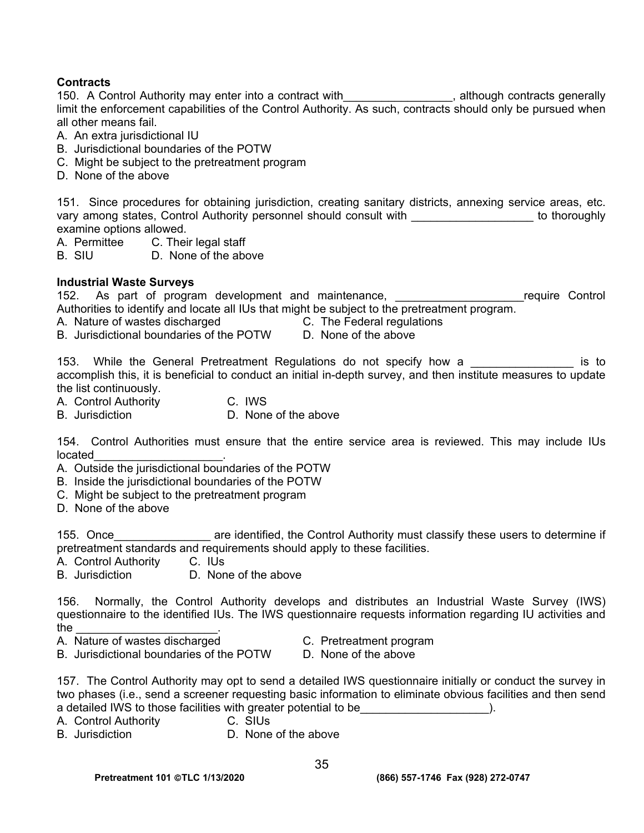#### **Contracts**

150. A Control Authority may enter into a contract with\_\_\_\_\_\_\_\_\_\_\_\_\_\_\_\_\_, although contracts generally limit the enforcement capabilities of the Control Authority. As such, contracts should only be pursued when all other means fail.

- A. An extra jurisdictional IU
- B. Jurisdictional boundaries of the POTW
- C. Might be subject to the pretreatment program
- D. None of the above

151. Since procedures for obtaining jurisdiction, creating sanitary districts, annexing service areas, etc. vary among states, Control Authority personnel should consult with \_\_\_\_\_\_\_\_\_\_\_\_\_\_\_\_\_\_\_\_ to thoroughly examine options allowed.

A. Permittee C. Their legal staff

B. SIU D. None of the above

#### **Industrial Waste Surveys**

152. As part of program development and maintenance, **we are all assets that the control** Authorities to identify and locate all IUs that might be subject to the pretreatment program.

- A. Nature of wastes discharged C. The Federal regulations
- B. Jurisdictional boundaries of the POTW D. None of the above

153. While the General Pretreatment Regulations do not specify how a \_\_\_\_\_\_\_\_\_\_\_\_\_\_\_\_ is to accomplish this, it is beneficial to conduct an initial in-depth survey, and then institute measures to update the list continuously.

- A. Control Authority C. IWS
- B. Jurisdiction **D. None of the above**

154. Control Authorities must ensure that the entire service area is reviewed. This may include IUs located\_\_\_\_\_\_\_\_\_\_\_\_\_\_\_\_\_\_\_\_.

- A. Outside the jurisdictional boundaries of the POTW
- B. Inside the jurisdictional boundaries of the POTW
- C. Might be subject to the pretreatment program
- D. None of the above

155. Once **the are identified, the Control Authority must classify these users to determine if** pretreatment standards and requirements should apply to these facilities.

A. Control Authority C. IUs

B. Jurisdiction D. None of the above

156. Normally, the Control Authority develops and distributes an Industrial Waste Survey (IWS) questionnaire to the identified IUs. The IWS questionnaire requests information regarding IU activities and the \_\_\_\_\_\_\_\_\_\_\_\_\_\_\_\_\_\_\_\_\_\_.

- A. Nature of wastes discharged C. Pretreatment program
	-
- B. Jurisdictional boundaries of the POTW D. None of the above
- 

157. The Control Authority may opt to send a detailed IWS questionnaire initially or conduct the survey in two phases (i.e., send a screener requesting basic information to eliminate obvious facilities and then send a detailed IWS to those facilities with greater potential to be  $\qquad \qquad$  ).

- A. Control Authority C. SIUs
- B. Jurisdiction D. None of the above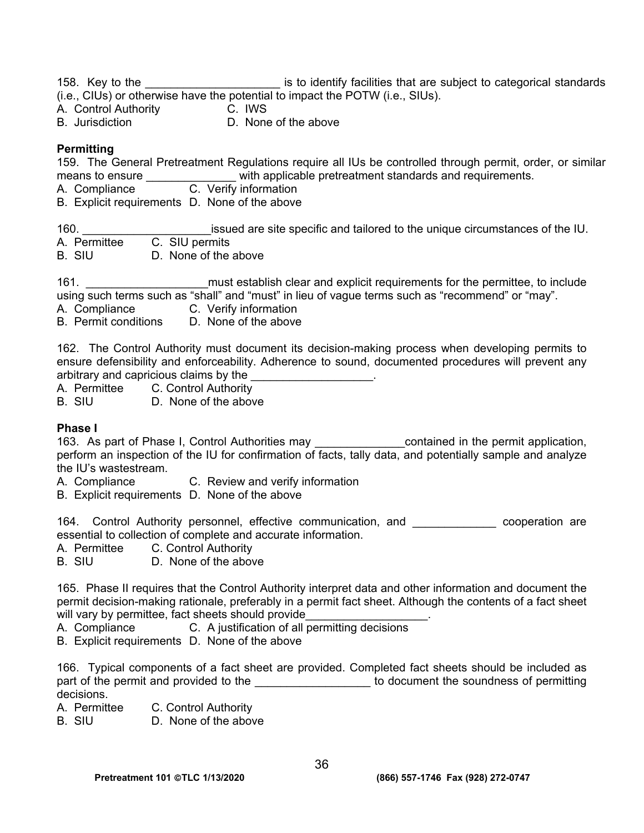- 158. Key to the \_\_\_\_\_\_\_\_\_\_\_\_\_\_\_\_\_\_\_\_\_ is to identify facilities that are subject to categorical standards (i.e., CIUs) or otherwise have the potential to impact the POTW (i.e., SIUs).
- A. Control Authority C. IWS
- B. Jurisdiction **D.** None of the above
- 

- **Permitting**
- 159. The General Pretreatment Regulations require all IUs be controlled through permit, order, or similar means to ensure **Example 20** with applicable pretreatment standards and requirements.
- A. Compliance **C.** Verify information
- B. Explicit requirements D. None of the above

160. \_\_\_\_\_\_\_\_\_\_\_\_\_\_\_\_\_\_\_\_issued are site specific and tailored to the unique circumstances of the IU. A. Permittee C. SIU permits

B. SIU D. None of the above

161. **Example 161.** Thust establish clear and explicit requirements for the permittee, to include using such terms such as "shall" and "must" in lieu of vague terms such as "recommend" or "may".

A. Compliance C. Verify information

B. Permit conditions D. None of the above

162. The Control Authority must document its decision-making process when developing permits to ensure defensibility and enforceability. Adherence to sound, documented procedures will prevent any arbitrary and capricious claims by the **with the set of the set of the set of the set of the set of the set of the set of the set of the set of the set of the set of the set of the set of the set of the set of the set of t** 

- A. Permittee C. Control Authority
- B. SIU D. None of the above

#### **Phase I**

163. As part of Phase I, Control Authorities may entremit application, the permit application, perform an inspection of the IU for confirmation of facts, tally data, and potentially sample and analyze the IU's wastestream.

- A. Compliance C. Review and verify information
- B. Explicit requirements D. None of the above

164. Control Authority personnel, effective communication, and **Example 20** cooperation are essential to collection of complete and accurate information.

- A. Permittee C. Control Authority
- B. SIU D. None of the above

165. Phase II requires that the Control Authority interpret data and other information and document the permit decision-making rationale, preferably in a permit fact sheet. Although the contents of a fact sheet will vary by permittee, fact sheets should provide

- A. Compliance C. A justification of all permitting decisions
- B. Explicit requirements D. None of the above

166. Typical components of a fact sheet are provided. Completed fact sheets should be included as part of the permit and provided to the <u>second of the soundness</u> of permitting decisions.

- A. Permittee C. Control Authority<br>B. SIU B. None of the above
- D. None of the above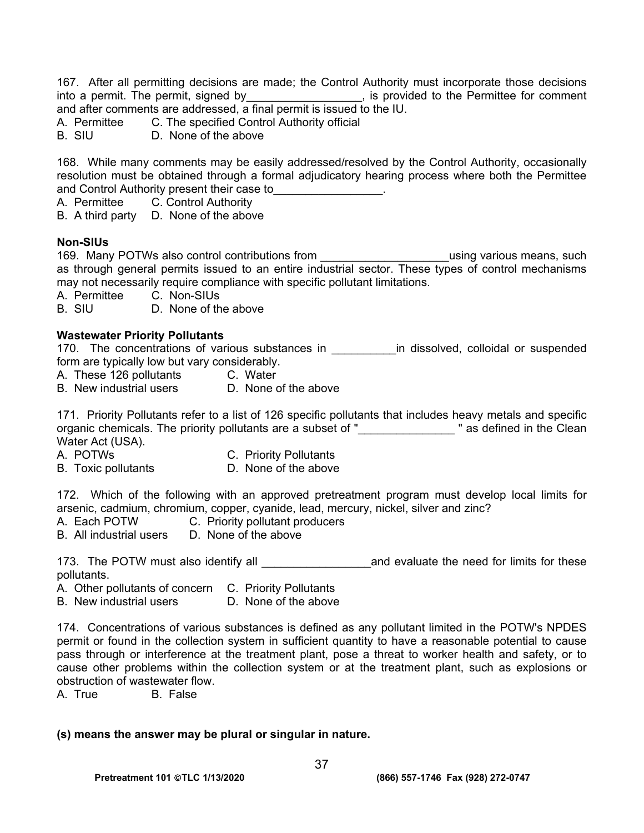167. After all permitting decisions are made; the Control Authority must incorporate those decisions into a permit. The permit, signed by *\_\_\_\_\_\_\_\_\_\_\_\_\_\_\_\_\_*, is provided to the Permittee for comment and after comments are addressed, a final permit is issued to the IU.

- A. Permittee C. The specified Control Authority official
- B. SIU D. None of the above

168. While many comments may be easily addressed/resolved by the Control Authority, occasionally resolution must be obtained through a formal adjudicatory hearing process where both the Permittee and Control Authority present their case to

A. Permittee C. Control Authority

B. A third party D. None of the above

# **Non-SIUs**

169. Many POTWs also control contributions from <u>equal to the subseting</u> various means, such as through general permits issued to an entire industrial sector. These types of control mechanisms may not necessarily require compliance with specific pollutant limitations.

A. Permittee C. Non-SIUs

B. SIU D. None of the above

# **Wastewater Priority Pollutants**

170. The concentrations of various substances in \_\_\_\_\_\_\_\_\_\_\_\_in dissolved, colloidal or suspended

form are typically low but vary considerably.<br>A. These 126 pollutants C. Water A. These 126 pollutants

B. New industrial users **D. None of the above** 

171. Priority Pollutants refer to a list of 126 specific pollutants that includes heavy metals and specific organic chemicals. The priority pollutants are a subset of "\_\_\_\_\_\_\_\_\_\_\_\_\_\_\_\_\_\_ " as defined in the Clean Water Act (USA).

- 
- A. POTWs C. Priority Pollutants
- B. Toxic pollutants D. None of the above

172. Which of the following with an approved pretreatment program must develop local limits for arsenic, cadmium, chromium, copper, cyanide, lead, mercury, nickel, silver and zinc?<br>A. Each POTW C. Priority pollutant producers

- C. Priority pollutant producers
- B. All industrial users D. None of the above

173. The POTW must also identify all **the set of the set of and evaluate the need for limits for these** pollutants.

- A. Other pollutants of concern C. Priority Pollutants
- B. New industrial users **D. None of the above**

174. Concentrations of various substances is defined as any pollutant limited in the POTW's NPDES permit or found in the collection system in sufficient quantity to have a reasonable potential to cause pass through or interference at the treatment plant, pose a threat to worker health and safety, or to cause other problems within the collection system or at the treatment plant, such as explosions or obstruction of wastewater flow.

A. True B. False

## **(s) means the answer may be plural or singular in nature.**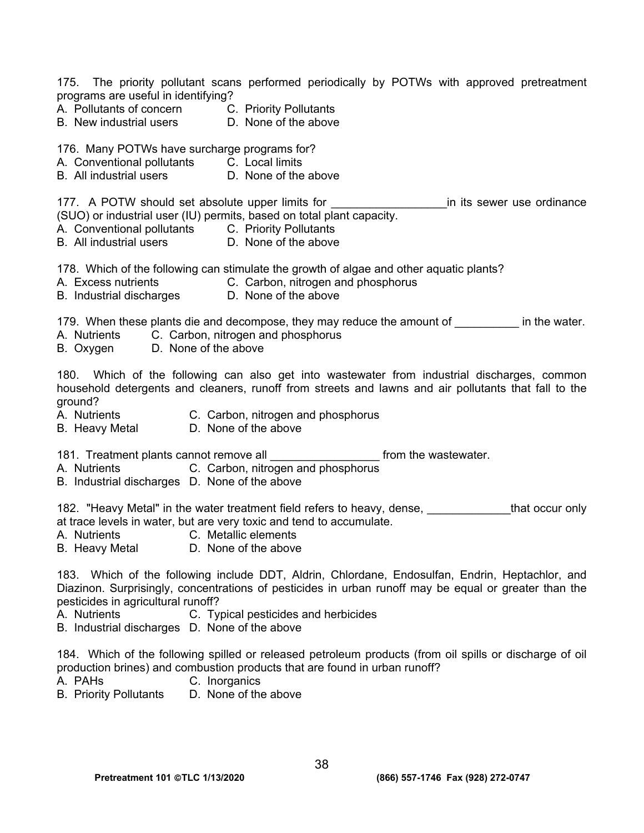175. The priority pollutant scans performed periodically by POTWs with approved pretreatment programs are useful in identifying?

- A. Pollutants of concern C. Priority Pollutants
- B. New industrial users **D. None of the above**

176. Many POTWs have surcharge programs for?

- A. Conventional pollutants C. Local limits
- B. All industrial users D. None of the above

177. A POTW should set absolute upper limits for the same of the sewer use ordinance (SUO) or industrial user (IU) permits, based on total plant capacity.

- A. Conventional pollutants C. Priority Pollutants
- B. All industrial users D. None of the above

178. Which of the following can stimulate the growth of algae and other aquatic plants?

- A. Excess nutrients **C. Carbon, nitrogen and phosphorus**
- B. Industrial discharges **D. None of the above**

179. When these plants die and decompose, they may reduce the amount of The Water.

- A. Nutrients C. Carbon, nitrogen and phosphorus
- B. Oxygen D. None of the above

180. Which of the following can also get into wastewater from industrial discharges, common household detergents and cleaners, runoff from streets and lawns and air pollutants that fall to the ground?

- A. Nutrients C. Carbon, nitrogen and phosphorus
- B. Heavy Metal D. None of the above
- 181. Treatment plants cannot remove all **constantly accordent** from the wastewater.
- A. Nutrients C. Carbon, nitrogen and phosphorus
- B. Industrial discharges D. None of the above

182. "Heavy Metal" in the water treatment field refers to heavy, dense, we can experiment occur only at trace levels in water, but are very toxic and tend to accumulate.

- A. Nutrients C. Metallic elements
- B. Heavy Metal D. None of the above

183. Which of the following include DDT, Aldrin, Chlordane, Endosulfan, Endrin, Heptachlor, and Diazinon. Surprisingly, concentrations of pesticides in urban runoff may be equal or greater than the pesticides in agricultural runoff?

- A. Nutrients C. Typical pesticides and herbicides
- B. Industrial discharges D. None of the above

184. Which of the following spilled or released petroleum products (from oil spills or discharge of oil production brines) and combustion products that are found in urban runoff?

- A. PAHs C. Inorganics
- B. Priority Pollutants D. None of the above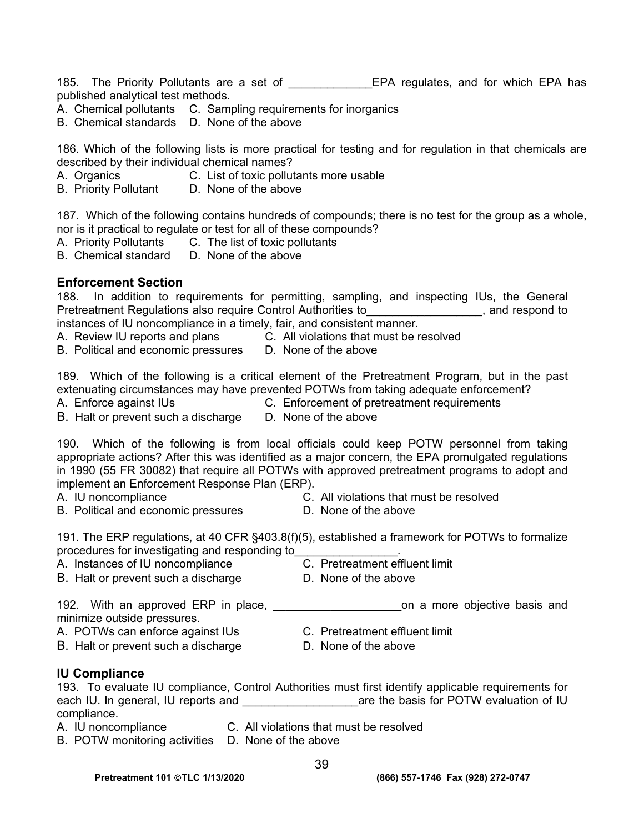185. The Priority Pollutants are a set of \_\_\_\_\_\_\_\_\_\_\_\_\_\_EPA regulates, and for which EPA has published analytical test methods.

- A. Chemical pollutants C. Sampling requirements for inorganics
- B. Chemical standards D. None of the above

186. Which of the following lists is more practical for testing and for regulation in that chemicals are described by their individual chemical names?

- A. Organics C. List of toxic pollutants more usable
- B. Priority Pollutant D. None of the above

187. Which of the following contains hundreds of compounds; there is no test for the group as a whole, nor is it practical to regulate or test for all of these compounds?

- A. Priority Pollutants C. The list of toxic pollutants
- B. Chemical standard D. None of the above

#### **Enforcement Section**

188. In addition to requirements for permitting, sampling, and inspecting IUs, the General Pretreatment Regulations also require Control Authorities to\_\_\_\_\_\_\_\_\_\_\_\_\_\_\_\_\_, and respond to instances of IU noncompliance in a timely, fair, and consistent manner.

- A. Review IU reports and plans C. All violations that must be resolved
- B. Political and economic pressures D. None of the above

189. Which of the following is a critical element of the Pretreatment Program, but in the past extenuating circumstances may have prevented POTWs from taking adequate enforcement?

- 
- A. Enforce against IUs C. Enforcement of pretreatment requirements
- B. Halt or prevent such a discharge D. None of the above

190. Which of the following is from local officials could keep POTW personnel from taking appropriate actions? After this was identified as a major concern, the EPA promulgated regulations in 1990 (55 FR 30082) that require all POTWs with approved pretreatment programs to adopt and implement an Enforcement Response Plan (ERP).

- 
- B. Political and economic pressures **D. None of the above**
- A. IU noncompliance **C.** All violations that must be resolved
	-

191. The ERP regulations, at 40 CFR §403.8(f)(5), established a framework for POTWs to formalize procedures for investigating and responding to\_\_\_\_\_\_\_\_\_\_

- A. Instances of IU noncompliance **C. Pretreatment effluent limit**
- B. Halt or prevent such a discharge **D. None of the above**
- -

192. With an approved ERP in place, \_\_\_\_\_\_\_\_\_\_\_\_\_\_\_\_\_\_\_\_\_\_\_\_on a more objective basis and minimize outside pressures.

- A. POTWs can enforce against IUs C. Pretreatment effluent limit
- B. Halt or prevent such a discharge D. None of the above
- -

#### **IU Compliance**

193. To evaluate IU compliance, Control Authorities must first identify applicable requirements for each IU. In general, IU reports and \_\_\_\_\_\_\_\_\_\_\_\_\_\_\_\_\_\_are the basis for POTW evaluation of IU compliance.

- A. IU noncompliance C. All violations that must be resolved
- B. POTW monitoring activities D. None of the above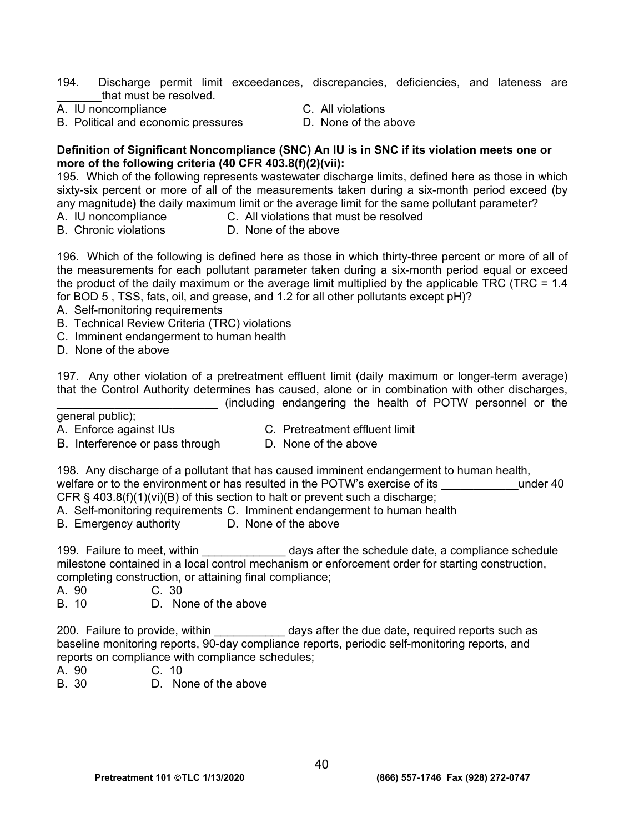- 194. Discharge permit limit exceedances, discrepancies, deficiencies, and lateness are that must be resolved.
- A. IU noncompliance C. All violations
- B. Political and economic pressures D. None of the above
- 
- 

#### **Definition of Significant Noncompliance (SNC) An IU is in SNC if its violation meets one or more of the following criteria (40 CFR 403.8(f)(2)(vii):**

195. Which of the following represents wastewater discharge limits, defined here as those in which sixty-six percent or more of all of the measurements taken during a six-month period exceed (by any magnitude**)** the daily maximum limit or the average limit for the same pollutant parameter?

- A. IU noncompliance C. All violations that must be resolved
- 
- B. Chronic violations D. None of the above

196. Which of the following is defined here as those in which thirty-three percent or more of all of the measurements for each pollutant parameter taken during a six-month period equal or exceed the product of the daily maximum or the average limit multiplied by the applicable TRC (TRC  $= 1.4$ ) for BOD 5 , TSS, fats, oil, and grease, and 1.2 for all other pollutants except pH)?

- A. Self-monitoring requirements
- B. Technical Review Criteria (TRC) violations
- C. Imminent endangerment to human health
- D. None of the above

197. Any other violation of a pretreatment effluent limit (daily maximum or longer-term average) that the Control Authority determines has caused, alone or in combination with other discharges,

general public);

\_\_\_\_\_\_\_\_\_\_\_\_\_\_\_\_\_\_\_\_\_\_\_\_\_ (including endangering the health of POTW personnel or the

- A. Enforce against IUs **C. Pretreatment effluent limit**
- B. Interference or pass through D. None of the above
- 

198. Any discharge of a pollutant that has caused imminent endangerment to human health, welfare or to the environment or has resulted in the POTW's exercise of its **welfare** or to the environment or has resulted in the POTW's exercise of its CFR § 403.8(f)(1)(vi)(B) of this section to halt or prevent such a discharge;

- A. Self-monitoring requirements C. Imminent endangerment to human health
- B. Emergency authority **D.** None of the above

199. Failure to meet, within **the set of the schedule date** a compliance schedule date, a compliance schedule milestone contained in a local control mechanism or enforcement order for starting construction, completing construction, or attaining final compliance;

- A. 90 C. 30
- B 10 D. None of the above

200. Failure to provide, within **the contract of the same days after the due date**, required reports such as baseline monitoring reports, 90-day compliance reports, periodic self-monitoring reports, and reports on compliance with compliance schedules;

- A. 90 C. 10
- B. 30 D. None of the above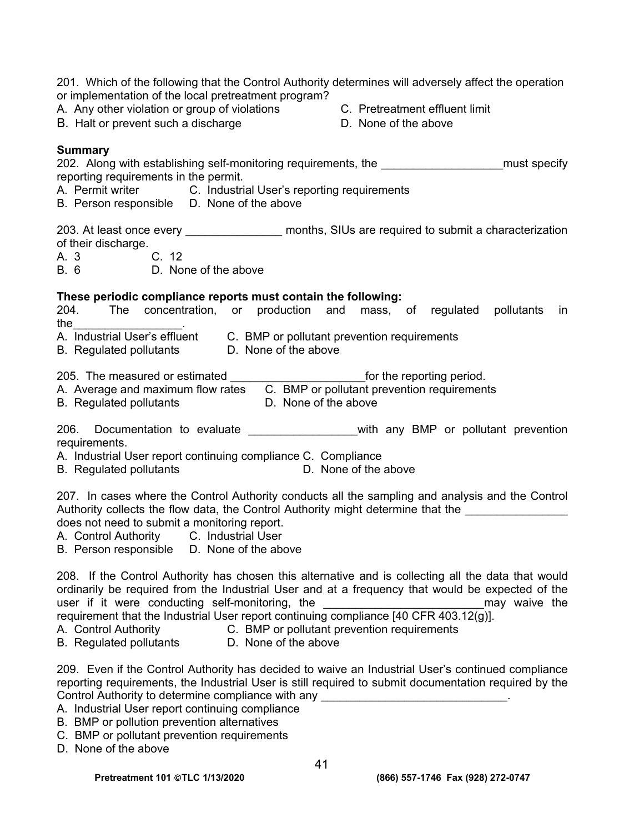|                                                 | 201. Which of the following that the Control Authority determines will adversely affect the operation<br>or implementation of the local pretreatment program?<br>A. Any other violation or group of violations<br>B. Halt or prevent such a discharge                                                                         |                      | C. Pretreatment effluent limit<br>D. None of the above |    |
|-------------------------------------------------|-------------------------------------------------------------------------------------------------------------------------------------------------------------------------------------------------------------------------------------------------------------------------------------------------------------------------------|----------------------|--------------------------------------------------------|----|
| <b>Summary</b>                                  | 202. Along with establishing self-monitoring requirements, the _________________________must specify<br>reporting requirements in the permit.<br>A. Permit writer C. Industrial User's reporting requirements<br>B. Person responsible D. None of the above                                                                   |                      |                                                        |    |
| of their discharge.                             | 203. At least once every ________________ months, SIUs are required to submit a characterization<br>C. 12<br>A. 3 C. 12<br>B. 6 D. None of the above                                                                                                                                                                          |                      |                                                        |    |
| 204.<br>the_____________________                | These periodic compliance reports must contain the following:<br>The concentration, or production and mass, of regulated pollutants<br>A. Industrial User's effluent C. BMP or pollutant prevention requirements<br>B. Regulated pollutants  D. None of the above                                                             |                      |                                                        | in |
| <b>B.</b> Regulated pollutants                  | 205. The measured or estimated __________________________________for the reporting period.<br>A. Average and maximum flow rates C. BMP or pollutant prevention requirements                                                                                                                                                   | D. None of the above |                                                        |    |
| requirements.<br><b>B.</b> Regulated pollutants | 206. Documentation to evaluate __________________with any BMP or pollutant prevention<br>A. Industrial User report continuing compliance C. Compliance                                                                                                                                                                        |                      | D. None of the above                                   |    |
|                                                 | 207. In cases where the Control Authority conducts all the sampling and analysis and the Control<br>Authority collects the flow data, the Control Authority might determine that the<br>does not need to submit a monitoring report.<br>A. Control Authority C. Industrial User<br>B. Person responsible D. None of the above |                      |                                                        |    |
|                                                 | 208. If the Control Authority has chosen this alternative and is collecting all the data that would<br>ordinarily be required from the Industrial User and at a frequency that would be expected of the                                                                                                                       |                      |                                                        |    |

user if it were conducting self-monitoring, the **weakler and the manual conduction** may waive the

requirement that the Industrial User report continuing compliance [40 CFR 403.12(g)]. A. Control Authority C. BMP or pollutant prevention requirements

- 
- B. Regulated pollutants D. None of the above

209. Even if the Control Authority has decided to waive an Industrial User's continued compliance reporting requirements, the Industrial User is still required to submit documentation required by the Control Authority to determine compliance with any

- A. Industrial User report continuing compliance
- B. BMP or pollution prevention alternatives
- C. BMP or pollutant prevention requirements
- D. None of the above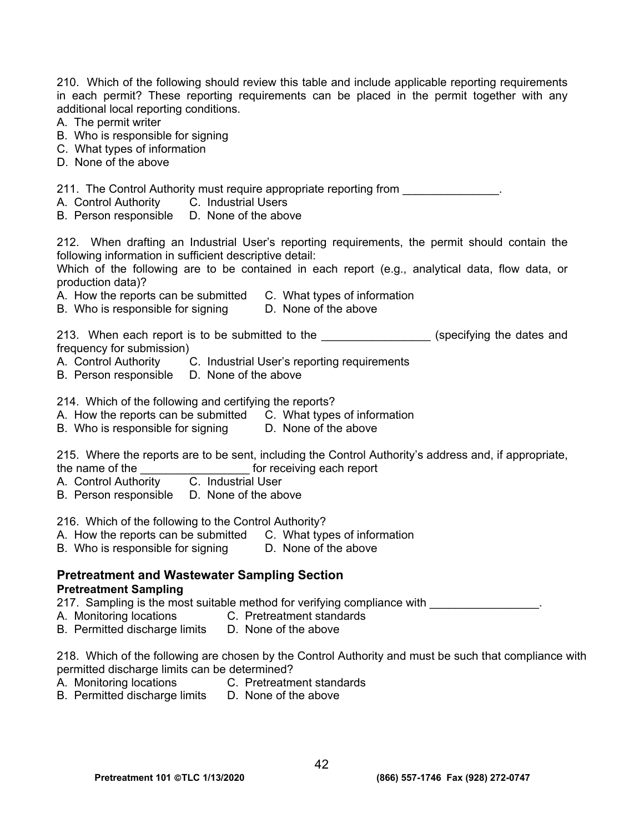210. Which of the following should review this table and include applicable reporting requirements in each permit? These reporting requirements can be placed in the permit together with any additional local reporting conditions.

- A. The permit writer
- B. Who is responsible for signing
- C. What types of information
- D. None of the above

211. The Control Authority must require appropriate reporting from **Exercise 211.** 

- A. Control Authority C. Industrial Users
- B. Person responsible D. None of the above

212. When drafting an Industrial User's reporting requirements, the permit should contain the following information in sufficient descriptive detail:

Which of the following are to be contained in each report (e.g., analytical data, flow data, or production data)?

- A. How the reports can be submitted C. What types of information
- 
- B. Who is responsible for signing D. None of the above

213. When each report is to be submitted to the **Example 213.** (specifying the dates and frequency for submission)

- A. Control Authority C. Industrial User's reporting requirements
- B. Person responsible D. None of the above

214. Which of the following and certifying the reports?

- A. How the reports can be submitted C. What types of information
- B. Who is responsible for signing D. None of the above

215. Where the reports are to be sent, including the Control Authority's address and, if appropriate,

the name of the the settle state of the settle state of the settle state of the settle state of the set of the set of the set of the set of the set of the set of the set of the set of the set of the set of the set of the s

A. Control Authority C. Industrial User

B. Person responsible D. None of the above

216. Which of the following to the Control Authority?

A. How the reports can be submitted C. What types of information

B. Who is responsible for signing D. None of the above

## **Pretreatment and Wastewater Sampling Section Pretreatment Sampling**

- 217. Sampling is the most suitable method for verifying compliance with  $\blacksquare$
- A. Monitoring locations C. Pretreatment standards
- B. Permitted discharge limits D. None of the above

218. Which of the following are chosen by the Control Authority and must be such that compliance with permitted discharge limits can be determined?

- A. Monitoring locations C. Pretreatment standards
- B. Permitted discharge limits D. None of the above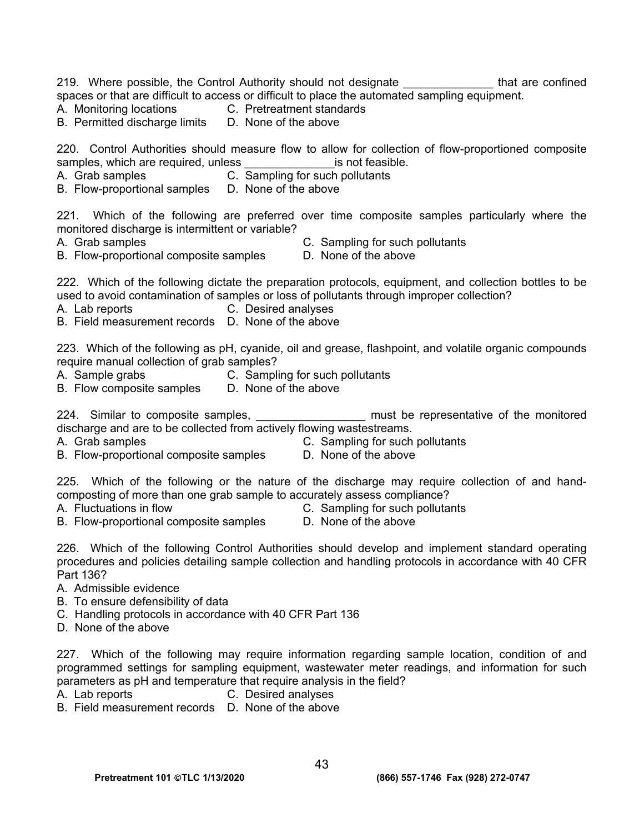219. Where possible, the Control Authority should not designate \_\_\_\_\_\_\_\_\_\_\_\_\_\_ that are confined spaces or that are difficult to access or difficult to place the automated sampling equipment.

- A. Monitoring locations C. Pretreatment standards
- B. Permitted discharge limits D. None of the above

220. Control Authorities should measure flow to allow for collection of flow-proportioned composite samples, which are required, unless **Examples** is not feasible.

- A. Grab samples C. Sampling for such pollutants
- B. Flow-proportional samples D. None of the above

221. Which of the following are preferred over time composite samples particularly where the monitored discharge is intermittent or variable?

- 
- A. Grab samples C. Sampling for such pollutants B. Flow-proportional composite samples D. None of the above

222. Which of the following dictate the preparation protocols, equipment, and collection bottles to be used to avoid contamination of samples or loss of pollutants through improper collection?

- A. Lab reports C. Desired analyses
- B. Field measurement records D. None of the above

223. Which of the following as pH, cyanide, oil and grease, flashpoint, and volatile organic compounds require manual collection of grab samples?

- A. Sample grabs C. Sampling for such pollutants
- B. Flow composite samples D. None of the above

224. Similar to composite samples, the monomust be representative of the monitored discharge and are to be collected from actively flowing wastestreams.

- 
- B. Flow-proportional composite samples D. None of the above
- A. Grab samples C. Sampling for such pollutants
	-

225. Which of the following or the nature of the discharge may require collection of and handcomposting of more than one grab sample to accurately assess compliance?

- 
- A. Fluctuations in flow  $\begin{array}{ccc} \textsf{C} & \textsf{Sampling} \text{ for such pollutants} \\ \textsf{B} & \textsf{Flow-proportional composite samples} & \textsf{D} & \textsf{None} \text{ of the above} \end{array}$ B. Flow-proportional composite samples
	-

226. Which of the following Control Authorities should develop and implement standard operating procedures and policies detailing sample collection and handling protocols in accordance with 40 CFR Part 136?

- A. Admissible evidence
- B. To ensure defensibility of data
- C. Handling protocols in accordance with 40 CFR Part 136
- D. None of the above

227. Which of the following may require information regarding sample location, condition of and programmed settings for sampling equipment, wastewater meter readings, and information for such parameters as pH and temperature that require analysis in the field?

- A. Lab reports C. Desired analyses
- B. Field measurement records D. None of the above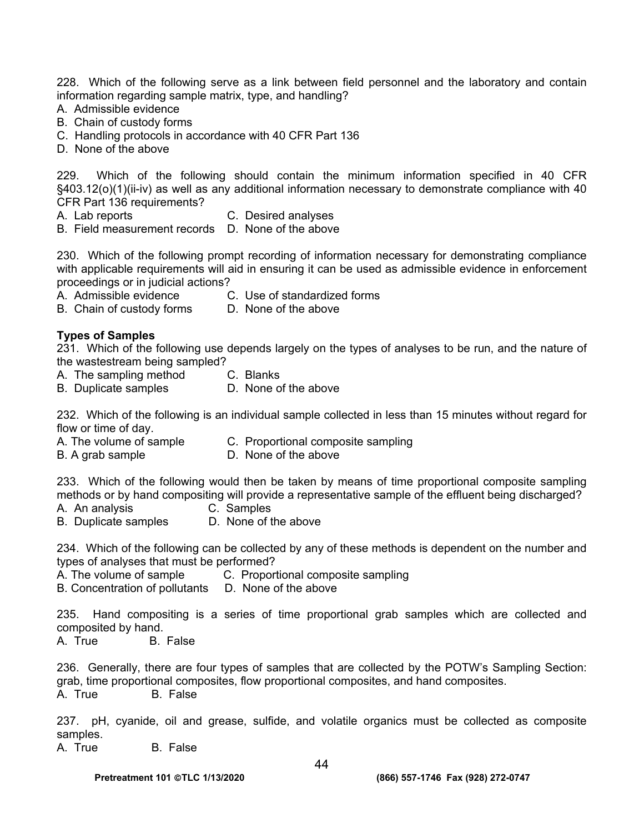228. Which of the following serve as a link between field personnel and the laboratory and contain information regarding sample matrix, type, and handling?

- A. Admissible evidence
- B. Chain of custody forms
- C. Handling protocols in accordance with 40 CFR Part 136
- D. None of the above

229. Which of the following should contain the minimum information specified in 40 CFR §403.12(o)(1)(ii-iv) as well as any additional information necessary to demonstrate compliance with 40 CFR Part 136 requirements?

- 
- A. Lab reports C. Desired analyses B. Field measurement records D. None of the above
- 230. Which of the following prompt recording of information necessary for demonstrating compliance

with applicable requirements will aid in ensuring it can be used as admissible evidence in enforcement proceedings or in judicial actions?

- A. Admissible evidence C. Use of standardized forms
	-
- B. Chain of custody forms D. None of the above

## **Types of Samples**

231. Which of the following use depends largely on the types of analyses to be run, and the nature of the wastestream being sampled?

- A. The sampling method C. Blanks
- B. Duplicate samples D. None of the above

232. Which of the following is an individual sample collected in less than 15 minutes without regard for flow or time of day.

- A. The volume of sample C. Proportional composite sampling
- B. A grab sample D. None of the above

233. Which of the following would then be taken by means of time proportional composite sampling methods or by hand compositing will provide a representative sample of the effluent being discharged?

- 
- A. An analysis **C. Samples**<br>B. Duplicate samples **C. None of the above** B. Duplicate samples

234. Which of the following can be collected by any of these methods is dependent on the number and types of analyses that must be performed?

- A. The volume of sample C. Proportional composite sampling
- B. Concentration of pollutants D. None of the above

235. Hand compositing is a series of time proportional grab samples which are collected and composited by hand.

A. True B. False

236. Generally, there are four types of samples that are collected by the POTW's Sampling Section: grab, time proportional composites, flow proportional composites, and hand composites. B. False

237. pH, cyanide, oil and grease, sulfide, and volatile organics must be collected as composite samples.

A. True B. False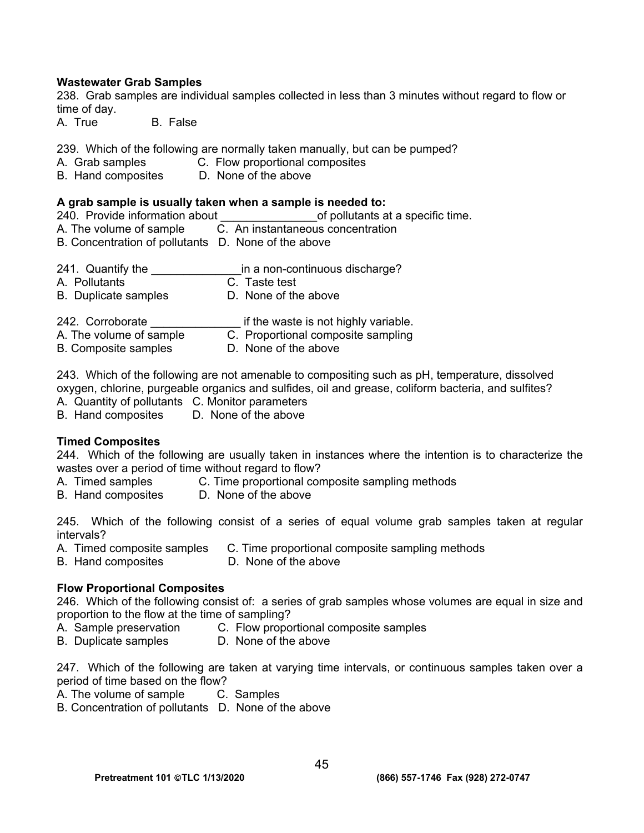#### **Wastewater Grab Samples**

238. Grab samples are individual samples collected in less than 3 minutes without regard to flow or time of day.

A. True B. False

239. Which of the following are normally taken manually, but can be pumped?

- A. Grab samples **C.** Flow proportional composites
- B. Hand composites D. None of the above

#### **A grab sample is usually taken when a sample is needed to:**

240. Provide information about **the contract of pollutants at a specific time.** 

- A. The volume of sample  $\overline{C}$ . An instantaneous concentration
- B. Concentration of pollutants D. None of the above
- 241. Quantify the **Example 241.** Continuous discharge?
- A. Pollutants C. Taste test
- B. Duplicate samples D. None of the above
- 242. Corroborate \_\_\_\_\_\_\_\_\_\_\_\_\_\_\_\_\_ if the waste is not highly variable.
- A. The volume of sample C. Proportional composite sampling
- B. Composite samples D. None of the above

243. Which of the following are not amenable to compositing such as pH, temperature, dissolved oxygen, chlorine, purgeable organics and sulfides, oil and grease, coliform bacteria, and sulfites?

A. Quantity of pollutants C. Monitor parameters

B. Hand composites D. None of the above

## **Timed Composites**

244. Which of the following are usually taken in instances where the intention is to characterize the wastes over a period of time without regard to flow?

- A. Timed samples C. Time proportional composite sampling methods
- B. Hand composites D. None of the above

245. Which of the following consist of a series of equal volume grab samples taken at regular intervals?

- A. Timed composite samples C. Time proportional composite sampling methods
- B. Hand composites **D.** None of the above

## **Flow Proportional Composites**

246. Which of the following consist of: a series of grab samples whose volumes are equal in size and proportion to the flow at the time of sampling?

- A. Sample preservation C. Flow proportional composite samples
- B. Duplicate samples D. None of the above

247. Which of the following are taken at varying time intervals, or continuous samples taken over a period of time based on the flow?<br>A. The volume of sample C. Samples

- A. The volume of sample
- B. Concentration of pollutants D. None of the above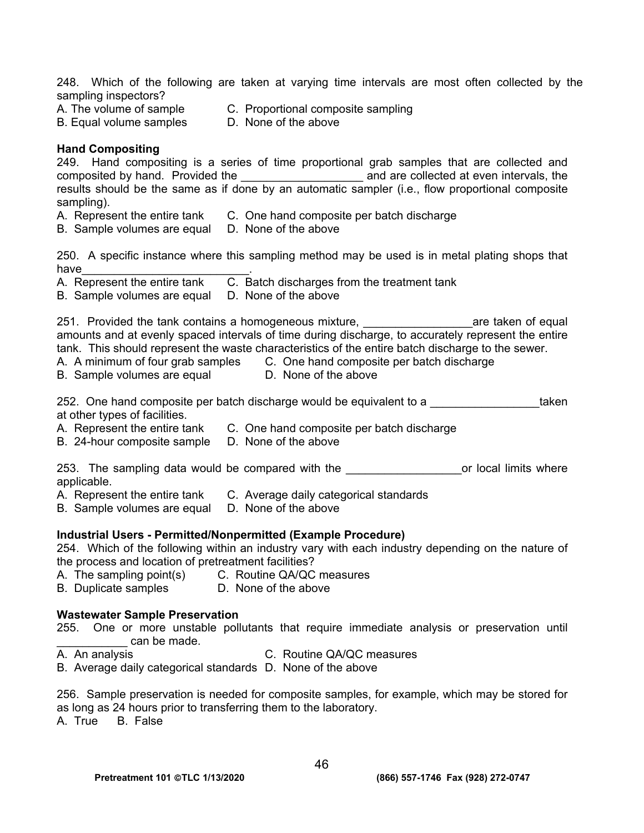248. Which of the following are taken at varying time intervals are most often collected by the sampling inspectors?

- A. The volume of sample C. Proportional composite sampling<br>B. Equal volume samples D. None of the above B. Equal volume samples
	-
- **Hand Compositing**

249. Hand compositing is a series of time proportional grab samples that are collected and composited by hand. Provided the **Example 20** and are collected at even intervals, the results should be the same as if done by an automatic sampler (i.e., flow proportional composite sampling).

- A. Represent the entire tank C. One hand composite per batch discharge
- B. Sample volumes are equal D. None of the above

250. A specific instance where this sampling method may be used is in metal plating shops that have\_\_\_\_\_\_\_\_\_\_\_\_\_\_\_\_\_\_\_\_\_\_\_\_\_\_.

A. Represent the entire tank C. Batch discharges from the treatment tank

B. Sample volumes are equal D. None of the above

251. Provided the tank contains a homogeneous mixture, **with the example of the example of equal** amounts and at evenly spaced intervals of time during discharge, to accurately represent the entire tank. This should represent the waste characteristics of the entire batch discharge to the sewer.

- A. A minimum of four grab samples C. One hand composite per batch discharge
- B. Sample volumes are equal D. None of the above
- 

252. One hand composite per batch discharge would be equivalent to a **Theoret Composite** taken at other types of facilities.

- A. Represent the entire tank C. One hand composite per batch discharge
- B. 24-hour composite sample D. None of the above

253. The sampling data would be compared with the **compact and the compact of the sampling** or local limits where applicable.

- A. Represent the entire tank C. Average daily categorical standards
- B. Sample volumes are equal D. None of the above

#### **Industrial Users - Permitted/Nonpermitted (Example Procedure)**

254. Which of the following within an industry vary with each industry depending on the nature of the process and location of pretreatment facilities?

- A. The sampling point(s) C. Routine QA/QC measures
- B. Duplicate samples D. None of the above

#### **Wastewater Sample Preservation**

255. One or more unstable pollutants that require immediate analysis or preservation until can be made.

- A. An analysis **C. Routine QA/QC measures**
- B. Average daily categorical standards D. None of the above

256. Sample preservation is needed for composite samples, for example, which may be stored for as long as 24 hours prior to transferring them to the laboratory.

A. True B. False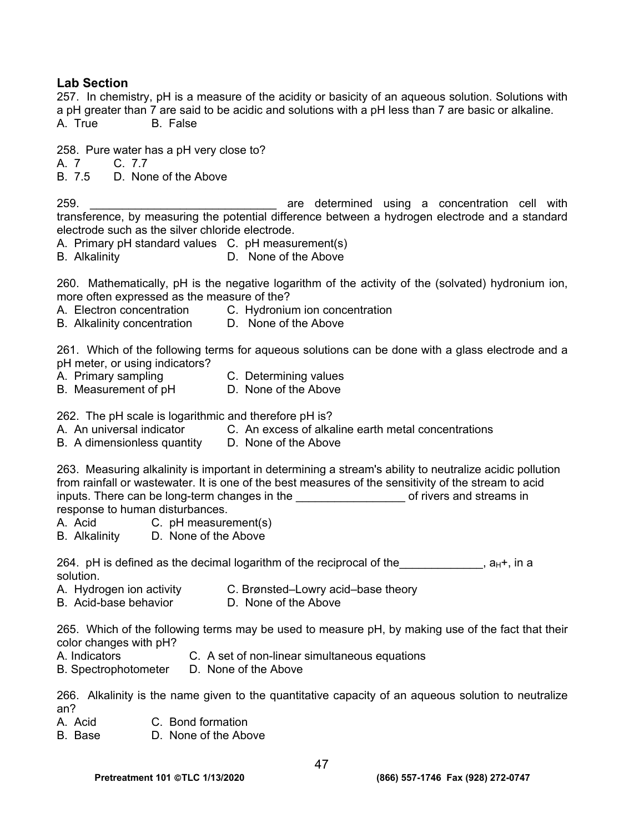# **Lab Section**

257. In chemistry, pH is a measure of the acidity or basicity of an aqueous solution. Solutions with a pH greater than 7 are said to be acidic and solutions with a pH less than 7 are basic or alkaline. A. True B. False

258. Pure water has a pH very close to?

A. 7 C. 7.7

B. 7.5 D. None of the Above

259. \_\_\_\_\_\_\_\_\_\_\_\_\_\_\_\_\_\_\_\_\_\_\_\_\_\_\_\_\_ are determined using a concentration cell with transference, by measuring the potential difference between a hydrogen electrode and a standard electrode such as the silver chloride electrode.

A. Primary pH standard values C. pH measurement(s)

B. Alkalinity D. None of the Above

260. Mathematically, pH is the negative logarithm of the activity of the (solvated) hydronium ion, more often expressed as the measure of the?

- A. Electron concentration C. Hydronium ion concentration
- B. Alkalinity concentration D. None of the Above

261. Which of the following terms for aqueous solutions can be done with a glass electrode and a pH meter, or using indicators?

- 
- A. Primary sampling C. Determining values
- B. Measurement of pH D. None of the Above

262. The pH scale is logarithmic and therefore pH is?

- A. An universal indicator C. An excess of alkaline earth metal concentrations
- B. A dimensionless quantity D. None of the Above

263. Measuring alkalinity is important in determining a stream's ability to neutralize acidic pollution from rainfall or wastewater. It is one of the best measures of the sensitivity of the stream to acid inputs. There can be long-term changes in the the state of rivers and streams in response to human disturbances.

- A. Acid C. pH measurement(s)
- B. Alkalinity D. None of the Above

264. pH is defined as the decimal logarithm of the reciprocal of the  $a_{H^+}$ , in a solution.

- A. Hydrogen ion activity C. Brønsted–Lowry acid–base theory
- B. Acid-base behavior **D. None of the Above**

265. Which of the following terms may be used to measure pH, by making use of the fact that their color changes with pH?

- A. Indicators C. A set of non-linear simultaneous equations
- B. Spectrophotometer D. None of the Above

266. Alkalinity is the name given to the quantitative capacity of an aqueous solution to neutralize an?

A. Acid C. Bond formation

B. Base D. None of the Above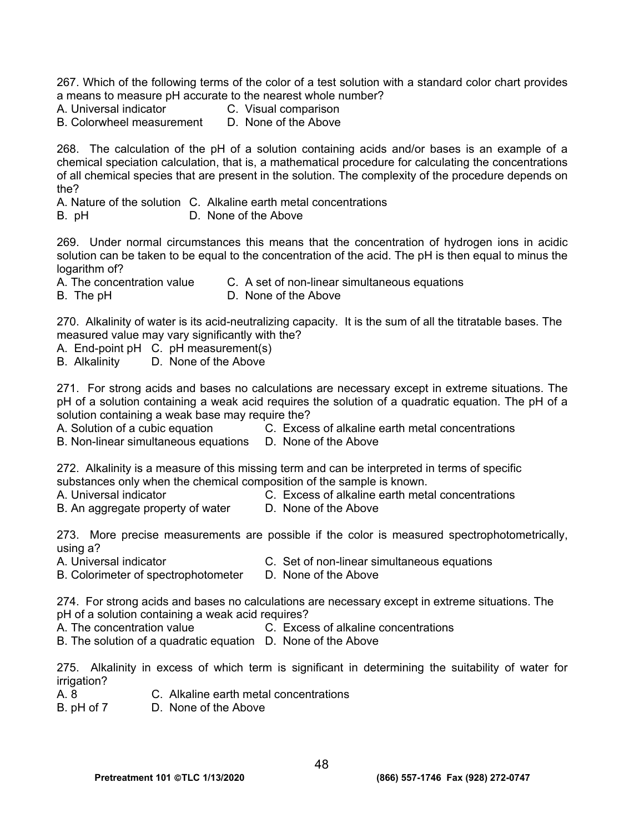267. Which of the following terms of the color of a test solution with a standard color chart provides a means to measure pH accurate to the nearest whole number?

- A. Universal indicator C. Visual comparison
	-
- B. Colorwheel measurement D. None of the Above

268. The calculation of the pH of a solution containing acids and/or bases is an example of a chemical speciation calculation, that is, a mathematical procedure for calculating the concentrations of all chemical species that are present in the solution. The complexity of the procedure depends on the?

A. Nature of the solution C. Alkaline earth metal concentrations

B. pH **D. None of the Above** 

269. Under normal circumstances this means that the concentration of hydrogen ions in acidic solution can be taken to be equal to the concentration of the acid. The pH is then equal to minus the logarithm of?

A. The concentration value C. A set of non-linear simultaneous equations

B. The pH **D. None of the Above** 

270. Alkalinity of water is its acid-neutralizing capacity. It is the sum of all the titratable bases. The measured value may vary significantly with the?

- A. End-point pH C. pH measurement(s)
- B. Alkalinity D. None of the Above

271. For strong acids and bases no calculations are necessary except in extreme situations. The pH of a solution containing a weak acid requires the solution of a quadratic equation. The pH of a solution containing a weak base may require the?

A. Solution of a cubic equation C. Excess of alkaline earth metal concentrations

B. Non-linear simultaneous equations D. None of the Above

272. Alkalinity is a measure of this missing term and can be interpreted in terms of specific substances only when the chemical composition of the sample is known.

- A. Universal indicator C. Excess of alkaline earth metal concentrations
- B. An aggregate property of water D. None of the Above

273. More precise measurements are possible if the color is measured spectrophotometrically, using a?

- A. Universal indicator C. Set of non-linear simultaneous equations
- B. Colorimeter of spectrophotometer D. None of the Above

274. For strong acids and bases no calculations are necessary except in extreme situations. The pH of a solution containing a weak acid requires?

A. The concentration value C. Excess of alkaline concentrations

B. The solution of a quadratic equation D. None of the Above

275. Alkalinity in excess of which term is significant in determining the suitability of water for irrigation?

A. 8 C. Alkaline earth metal concentrations

B. pH of 7D. None of the Above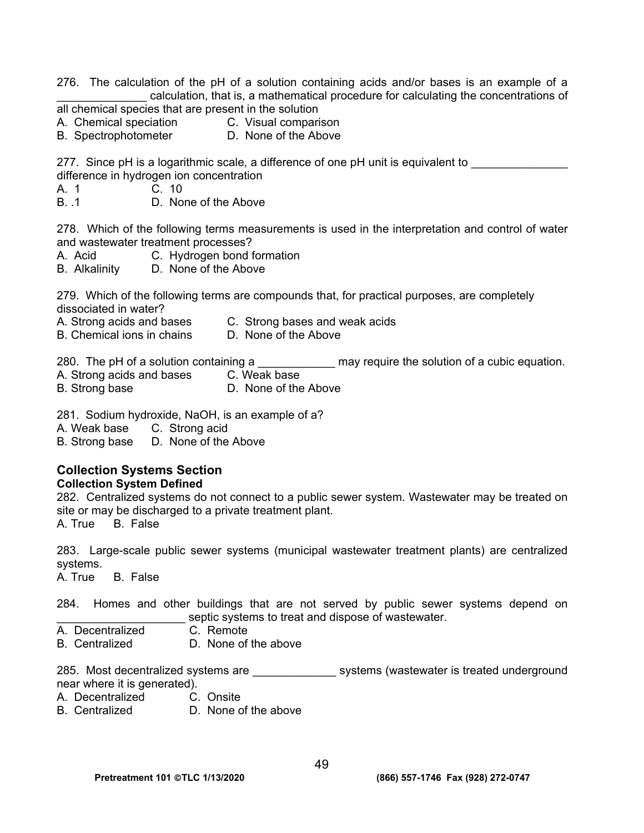- 276. The calculation of the pH of a solution containing acids and/or bases is an example of a \_\_\_\_\_\_\_\_\_\_\_\_\_\_ calculation, that is, a mathematical procedure for calculating the concentrations of
- all chemical species that are present in the solution
- A. Chemical speciation C. Visual comparison<br>B. Spectrophotometer D. None of the Above
- B. Spectrophotometer

277. Since pH is a logarithmic scale, a difference of one pH unit is equivalent to

- difference in hydrogen ion concentration
- A. 1 C. 10
- B. .1 D. None of the Above

278. Which of the following terms measurements is used in the interpretation and control of water and wastewater treatment processes?

- A. Acid C. Hydrogen bond formation
- B. Alkalinity D. None of the Above

279. Which of the following terms are compounds that, for practical purposes, are completely dissociated in water?

- A. Strong acids and bases C. Strong bases and weak acids
- B. Chemical ions in chains D. None of the Above

280. The pH of a solution containing a \_\_\_\_\_\_\_\_\_\_\_\_\_\_ may require the solution of a cubic equation.

- A. Strong acids and bases C. Weak base
- B. Strong base D. None of the Above

281. Sodium hydroxide, NaOH, is an example of a?

A. Weak base C. Strong acid

B. Strong base D. None of the Above

# **Collection Systems Section**

## **Collection System Defined**

282. Centralized systems do not connect to a public sewer system. Wastewater may be treated on site or may be discharged to a private treatment plant.

A. True B. False

283. Large-scale public sewer systems (municipal wastewater treatment plants) are centralized systems.

A. True B. False

284. Homes and other buildings that are not served by public sewer systems depend on septic systems to treat and dispose of wastewater.

- A. Decentralized C. Remote
- B. Centralized D. None of the above

285. Most decentralized systems are **Example 285. Most decentralized systems** systems (wastewater is treated underground near where it is generated).

- A. Decentralized C. Onsite
- B. Centralized D. None of the above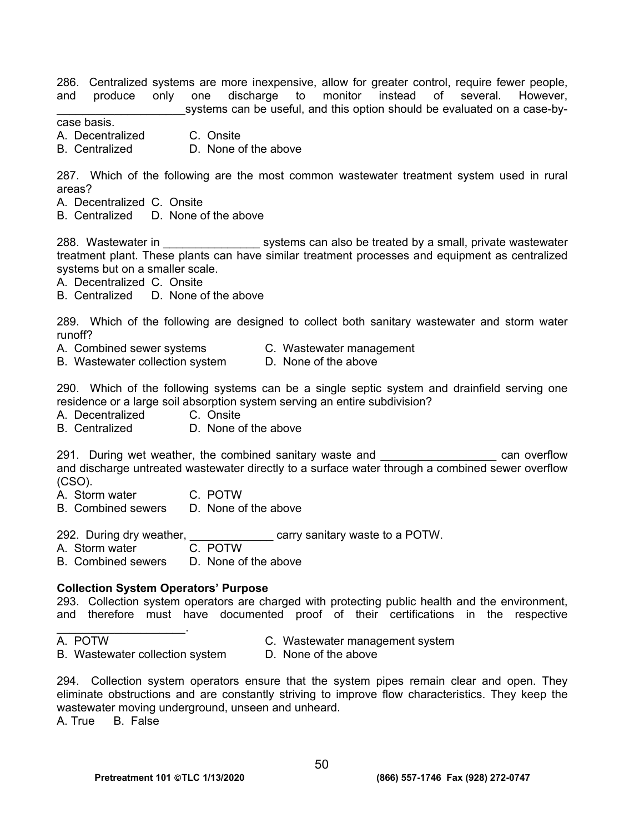286. Centralized systems are more inexpensive, allow for greater control, require fewer people, and produce only one discharge to monitor instead of several. However, systems can be useful, and this option should be evaluated on a case-by-

case basis.

A. Decentralized C. Onsite

B. Centralized D. None of the above

287. Which of the following are the most common wastewater treatment system used in rural areas?

- A. Decentralized C. Onsite
- B. Centralized D. None of the above

288. Wastewater in **Example 3 systems can also be treated by a small, private wastewater** treatment plant. These plants can have similar treatment processes and equipment as centralized systems but on a smaller scale.

- A. Decentralized C. Onsite
- B. Centralized D. None of the above

289. Which of the following are designed to collect both sanitary wastewater and storm water runoff?

- A. Combined sewer systems C. Wastewater management
- B. Wastewater collection system D. None of the above

290. Which of the following systems can be a single septic system and drainfield serving one residence or a large soil absorption system serving an entire subdivision?

- A. Decentralized C. Onsite
- B. Centralized D. None of the above

291. During wet weather, the combined sanitary waste and \_\_\_\_\_\_\_\_\_\_\_\_\_\_\_\_\_\_\_\_\_ can overflow and discharge untreated wastewater directly to a surface water through a combined sewer overflow (CSO).

A. Storm water C. POTW

B. Combined sewers D. None of the above

292. During dry weather, \_\_\_\_\_\_\_\_\_\_\_\_\_\_\_\_ carry sanitary waste to a POTW.

A. Storm water C. POTW

B. Combined sewers D. None of the above

#### **Collection System Operators' Purpose**

293. Collection system operators are charged with protecting public health and the environment, and therefore must have documented proof of their certifications in the respective

- 
- A. POTW C. Wastewater management system
- B. Wastewater collection system D. None of the above

 $\mathcal{L}_\text{max}$  and  $\mathcal{L}_\text{max}$  and  $\mathcal{L}_\text{max}$ 

294. Collection system operators ensure that the system pipes remain clear and open. They eliminate obstructions and are constantly striving to improve flow characteristics. They keep the wastewater moving underground, unseen and unheard.

A. True B. False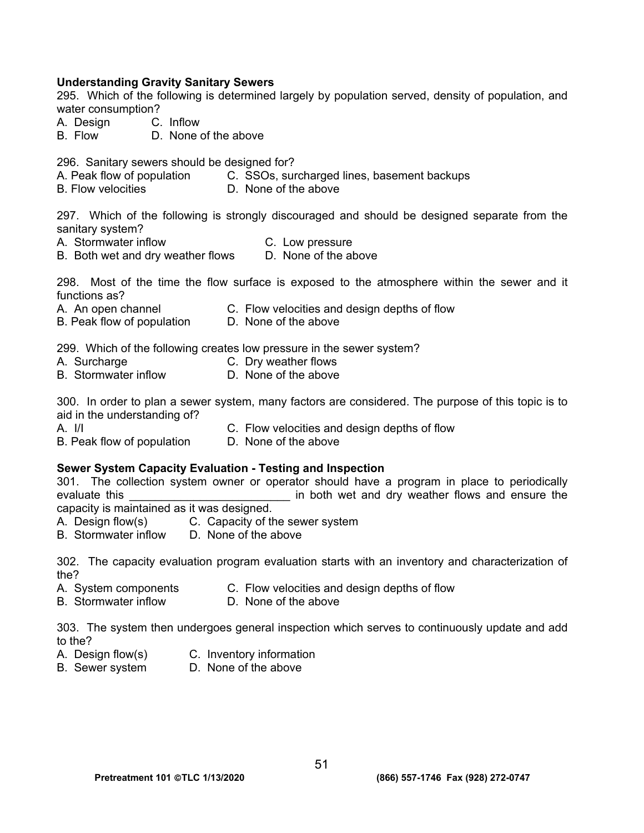#### **Understanding Gravity Sanitary Sewers**

295. Which of the following is determined largely by population served, density of population, and water consumption?<br>A. Design C. Inflow

- A. Design
- B. Flow D. None of the above

296. Sanitary sewers should be designed for?

- A. Peak flow of population C. SSOs, surcharged lines, basement backups
- B. Flow velocities **D.** None of the above

297. Which of the following is strongly discouraged and should be designed separate from the sanitary system?

- A. Stormwater inflow C. Low pressure
	-
- B. Both wet and dry weather flows D. None of the above

298. Most of the time the flow surface is exposed to the atmosphere within the sewer and it functions as?

- A. An open channel C. Flow velocities and design depths of flow
- B. Peak flow of population D. None of the above

299. Which of the following creates low pressure in the sewer system?

- A. Surcharge C. Dry weather flows
- B. Stormwater inflow D. None of the above

300. In order to plan a sewer system, many factors are considered. The purpose of this topic is to aid in the understanding of?

- A. I/I C. Flow velocities and design depths of flow
- B. Peak flow of population D. None of the above

#### **Sewer System Capacity Evaluation - Testing and Inspection**

301. The collection system owner or operator should have a program in place to periodically evaluate this **EXECUTE:** The both wet and dry weather flows and ensure the capacity is maintained as it was designed.

- A. Design flow(s) C. Capacity of the sewer system
- B. Stormwater inflow D. None of the above

302. The capacity evaluation program evaluation starts with an inventory and characterization of the?

- A. System components C. Flow velocities and design depths of flow
- B. Stormwater inflow D. None of the above

303. The system then undergoes general inspection which serves to continuously update and add to the?

- A. Design flow(s) C. Inventory information
- B. Sewer system D. None of the above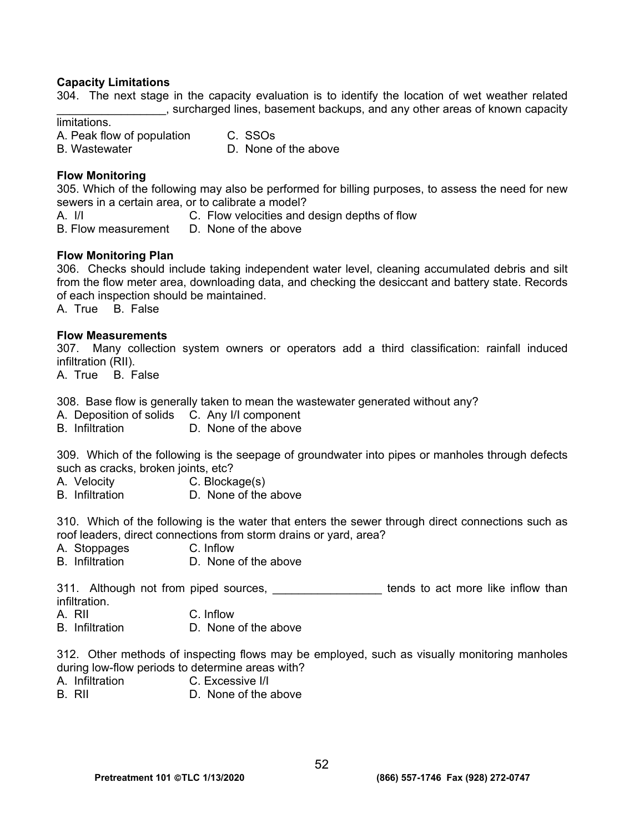#### **Capacity Limitations**

304. The next stage in the capacity evaluation is to identify the location of wet weather related \_\_\_\_\_\_\_\_\_\_\_\_\_\_\_\_\_, surcharged lines, basement backups, and any other areas of known capacity

#### limitations.

A. Peak flow of population C. SSOs

B. Wastewater D. None of the above

#### **Flow Monitoring**

305. Which of the following may also be performed for billing purposes, to assess the need for new sewers in a certain area, or to calibrate a model?

A. I/I C. Flow velocities and design depths of flow

B. Flow measurement D. None of the above

#### **Flow Monitoring Plan**

306. Checks should include taking independent water level, cleaning accumulated debris and silt from the flow meter area, downloading data, and checking the desiccant and battery state. Records of each inspection should be maintained.

A. True B. False

#### **Flow Measurements**

307. Many collection system owners or operators add a third classification: rainfall induced infiltration (RII).

A. True B. False

308. Base flow is generally taken to mean the wastewater generated without any?

- A. Deposition of solids C. Any I/I component
- B. Infiltration D. None of the above

309. Which of the following is the seepage of groundwater into pipes or manholes through defects such as cracks, broken joints, etc?

- A. Velocity C. Blockage(s)
- B. Infiltration D. None of the above

310. Which of the following is the water that enters the sewer through direct connections such as roof leaders, direct connections from storm drains or yard, area?

- A. Stoppages C. Inflow
- B. Infiltration D. None of the above

311. Although not from piped sources, \_\_\_\_\_\_\_\_\_\_\_\_\_\_\_\_\_\_ tends to act more like inflow than infiltration.

- A. RII C. Inflow
- B. Infiltration D. None of the above

312. Other methods of inspecting flows may be employed, such as visually monitoring manholes during low-flow periods to determine areas with?

- A. Infiltration C. Excessive I/I<br>B. RII D. None of the
- D. None of the above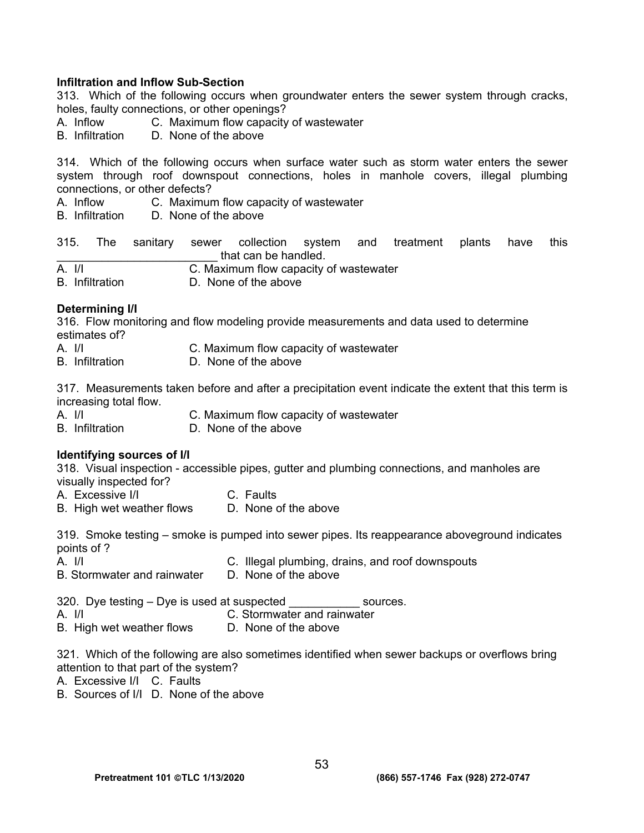#### **Infiltration and Inflow Sub-Section**

313. Which of the following occurs when groundwater enters the sewer system through cracks, holes, faulty connections, or other openings?

- A. Inflow C. Maximum flow capacity of wastewater
- B. Infiltration D. None of the above

314. Which of the following occurs when surface water such as storm water enters the sewer system through roof downspout connections, holes in manhole covers, illegal plumbing connections, or other defects?

- A. Inflow C. Maximum flow capacity of wastewater
- B. Infiltration D. None of the above

| 315.               |                        |  |                                        |  | The sanitary sewer collection system and treatment plants | have | this |
|--------------------|------------------------|--|----------------------------------------|--|-----------------------------------------------------------|------|------|
|                    |                        |  | that can be handled.                   |  |                                                           |      |      |
| $A.$ $\mathcal{U}$ |                        |  | C. Maximum flow capacity of wastewater |  |                                                           |      |      |
|                    | <b>B.</b> Infiltration |  | D. None of the above                   |  |                                                           |      |      |

#### **Determining I/I**

316. Flow monitoring and flow modeling provide measurements and data used to determine estimates of?

- A. I/I C. Maximum flow capacity of wastewater
- B. Infiltration D. None of the above

317. Measurements taken before and after a precipitation event indicate the extent that this term is increasing total flow.

- A. I/I C. Maximum flow capacity of wastewater<br>B. Infiltration D. None of the above
- D. None of the above

#### **Identifying sources of I/I**

318. Visual inspection - accessible pipes, gutter and plumbing connections, and manholes are visually inspected for?

- A. Excessive I/I C. Faults
- B. High wet weather flows D. None of the above

319. Smoke testing – smoke is pumped into sewer pipes. Its reappearance aboveground indicates points of ?

- A. I/I C. Illegal plumbing, drains, and roof downspouts
- B. Stormwater and rainwater D. None of the above

320. Dye testing – Dye is used at suspected \_\_\_\_\_\_\_\_\_\_\_ sources.

- A. I/I C. Stormwater and rainwater
- B. High wet weather flows D. None of the above

321. Which of the following are also sometimes identified when sewer backups or overflows bring attention to that part of the system?

- A. Excessive I/I C. Faults
- B. Sources of I/I D. None of the above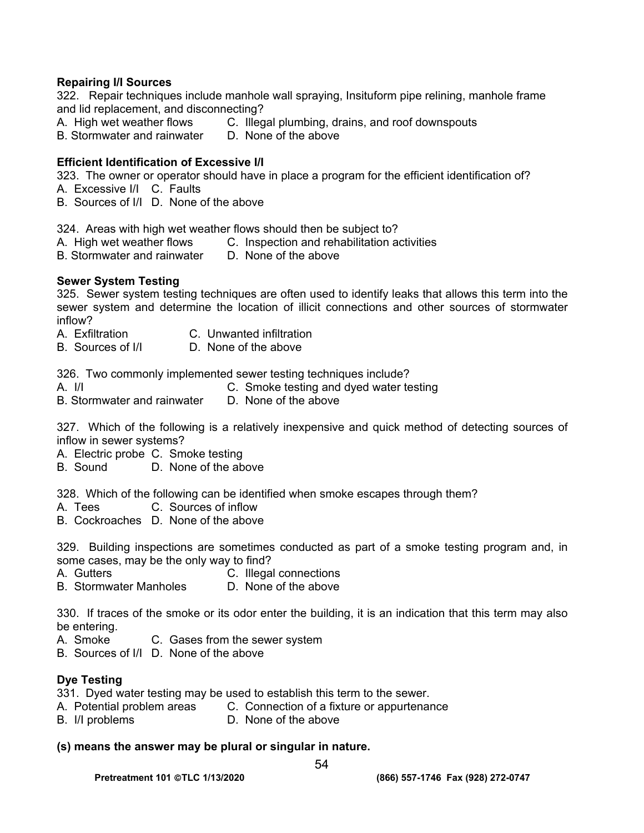## **Repairing I/I Sources**

322. Repair techniques include manhole wall spraying, Insituform pipe relining, manhole frame and lid replacement, and disconnecting?

- A. High wet weather flows C. Illegal plumbing, drains, and roof downspouts<br>B. Stormwater and rainwater D. None of the above
- B. Stormwater and rainwater

# **Efficient Identification of Excessive I/I**

323. The owner or operator should have in place a program for the efficient identification of?

- A. Excessive I/I C. Faults
- B. Sources of I/I D. None of the above

324. Areas with high wet weather flows should then be subject to?

- A. High wet weather flows C. Inspection and rehabilitation activities
- B. Stormwater and rainwater D. None of the above

## **Sewer System Testing**

325. Sewer system testing techniques are often used to identify leaks that allows this term into the sewer system and determine the location of illicit connections and other sources of stormwater inflow?

- A. Exfiltration C. Unwanted infiltration
- B. Sources of I/I D. None of the above

326. Two commonly implemented sewer testing techniques include?

- A. I/I C. Smoke testing and dyed water testing
- B. Stormwater and rainwater D. None of the above

327. Which of the following is a relatively inexpensive and quick method of detecting sources of inflow in sewer systems?

- A. Electric probe C. Smoke testing
- B. Sound D. None of the above

328. Which of the following can be identified when smoke escapes through them?

- A. Tees C. Sources of inflow
- B. Cockroaches D. None of the above

329. Building inspections are sometimes conducted as part of a smoke testing program and, in some cases, may be the only way to find?

- A. Gutters C. Illegal connections
- B. Stormwater Manholes D. None of the above

330. If traces of the smoke or its odor enter the building, it is an indication that this term may also be entering.

- A. Smoke C. Gases from the sewer system
- B. Sources of I/I D. None of the above

## **Dye Testing**

331. Dyed water testing may be used to establish this term to the sewer.

- A. Potential problem areas C. Connection of a fixture or appurtenance
- B. I/I problems D. None of the above

## **(s) means the answer may be plural or singular in nature.**

54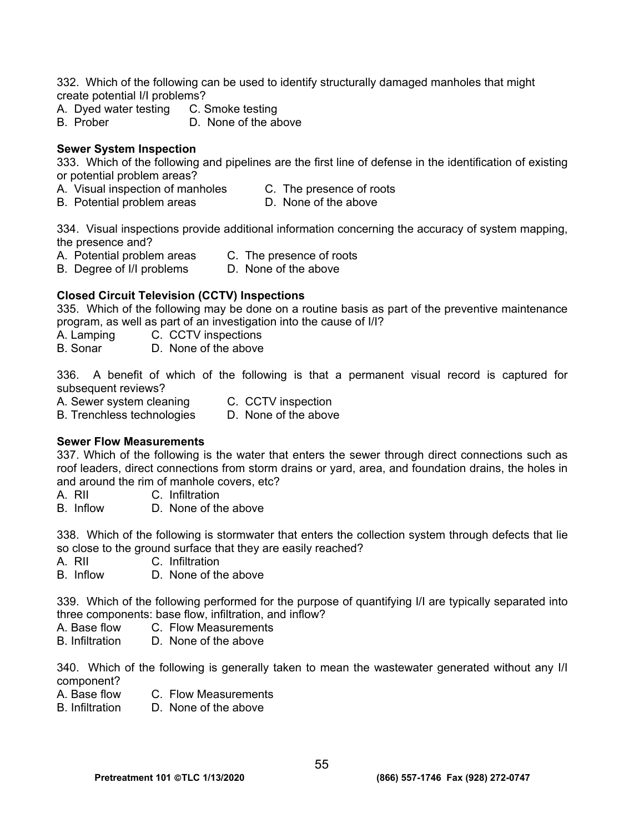332. Which of the following can be used to identify structurally damaged manholes that might create potential I/I problems?

- A. Dyed water testing C. Smoke testing
- B. Prober D. None of the above

#### **Sewer System Inspection**

333. Which of the following and pipelines are the first line of defense in the identification of existing or potential problem areas?

- A. Visual inspection of manholes C. The presence of roots
- B. Potential problem areas **D.** None of the above
- 

334. Visual inspections provide additional information concerning the accuracy of system mapping, the presence and?

- A. Potential problem areas C. The presence of roots
- B. Degree of I/I problems D. None of the above

# **Closed Circuit Television (CCTV) Inspections**

335. Which of the following may be done on a routine basis as part of the preventive maintenance program, as well as part of an investigation into the cause of I/I?

- A. Lamping C. CCTV inspections
- B. Sonar D. None of the above

336. A benefit of which of the following is that a permanent visual record is captured for subsequent reviews?

- A. Sewer system cleaning C. CCTV inspection
- B. Trenchless technologies D. None of the above
- **Sewer Flow Measurements**

337. Which of the following is the water that enters the sewer through direct connections such as roof leaders, direct connections from storm drains or yard, area, and foundation drains, the holes in and around the rim of manhole covers, etc?

- A. RII C. Infiltration
- B. Inflow D. None of the above

338. Which of the following is stormwater that enters the collection system through defects that lie so close to the ground surface that they are easily reached?

- A. RII C. Infiltration
- B. Inflow D. None of the above

339. Which of the following performed for the purpose of quantifying I/I are typically separated into three components: base flow, infiltration, and inflow?

- A. Base flow C. Flow Measurements
- B. Infiltration D. None of the above

340. Which of the following is generally taken to mean the wastewater generated without any I/I component?

- A. Base flow C. Flow Measurements
- B. Infiltration D. None of the above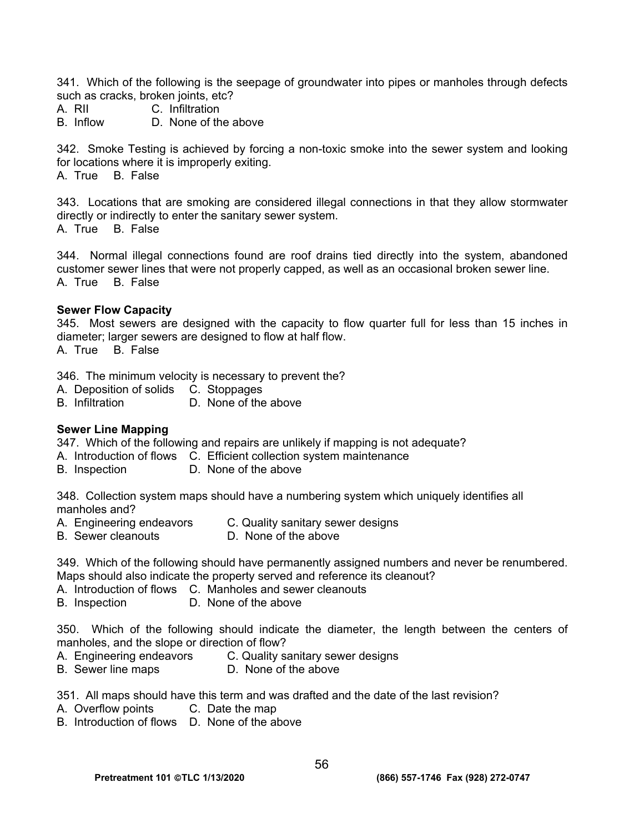341. Which of the following is the seepage of groundwater into pipes or manholes through defects such as cracks, broken joints, etc?

- A. RII C. Infiltration
- B. Inflow D. None of the above

342. Smoke Testing is achieved by forcing a non-toxic smoke into the sewer system and looking for locations where it is improperly exiting.

A. True B. False

343. Locations that are smoking are considered illegal connections in that they allow stormwater directly or indirectly to enter the sanitary sewer system. A. True B. False

344. Normal illegal connections found are roof drains tied directly into the system, abandoned customer sewer lines that were not properly capped, as well as an occasional broken sewer line.

A. True B. False

#### **Sewer Flow Capacity**

345. Most sewers are designed with the capacity to flow quarter full for less than 15 inches in diameter; larger sewers are designed to flow at half flow.

A. True B. False

346. The minimum velocity is necessary to prevent the?

- A. Deposition of solids C. Stoppages
- B. Infiltration D. None of the above

## **Sewer Line Mapping**

347. Which of the following and repairs are unlikely if mapping is not adequate?

- A. Introduction of flows C. Efficient collection system maintenance
- B. Inspection D. None of the above

348. Collection system maps should have a numbering system which uniquely identifies all manholes and?

- A. Engineering endeavors C. Quality sanitary sewer designs
- B. Sewer cleanouts D. None of the above

349. Which of the following should have permanently assigned numbers and never be renumbered. Maps should also indicate the property served and reference its cleanout?

- A. Introduction of flows C. Manholes and sewer cleanouts
- B. Inspection D. None of the above

350. Which of the following should indicate the diameter, the length between the centers of manholes, and the slope or direction of flow?

- A. Engineering endeavors C. Quality sanitary sewer designs
- B. Sewer line maps D. None of the above

351. All maps should have this term and was drafted and the date of the last revision?

- A. Overflow points C. Date the map
- B. Introduction of flows D. None of the above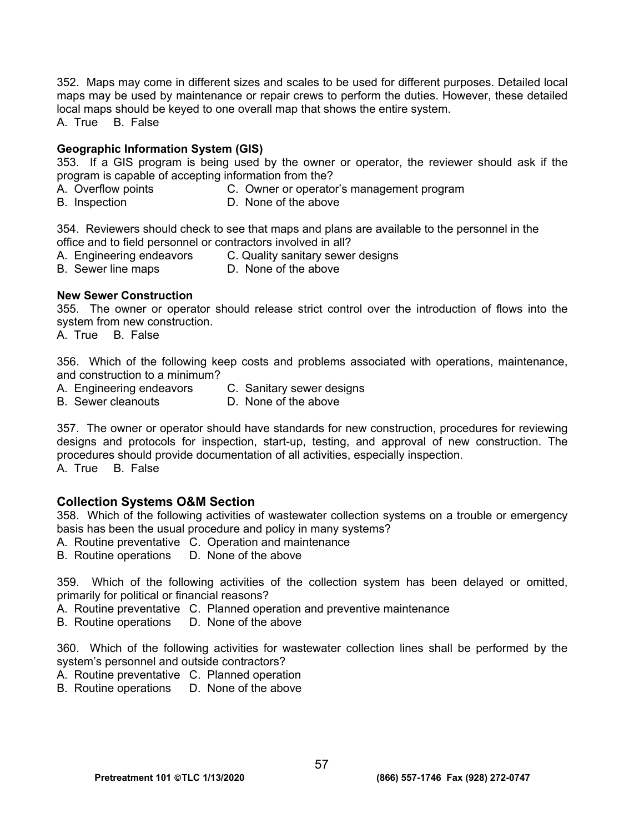352. Maps may come in different sizes and scales to be used for different purposes. Detailed local maps may be used by maintenance or repair crews to perform the duties. However, these detailed local maps should be keyed to one overall map that shows the entire system.

A. True B. False

## **Geographic Information System (GIS)**

353. If a GIS program is being used by the owner or operator, the reviewer should ask if the program is capable of accepting information from the?

- A. Overflow points C. Owner or operator's management program
- 
- B. Inspection D. None of the above

354. Reviewers should check to see that maps and plans are available to the personnel in the office and to field personnel or contractors involved in all?

- A. Engineering endeavors C. Quality sanitary sewer designs
- B. Sewer line maps D. None of the above

# **New Sewer Construction**

355. The owner or operator should release strict control over the introduction of flows into the system from new construction.

A. True B. False

356. Which of the following keep costs and problems associated with operations, maintenance, and construction to a minimum?

- A. Engineering endeavors C. Sanitary sewer designs
- B. Sewer cleanouts D. None of the above

357. The owner or operator should have standards for new construction, procedures for reviewing designs and protocols for inspection, start-up, testing, and approval of new construction. The procedures should provide documentation of all activities, especially inspection.

A. True B. False

# **Collection Systems O&M Section**

358. Which of the following activities of wastewater collection systems on a trouble or emergency basis has been the usual procedure and policy in many systems?

- A. Routine preventative C. Operation and maintenance
- B. Routine operations D. None of the above

359. Which of the following activities of the collection system has been delayed or omitted, primarily for political or financial reasons?

- A. Routine preventative C. Planned operation and preventive maintenance
- B. Routine operations D. None of the above

360. Which of the following activities for wastewater collection lines shall be performed by the system's personnel and outside contractors?

- A. Routine preventative C. Planned operation
- B. Routine operations D. None of the above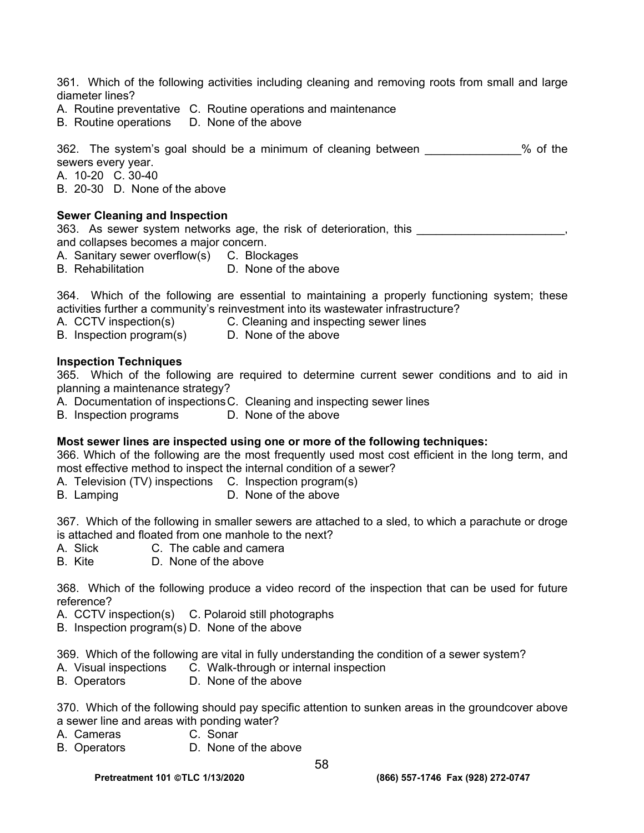361. Which of the following activities including cleaning and removing roots from small and large diameter lines?

- A. Routine preventative C. Routine operations and maintenance
- B. Routine operations D. None of the above

362. The system's goal should be a minimum of cleaning between \_\_\_\_\_\_\_\_\_\_\_\_\_\_\_% of the sewers every year.

A. 10-20 C. 30-40

B. 20-30 D. None of the above

#### **Sewer Cleaning and Inspection**

363. As sewer system networks age, the risk of deterioration, this and collapses becomes a major concern.

- A. Sanitary sewer overflow(s) C. Blockages
- B. Rehabilitation D. None of the above

364. Which of the following are essential to maintaining a properly functioning system; these activities further a community's reinvestment into its wastewater infrastructure?

- A. CCTV inspection(s) C. Cleaning and inspecting sewer lines
- B. Inspection program(s) D. None of the above
- 

# **Inspection Techniques**

365. Which of the following are required to determine current sewer conditions and to aid in planning a maintenance strategy?

- A. Documentation of inspections C. Cleaning and inspecting sewer lines
- B. Inspection programs D. None of the above

## **Most sewer lines are inspected using one or more of the following techniques:**

366. Which of the following are the most frequently used most cost efficient in the long term, and most effective method to inspect the internal condition of a sewer?

- A. Television (TV) inspections C. Inspection program(s)
- B. Lamping D. None of the above

367. Which of the following in smaller sewers are attached to a sled, to which a parachute or droge is attached and floated from one manhole to the next?

- A. Slick C. The cable and camera
- B. Kite D. None of the above

368. Which of the following produce a video record of the inspection that can be used for future reference?

- A. CCTV inspection(s) C. Polaroid still photographs
- B. Inspection program(s) D. None of the above

369. Which of the following are vital in fully understanding the condition of a sewer system?

- A. Visual inspections C. Walk-through or internal inspection
- B. Operators D. None of the above

370. Which of the following should pay specific attention to sunken areas in the groundcover above a sewer line and areas with ponding water?

- A. Cameras C. Sonar
- B. Operators D. None of the above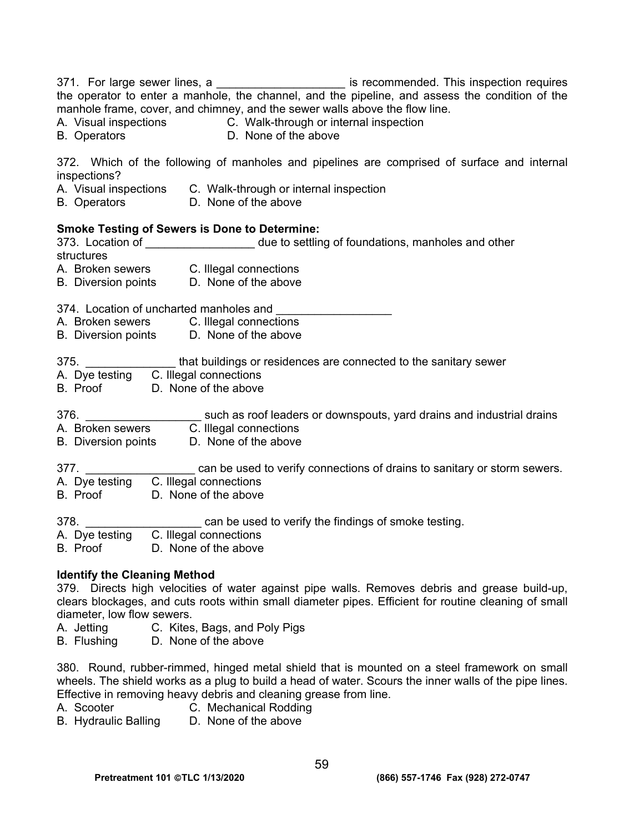| manhole frame, cover, and chimney, and the sewer walls above the flow line.                                                                                      | 371. For large sewer lines, a _______________________ is recommended. This inspection requires<br>the operator to enter a manhole, the channel, and the pipeline, and assess the condition of the |
|------------------------------------------------------------------------------------------------------------------------------------------------------------------|---------------------------------------------------------------------------------------------------------------------------------------------------------------------------------------------------|
| A. Visual inspections C. Walk-through or internal inspection<br>B. Operators D. None of the above                                                                |                                                                                                                                                                                                   |
| inspections?                                                                                                                                                     | 372. Which of the following of manholes and pipelines are comprised of surface and internal                                                                                                       |
| A. Visual inspections C. Walk-through or internal inspection<br>B. Operators D. None of the above                                                                |                                                                                                                                                                                                   |
| <b>Smoke Testing of Sewers is Done to Determine:</b><br>373. Location of ______________________ due to settling of foundations, manholes and other<br>structures |                                                                                                                                                                                                   |
| A. Broken sewers C. Illegal connections<br>B. Diversion points D. None of the above                                                                              |                                                                                                                                                                                                   |
| A. Broken sewers C. Illegal connections<br>B. Diversion points D. None of the above                                                                              |                                                                                                                                                                                                   |
| 375. ________________that buildings or residences are connected to the sanitary sewer<br>A. Dye testing C. Illegal connections<br>B. Proof D. None of the above  |                                                                                                                                                                                                   |
| B. Diversion points D. None of the above                                                                                                                         | 376. _________________________such as roof leaders or downspouts, yard drains and industrial drains<br>A. Broken sewers    C. Illegal connections                                                 |
|                                                                                                                                                                  | can be used to verify connections of drains to sanitary or storm sewers.<br>A. Dye testing C. Illegal connections<br>B. Proof D. None of the above                                                |
| 378. _________________________ can be used to verify the findings of smoke testing.<br>A. Dye testing C. Illegal connections<br>B. Proof D. None of the above    |                                                                                                                                                                                                   |

#### **Identify the Cleaning Method**

379. Directs high velocities of water against pipe walls. Removes debris and grease build-up, clears blockages, and cuts roots within small diameter pipes. Efficient for routine cleaning of small diameter, low flow sewers.

- A. Jetting C. Kites, Bags, and Poly Pigs
- B. Flushing D. None of the above

380. Round, rubber-rimmed, hinged metal shield that is mounted on a steel framework on small wheels. The shield works as a plug to build a head of water. Scours the inner walls of the pipe lines. Effective in removing heavy debris and cleaning grease from line.

- A. Scooter **C. Mechanical Rodding**
- B. Hydraulic Balling D. None of the above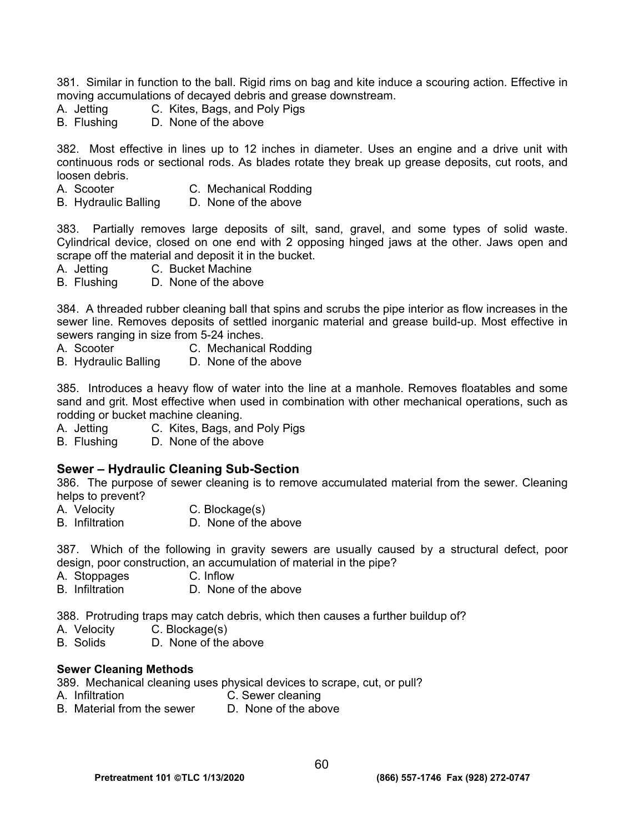381. Similar in function to the ball. Rigid rims on bag and kite induce a scouring action. Effective in moving accumulations of decayed debris and grease downstream.

- A. Jetting C. Kites, Bags, and Poly Pigs
- B. Flushing D. None of the above

382. Most effective in lines up to 12 inches in diameter. Uses an engine and a drive unit with continuous rods or sectional rods. As blades rotate they break up grease deposits, cut roots, and loosen debris.

- A. Scooter C. Mechanical Rodding
- B. Hydraulic Balling D. None of the above

383. Partially removes large deposits of silt, sand, gravel, and some types of solid waste. Cylindrical device, closed on one end with 2 opposing hinged jaws at the other. Jaws open and scrape off the material and deposit it in the bucket.

A. Jetting C. Bucket Machine

B. Flushing D. None of the above

384. A threaded rubber cleaning ball that spins and scrubs the pipe interior as flow increases in the sewer line. Removes deposits of settled inorganic material and grease build-up. Most effective in sewers ranging in size from 5-24 inches.

- A. Scooter C. Mechanical Rodding
- B. Hydraulic Balling D. None of the above

385. Introduces a heavy flow of water into the line at a manhole. Removes floatables and some sand and grit. Most effective when used in combination with other mechanical operations, such as rodding or bucket machine cleaning.

- A. Jetting C. Kites, Bags, and Poly Pigs
- B. Flushing D. None of the above

## **Sewer – Hydraulic Cleaning Sub-Section**

386. The purpose of sewer cleaning is to remove accumulated material from the sewer. Cleaning helps to prevent?

A. Velocity C. Blockage(s)

B. Infiltration D. None of the above

387. Which of the following in gravity sewers are usually caused by a structural defect, poor design, poor construction, an accumulation of material in the pipe?

- A. Stoppages C. Inflow
- B. Infiltration D. None of the above

388. Protruding traps may catch debris, which then causes a further buildup of?

- A. Velocity C. Blockage(s)
- B. Solids D. None of the above

#### **Sewer Cleaning Methods**

389. Mechanical cleaning uses physical devices to scrape, cut, or pull?

- A. Infiltration C. Sewer cleaning
- B. Material from the sewer  $\Box$  None of the above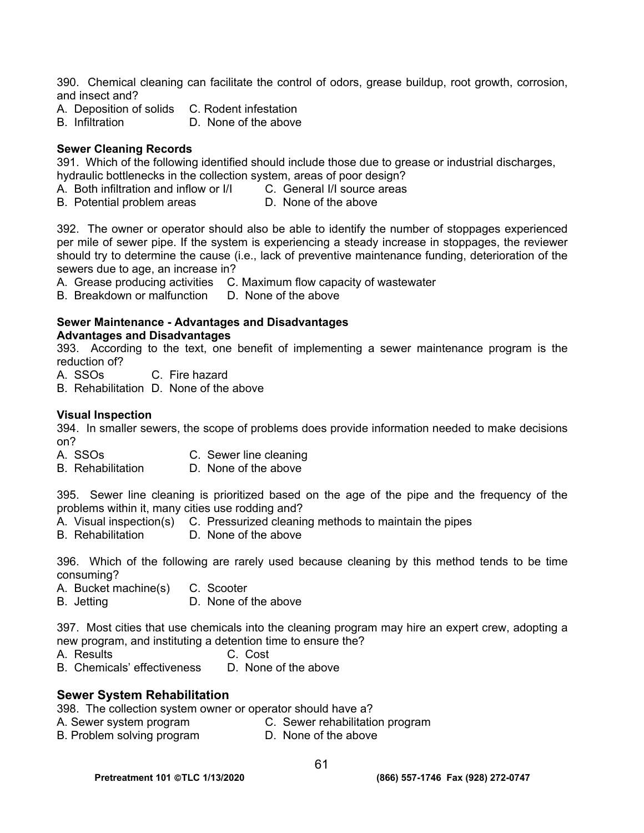390. Chemical cleaning can facilitate the control of odors, grease buildup, root growth, corrosion, and insect and?

- A. Deposition of solids C. Rodent infestation
- B. Infiltration D. None of the above

#### **Sewer Cleaning Records**

391. Which of the following identified should include those due to grease or industrial discharges, hydraulic bottlenecks in the collection system, areas of poor design?

- A. Both infiltration and inflow or I/I C. General I/I source areas
- B. Potential problem areas **D.** None of the above

392. The owner or operator should also be able to identify the number of stoppages experienced per mile of sewer pipe. If the system is experiencing a steady increase in stoppages, the reviewer should try to determine the cause (i.e., lack of preventive maintenance funding, deterioration of the sewers due to age, an increase in?

A. Grease producing activities C. Maximum flow capacity of wastewater

B. Breakdown or malfunction D. None of the above

#### **Sewer Maintenance - Advantages and Disadvantages Advantages and Disadvantages**

393. According to the text, one benefit of implementing a sewer maintenance program is the reduction of?

A. SSOs C. Fire hazard

B. Rehabilitation D. None of the above

#### **Visual Inspection**

394. In smaller sewers, the scope of problems does provide information needed to make decisions on?

- A. SSOs C. Sewer line cleaning
- B. Rehabilitation D. None of the above

395. Sewer line cleaning is prioritized based on the age of the pipe and the frequency of the problems within it, many cities use rodding and?

- A. Visual inspection(s) C. Pressurized cleaning methods to maintain the pipes
- B. Rehabilitation D. None of the above

396. Which of the following are rarely used because cleaning by this method tends to be time consuming?

A. Bucket machine(s) C. Scooter

B. Jetting D. None of the above

397. Most cities that use chemicals into the cleaning program may hire an expert crew, adopting a new program, and instituting a detention time to ensure the?

- A. Results C. Cost
- B.Chemicals' effectiveness D. None of the above

## **Sewer System Rehabilitation**

398. The collection system owner or operator should have a?

- A. Sewer system program C. Sewer rehabilitation program
- B. Problem solving program D. None of the above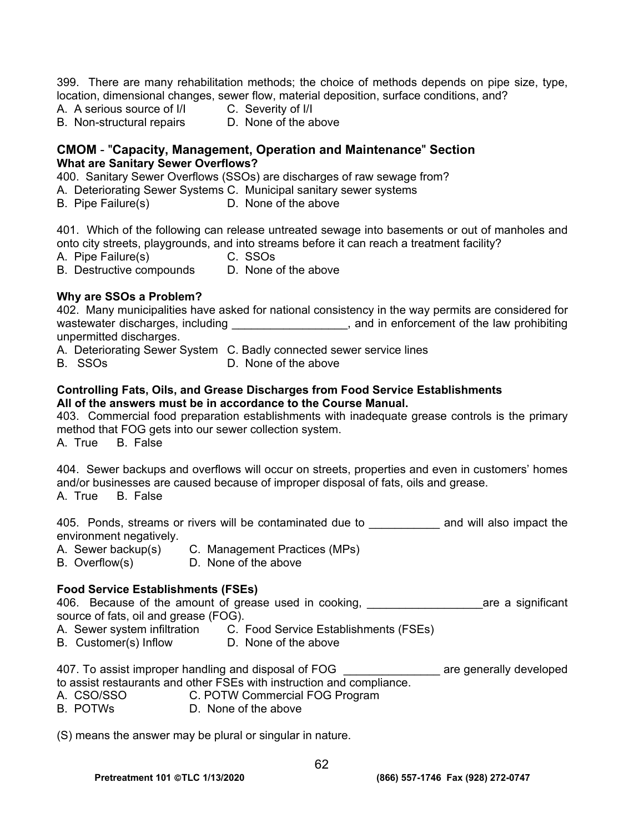399. There are many rehabilitation methods; the choice of methods depends on pipe size, type, location, dimensional changes, sewer flow, material deposition, surface conditions, and?

- A. A serious source of I/I C. Severity of I/I<br>B. Non-structural repairs D. None of the above
- B. Non-structural repairs
- 

## **CMOM** - "**Capacity, Management, Operation and Maintenance**" **Section What are Sanitary Sewer Overflows?**

400. Sanitary Sewer Overflows (SSOs) are discharges of raw sewage from?

- A. Deteriorating Sewer Systems C. Municipal sanitary sewer systems
- B. Pipe Failure(s) D. None of the above

401. Which of the following can release untreated sewage into basements or out of manholes and onto city streets, playgrounds, and into streams before it can reach a treatment facility?<br>A. Pipe Failure(s) C. SSOs

- A. Pipe Failure(s)
- B. Destructive compounds D. None of the above

# **Why are SSOs a Problem?**

402. Many municipalities have asked for national consistency in the way permits are considered for wastewater discharges, including example and in enforcement of the law prohibiting unpermitted discharges.

A. Deteriorating Sewer System C. Badly connected sewer service lines

B. SSOs D. None of the above

## **Controlling Fats, Oils, and Grease Discharges from Food Service Establishments All of the answers must be in accordance to the Course Manual.**

403. Commercial food preparation establishments with inadequate grease controls is the primary method that FOG gets into our sewer collection system.

A. True B. False

404. Sewer backups and overflows will occur on streets, properties and even in customers' homes and/or businesses are caused because of improper disposal of fats, oils and grease.

A. True B. False

405. Ponds, streams or rivers will be contaminated due to **and will also impact the** environment negatively.

A. Sewer backup(s) C. Management Practices (MPs)<br>B. Overflow(s) D. None of the above

D. None of the above

## **Food Service Establishments (FSEs)**

406. Because of the amount of grease used in cooking, \_\_\_\_\_\_\_\_\_\_\_\_\_\_\_\_\_\_\_\_\_\_\_\_\_\_are a significant source of fats, oil and grease (FOG).

- A. Sewer system infiltration C. Food Service Establishments (FSEs)
- B. Customer(s) Inflow D. None of the above

407. To assist improper handling and disposal of FOG \_\_\_\_\_\_\_\_\_\_\_\_\_ are generally developed to assist restaurants and other FSEs with instruction and compliance.

- A. CSO/SSO C. POTW Commercial FOG Program
- B. POTWs D. None of the above

(S) means the answer may be plural or singular in nature.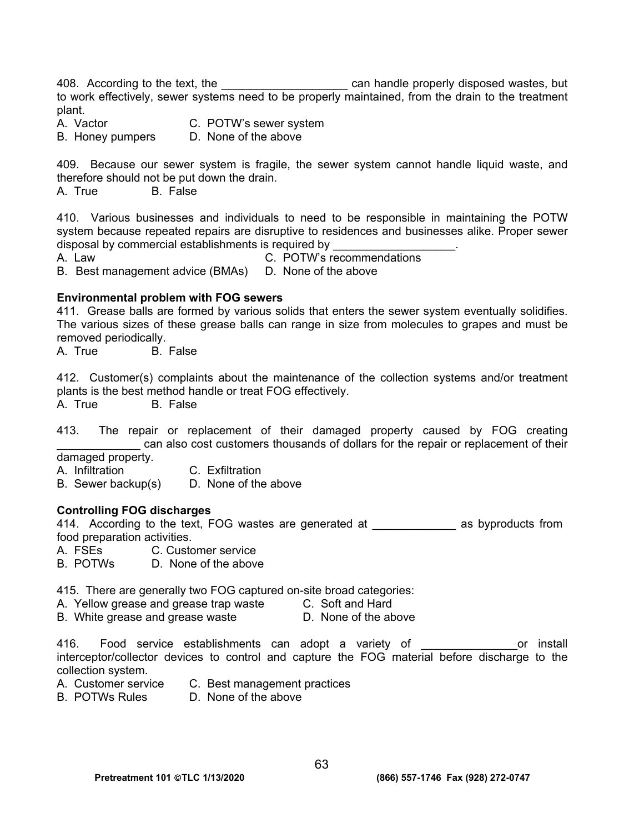408. According to the text, the \_\_\_\_\_\_\_\_\_\_\_\_\_\_\_\_\_\_\_\_\_\_\_ can handle properly disposed wastes, but to work effectively, sewer systems need to be properly maintained, from the drain to the treatment plant.

A. Vactor **C. POTW's sewer system** 

B. Honey pumpers D. None of the above

409. Because our sewer system is fragile, the sewer system cannot handle liquid waste, and therefore should not be put down the drain.

A. True B. False

410. Various businesses and individuals to need to be responsible in maintaining the POTW system because repeated repairs are disruptive to residences and businesses alike. Proper sewer disposal by commercial establishments is required by

A. Law C. POTW's recommendations

B. Best management advice (BMAs) D. None of the above

## **Environmental problem with FOG sewers**

411. Grease balls are formed by various solids that enters the sewer system eventually solidifies. The various sizes of these grease balls can range in size from molecules to grapes and must be removed periodically.

A. True B. False

412. Customer(s) complaints about the maintenance of the collection systems and/or treatment plants is the best method handle or treat FOG effectively.

A. True B. False

413. The repair or replacement of their damaged property caused by FOG creating can also cost customers thousands of dollars for the repair or replacement of their damaged property.

A. Infiltration C. Exfiltration

B. Sewer backup(s) D. None of the above

## **Controlling FOG discharges**

414. According to the text, FOG wastes are generated at \_\_\_\_\_\_\_\_\_\_\_\_\_\_ as byproducts from food preparation activities.

A. FSEs C. Customer service

B. POTWs D. None of the above

415. There are generally two FOG captured on-site broad categories:

A. Yellow grease and grease trap waste C. Soft and Hard

B. White grease and grease waste **D.** None of the above

416. Food service establishments can adopt a variety of The Manuscon or install interceptor/collector devices to control and capture the FOG material before discharge to the collection system.

- A. Customer service C. Best management practices
- B. POTWs Rules D. None of the above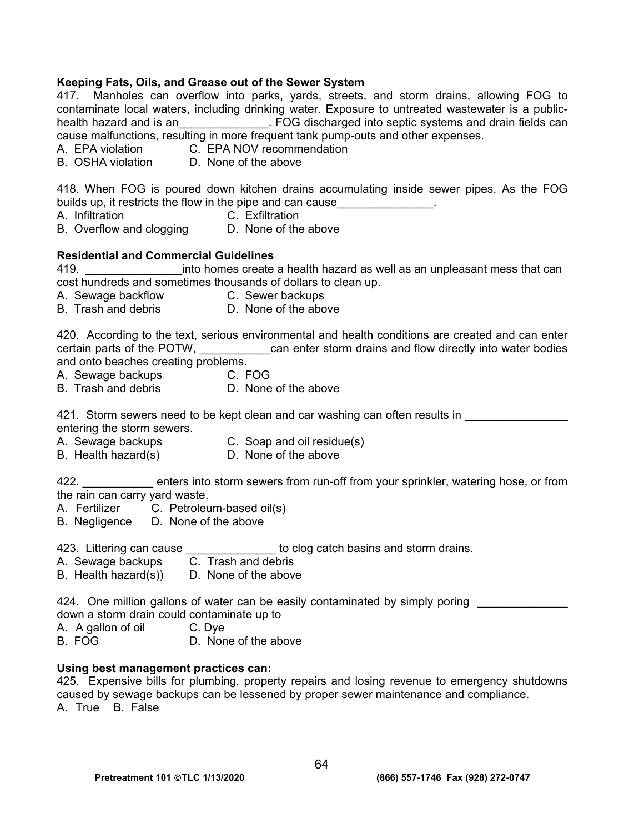#### **Keeping Fats, Oils, and Grease out of the Sewer System**

417. Manholes can overflow into parks, yards, streets, and storm drains, allowing FOG to contaminate local waters, including drinking water. Exposure to untreated wastewater is a publichealth hazard and is an\_\_\_\_\_\_\_\_\_\_\_\_\_\_\_. FOG discharged into septic systems and drain fields can cause malfunctions, resulting in more frequent tank pump-outs and other expenses. A. EPA violation C. EPA NOV recommendation B. OSHA violation D. None of the above 418. When FOG is poured down kitchen drains accumulating inside sewer pipes. As the FOG builds up, it restricts the flow in the pipe and can cause A. Infiltration C. Exfiltration B. Overflow and clogging D. None of the above **Residential and Commercial Guidelines**  419. \_\_\_\_\_\_\_\_\_\_\_\_\_\_\_into homes create a health hazard as well as an unpleasant mess that can cost hundreds and sometimes thousands of dollars to clean up. A. Sewage backflow C. Sewer backups B. Trash and debris **D.** None of the above 420. According to the text, serious environmental and health conditions are created and can enter certain parts of the POTW, \_\_\_\_\_\_\_\_\_\_\_can enter storm drains and flow directly into water bodies and onto beaches creating problems. A. Sewage backups C. FOG B. Trash and debris **D.** None of the above 421. Storm sewers need to be kept clean and car washing can often results in entering the storm sewers. A. Sewage backups C. Soap and oil residue(s) B. Health hazard(s) D. None of the above 422. \_\_\_\_\_\_\_\_\_\_\_\_ enters into storm sewers from run-off from your sprinkler, watering hose, or from the rain can carry yard waste. A. Fertilizer C. Petroleum-based oil(s) B. Negligence D. None of the above 423. Littering can cause **Littering** can cause to clog catch basins and storm drains. A. Sewage backups C. Trash and debris B. Health hazard(s)) D. None of the above 424. One million gallons of water can be easily contaminated by simply poring down a storm drain could contaminate up to A. A gallon of oil C. Dye B. FOG D. None of the above **Using best management practices can:** 

425. Expensive bills for plumbing, property repairs and losing revenue to emergency shutdowns caused by sewage backups can be lessened by proper sewer maintenance and compliance. A. True B. False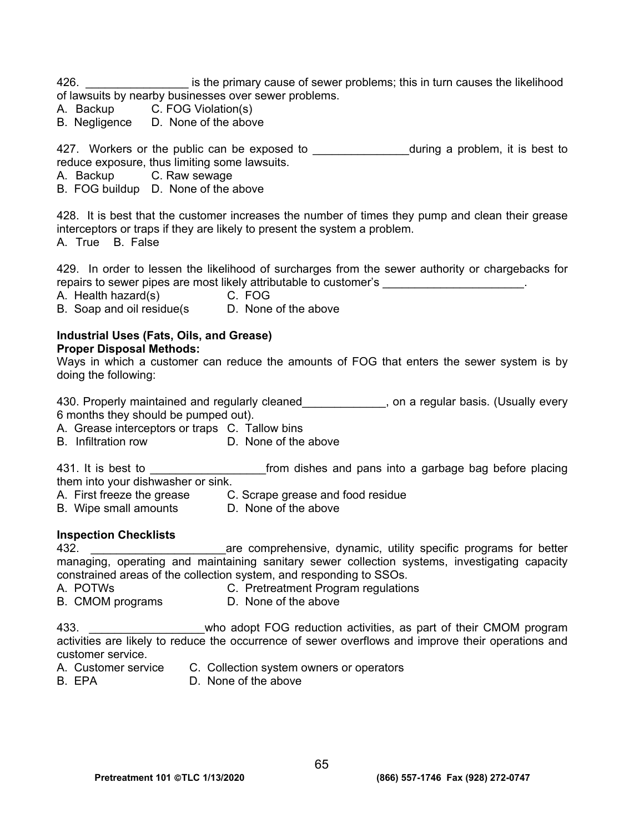426. \_\_\_\_\_\_\_\_\_\_\_\_\_\_\_\_ is the primary cause of sewer problems; this in turn causes the likelihood of lawsuits by nearby businesses over sewer problems.

A. Backup C. FOG Violation(s)

B. Negligence D. None of the above

427. Workers or the public can be exposed to \_\_\_\_\_\_\_\_\_\_\_\_\_\_\_\_\_\_during a problem, it is best to reduce exposure, thus limiting some lawsuits.

A. Backup C. Raw sewage

B. FOG buildup D. None of the above

428. It is best that the customer increases the number of times they pump and clean their grease interceptors or traps if they are likely to present the system a problem.

A. True B. False

429. In order to lessen the likelihood of surcharges from the sewer authority or chargebacks for repairs to sewer pipes are most likely attributable to customer's \_\_\_\_\_\_\_\_\_\_\_\_\_\_\_\_\_\_\_\_\_\_.

A. Health hazard(s) C. FOG

B. Soap and oil residue(s D. None of the above

#### **Industrial Uses (Fats, Oils, and Grease) Proper Disposal Methods:**

Ways in which a customer can reduce the amounts of FOG that enters the sewer system is by doing the following:

430. Properly maintained and regularly cleaned\_\_\_\_\_\_\_\_\_\_\_\_\_, on a regular basis. (Usually every 6 months they should be pumped out).

A. Grease interceptors or traps C. Tallow bins

B. Infiltration row D. None of the above

431. It is best to **Example 12. It is best to**  $\blacksquare$  from dishes and pans into a garbage bag before placing them into your dishwasher or sink.

- A. First freeze the grease C. Scrape grease and food residue
- B. Wipe small amounts D. None of the above

## **Inspection Checklists**

432. \_\_\_\_\_\_\_\_\_\_\_\_\_\_\_\_\_\_\_\_\_are comprehensive, dynamic, utility specific programs for better managing, operating and maintaining sanitary sewer collection systems, investigating capacity constrained areas of the collection system, and responding to SSOs.

- A. POTWs C. Pretreatment Program regulations
- 
- B. CMOM programs D. None of the above

433. \_\_\_\_\_\_\_\_\_\_\_\_\_\_\_\_\_\_who adopt FOG reduction activities, as part of their CMOM program activities are likely to reduce the occurrence of sewer overflows and improve their operations and customer service.

- A. Customer service C. Collection system owners or operators
- B. EPA D. None of the above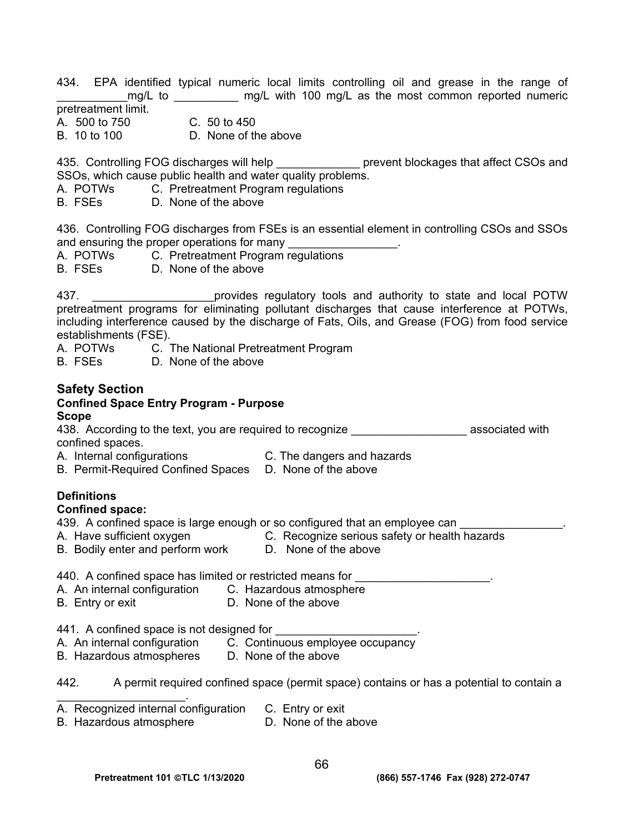434. EPA identified typical numeric local limits controlling oil and grease in the range of mg/L to \_\_\_\_\_\_\_\_\_\_ mg/L with 100 mg/L as the most common reported numeric pretreatment limit.

- A. 500 to 750 C. 50 to 450
- B. 10 to 100 D. None of the above

435. Controlling FOG discharges will help \_\_\_\_\_\_\_\_\_\_\_\_\_\_\_ prevent blockages that affect CSOs and SSOs, which cause public health and water quality problems.

- A. POTWs C. Pretreatment Program regulations
- B. FSEs D. None of the above

436. Controlling FOG discharges from FSEs is an essential element in controlling CSOs and SSOs and ensuring the proper operations for many

- A. POTWs C. Pretreatment Program regulations
- B. FSEs D. None of the above

437. <u>\_\_\_\_\_\_\_\_\_\_\_\_\_\_\_\_\_\_\_\_\_</u> provides regulatory tools and authority to state and local POTW pretreatment programs for eliminating pollutant discharges that cause interference at POTWs, including interference caused by the discharge of Fats, Oils, and Grease (FOG) from food service establishments (FSE).

- A. POTWs C. The National Pretreatment Program
- B. FSEs D. None of the above

# **Safety Section**

# **Confined Space Entry Program - Purpose**

**Scope** 

438. According to the text, you are required to recognize **Example 20** associated with confined spaces.

- A. Internal configurations C. The dangers and hazards
- B. Permit-Required Confined Spaces D. None of the above

## **Definitions**

#### **Confined space:**

439. A confined space is large enough or so configured that an employee can

- A. Have sufficient oxygen **C. Recognize serious safety or health hazards** 
	-
- B. Bodily enter and perform work D. None of the above

440. A confined space has limited or restricted means for **ACCO** extending the continuity of the contract of the contract of the contract of the contract of the contract of the contract of the contract of the contract of t

- A. An internal configuration C.Hazardous atmosphere
- B. Entry or exit D. None of the above

# 441. A confined space is not designed for

- A. An internal configuration C. Continuous employee occupancy
- B. Hazardous atmospheres D. None of the above
- 442. A permit required confined space (permit space) contains or has a potential to contain a
- $\mathcal{L}_\text{max}$  and  $\mathcal{L}_\text{max}$  and  $\mathcal{L}_\text{max}$ A. Recognized internal configuration C. Entry or exit
- B. Hazardous atmosphere **D.** None of the above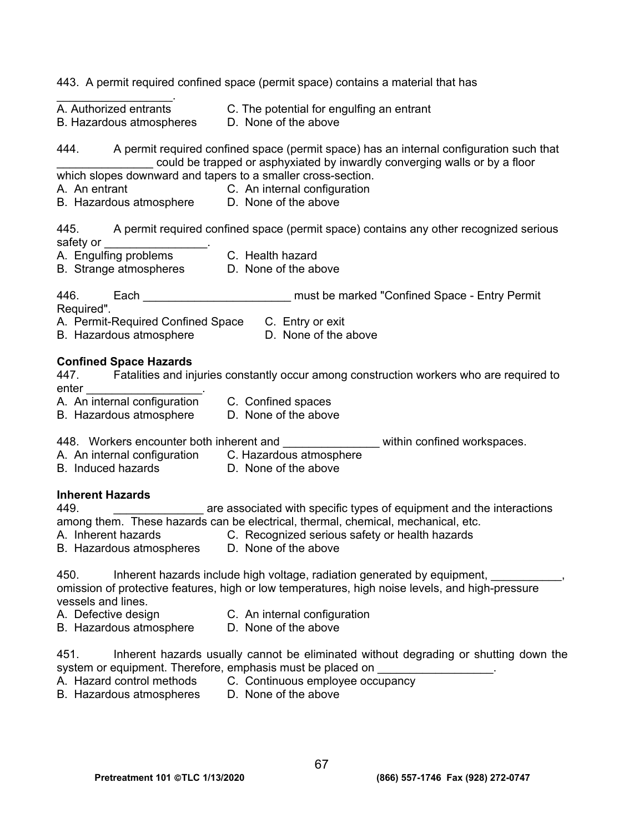|                                                               | 443. A permit required confined space (permit space) contains a material that has                                                                                                                          |
|---------------------------------------------------------------|------------------------------------------------------------------------------------------------------------------------------------------------------------------------------------------------------------|
| B. Hazardous atmospheres D. None of the above                 | A. Authorized entrants C. The potential for engulfing an entrant                                                                                                                                           |
| 444.                                                          | A permit required confined space (permit space) has an internal configuration such that<br>could be trapped or asphyxiated by inwardly converging walls or by a floor                                      |
| which slopes downward and tapers to a smaller cross-section.  |                                                                                                                                                                                                            |
| A. An entrant<br>B. Hazardous atmosphere D. None of the above | C. An internal configuration                                                                                                                                                                               |
| safety or _________________.                                  | 445. A permit required confined space (permit space) contains any other recognized serious                                                                                                                 |
| A. Engulfing problems C. Health hazard                        |                                                                                                                                                                                                            |
| B. Strange atmospheres D. None of the above                   |                                                                                                                                                                                                            |
| Required".                                                    | 446. Each Each <b>Each</b> Manuel 2014 and Must be marked "Confined Space - Entry Permit                                                                                                                   |
| A. Permit-Required Confined Space C. Entry or exit            |                                                                                                                                                                                                            |
| B. Hazardous atmosphere                                       | D. None of the above                                                                                                                                                                                       |
| <b>Confined Space Hazards</b>                                 | 447. Fatalities and injuries constantly occur among construction workers who are required to                                                                                                               |
| enter<br>A. An internal configuration<br>C. Confined spaces   |                                                                                                                                                                                                            |
| B. Hazardous atmosphere D. None of the above                  |                                                                                                                                                                                                            |
| A. An internal configuration C. Hazardous atmosphere          | 448. Workers encounter both inherent and ________________ within confined workspaces.                                                                                                                      |
| B. Induced hazards <b>D. None of the above</b>                |                                                                                                                                                                                                            |
| <b>Inherent Hazards</b>                                       |                                                                                                                                                                                                            |
| 449.                                                          | are associated with specific types of equipment and the interactions<br>among them. These hazards can be electrical, thermal, chemical, mechanical, etc.                                                   |
| A. Inherent hazards                                           | C. Recognized serious safety or health hazards                                                                                                                                                             |
| B. Hazardous atmospheres D. None of the above                 |                                                                                                                                                                                                            |
| 450.<br>vessels and lines.                                    | Inherent hazards include high voltage, radiation generated by equipment, ___________,<br>omission of protective features, high or low temperatures, high noise levels, and high-pressure                   |
| A. Defective design                                           | C. An internal configuration                                                                                                                                                                               |
| B. Hazardous atmosphere                                       | D. None of the above                                                                                                                                                                                       |
| 451.<br>A. Hazard control methods                             | Inherent hazards usually cannot be eliminated without degrading or shutting down the<br>system or equipment. Therefore, emphasis must be placed on __________________.<br>C. Continuous employee occupancy |
| B. Hazardous atmospheres                                      | D. None of the above                                                                                                                                                                                       |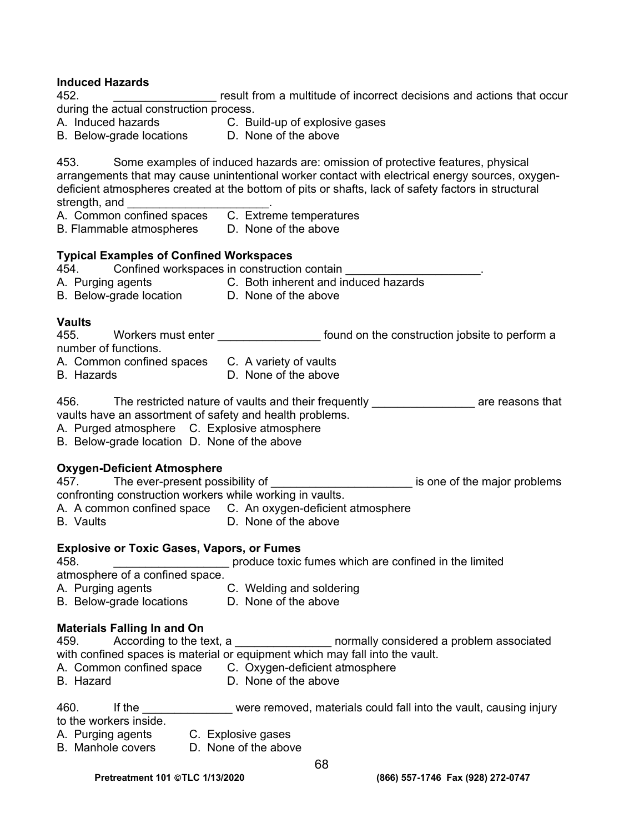#### **Induced Hazards**

452. \_\_\_\_\_\_\_\_\_\_\_\_\_\_\_\_ result from a multitude of incorrect decisions and actions that occur during the actual construction process.

- 
- A. Induced hazards C. Build-up of explosive gases
- B. Below-grade locations D. None of the above

453. Some examples of induced hazards are: omission of protective features, physical arrangements that may cause unintentional worker contact with electrical energy sources, oxygendeficient atmospheres created at the bottom of pits or shafts, lack of safety factors in structural strength, and

- A. Common confined spaces C. Extreme temperatures
- B. Flammable atmospheres D. None of the above

#### **Typical Examples of Confined Workspaces**

| -454. | Confined workspaces in construction contain |                                      |  |
|-------|---------------------------------------------|--------------------------------------|--|
|       | A. Purging agents                           | C. Both inherent and induced hazards |  |
|       | B. Below-grade location                     | D. None of the above                 |  |

#### **Vaults**

455. Workers must enter \_\_\_\_\_\_\_\_\_\_\_\_\_\_\_\_\_\_\_\_ found on the construction jobsite to perform a number of functions.

- A. Common confined spaces C. A variety of vaults
- B. Hazards **D. None of the above**
- 456. The restricted nature of vaults and their frequently \_\_\_\_\_\_\_\_\_\_\_\_\_\_\_\_\_\_\_\_ are reasons that vaults have an assortment of safety and health problems.
- A. Purged atmosphere C. Explosive atmosphere
- B. Below-grade location D. None of the above

## **Oxygen-Deficient Atmosphere**

457. The ever-present possibility of \_\_\_\_\_\_\_\_\_\_\_\_\_\_\_\_\_\_\_\_\_\_\_\_\_\_\_\_\_\_\_is one of the major problems confronting construction workers while working in vaults.

- A. A common confined space C. An oxygen-deficient atmosphere
- B. Vaults **D. None of the above**

## **Explosive or Toxic Gases, Vapors, or Fumes**

| 458. | produce toxic fumes which are confined in the limited |  |
|------|-------------------------------------------------------|--|
|      |                                                       |  |

atmosphere of a confined space.

- A. Purging agents C. Welding and soldering
- B. Below-grade locations D. None of the above

# **Materials Falling In and On**

designment controller text, a <u>controller morphological</u> normally considered a problem associated with confined spaces is material or equipment which may fall into the vault.

- A. Common confined space C. Oxygen-deficient atmosphere
- B. Hazard **D. None of the above** 
	-

460. If the status were removed, materials could fall into the vault, causing injury to the workers inside.

- A. Purging agents C. Explosive gases
- B. Manhole covers D. None of the above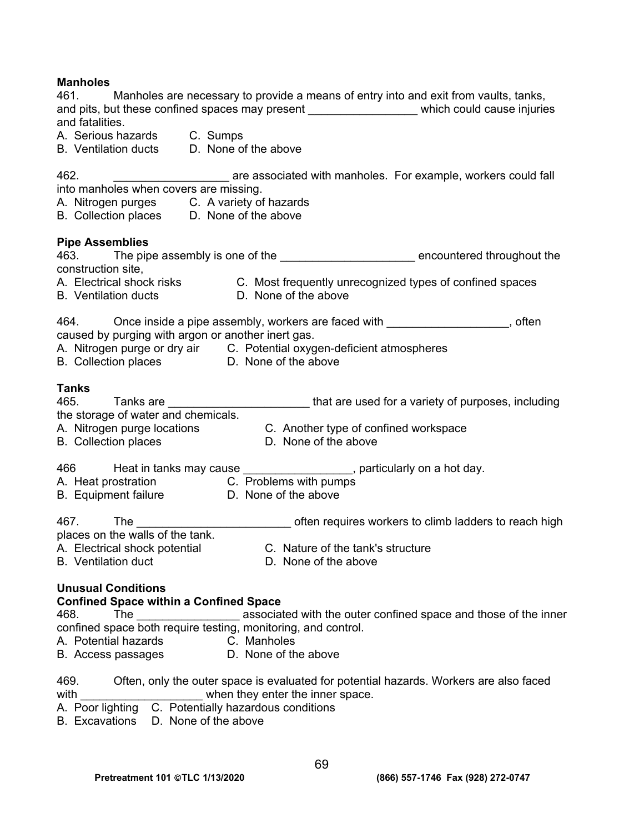## **Manholes**

| 461. Manholes are necessary to provide a means of entry into and exit from vaults, tanks,                      |                                                                                        |
|----------------------------------------------------------------------------------------------------------------|----------------------------------------------------------------------------------------|
| and pits, but these confined spaces may present ___________________ which could cause injuries                 |                                                                                        |
| and fatalities.                                                                                                |                                                                                        |
| A. Serious hazards C. Sumps                                                                                    |                                                                                        |
| B. Ventilation ducts D. None of the above                                                                      |                                                                                        |
| 462.                                                                                                           | are associated with manholes. For example, workers could fall                          |
| into manholes when covers are missing.                                                                         |                                                                                        |
| A. Nitrogen purges C. A variety of hazards                                                                     |                                                                                        |
| B. Collection places D. None of the above                                                                      |                                                                                        |
| <b>Pipe Assemblies</b>                                                                                         |                                                                                        |
| 463. The pipe assembly is one of the ______________________________ encountered throughout the                 |                                                                                        |
| construction site,                                                                                             |                                                                                        |
| A. Electrical shock risks C. Most frequently unrecognized types of confined spaces                             |                                                                                        |
| B. Ventilation ducts D. None of the above                                                                      |                                                                                        |
| 464. Once inside a pipe assembly, workers are faced with _________________, often                              |                                                                                        |
| caused by purging with argon or another inert gas.                                                             |                                                                                        |
| A. Nitrogen purge or dry air C. Potential oxygen-deficient atmospheres                                         |                                                                                        |
| B. Collection places D. None of the above                                                                      |                                                                                        |
| <b>Tanks</b>                                                                                                   |                                                                                        |
|                                                                                                                |                                                                                        |
| the storage of water and chemicals.                                                                            |                                                                                        |
|                                                                                                                |                                                                                        |
| A. Nitrogen purge locations C. Another type of confined workspace<br>B. Collection places D. None of the above |                                                                                        |
| 466 Heat in tanks may cause _________________, particularly on a hot day.                                      |                                                                                        |
| A. Heat prostration C. Problems with pumps                                                                     |                                                                                        |
| B. Equipment failure <b>D. None of the above</b>                                                               |                                                                                        |
|                                                                                                                |                                                                                        |
|                                                                                                                |                                                                                        |
| places on the walls of the tank.                                                                               |                                                                                        |
| A. Electrical shock potential                                                                                  | C. Nature of the tank's structure                                                      |
| B. Ventilation duct D. None of the above                                                                       |                                                                                        |
| <b>Unusual Conditions</b>                                                                                      |                                                                                        |
| <b>Confined Space within a Confined Space</b>                                                                  |                                                                                        |
| 468.<br>The                                                                                                    | associated with the outer confined space and those of the inner                        |
| confined space both require testing, monitoring, and control.                                                  |                                                                                        |
| A. Potential hazards<br>C. Manholes                                                                            |                                                                                        |
| D. None of the above<br>B. Access passages                                                                     |                                                                                        |
| 469.                                                                                                           | Often, only the outer space is evaluated for potential hazards. Workers are also faced |
| with<br>when they enter the inner space.                                                                       |                                                                                        |
|                                                                                                                |                                                                                        |

- A. Poor lighting C. Potentially hazardous conditions
- B. Excavations D. None of the above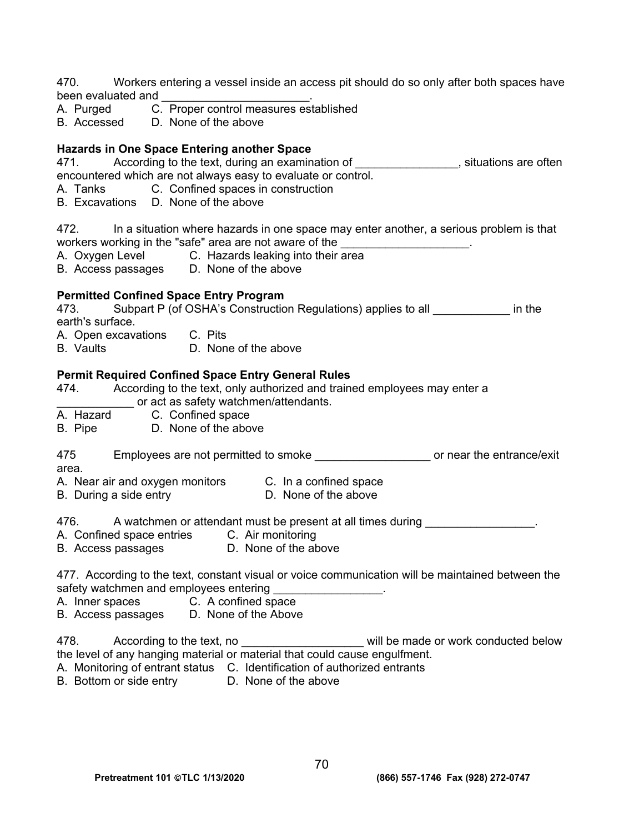470. Workers entering a vessel inside an access pit should do so only after both spaces have been evaluated and

- A. Purged C. Proper control measures established<br>B. Accessed D. None of the above
- D. None of the above

#### **Hazards in One Space Entering another Space**

| 471. | According to the text, during an examination of               | . situations are often |
|------|---------------------------------------------------------------|------------------------|
|      | encountered which are not always easy to evaluate or control. |                        |

- A. Tanks C. Confined spaces in construction
- B. Excavations D. None of the above

472. In a situation where hazards in one space may enter another, a serious problem is that workers working in the "safe" area are not aware of the

- A. Oxygen Level C. Hazards leaking into their area
- B. Access passages D. None of the above

## **Permitted Confined Space Entry Program**

| 473.             | Subpart P (of OSHA's Construction Regulations) applies to all | in the |
|------------------|---------------------------------------------------------------|--------|
| earth's surface. |                                                               |        |

- A. Open excavations C. Pits
- B. Vaults D. None of the above

#### **Permit Required Confined Space Entry General Rules**

- 474. According to the text, only authorized and trained employees may enter a or act as safety watchmen/attendants.
- A. Hazard C. Confined space
- B. Pipe D. None of the above

| 475  | Employees are not permitted to smoke | or near the entrance/exit |
|------|--------------------------------------|---------------------------|
| area |                                      |                           |

- 
- A. Near air and oxygen monitors C. In a confined space
- B. During a side entry **D.** None of the above

476. A watchmen or attendant must be present at all times during  $\blacksquare$ 

- A. Confined space entries C. Air monitoring
- B. Access passages D. None of the above

477. According to the text, constant visual or voice communication will be maintained between the safety watchmen and employees entering

- A. Inner spaces C. A confined space
- B. Access passages D. None of the Above

478. According to the text, no example and will be made or work conducted below

- the level of any hanging material or material that could cause engulfment.
- A. Monitoring of entrant status C. Identification of authorized entrants
- B. Bottom or side entry **D.** None of the above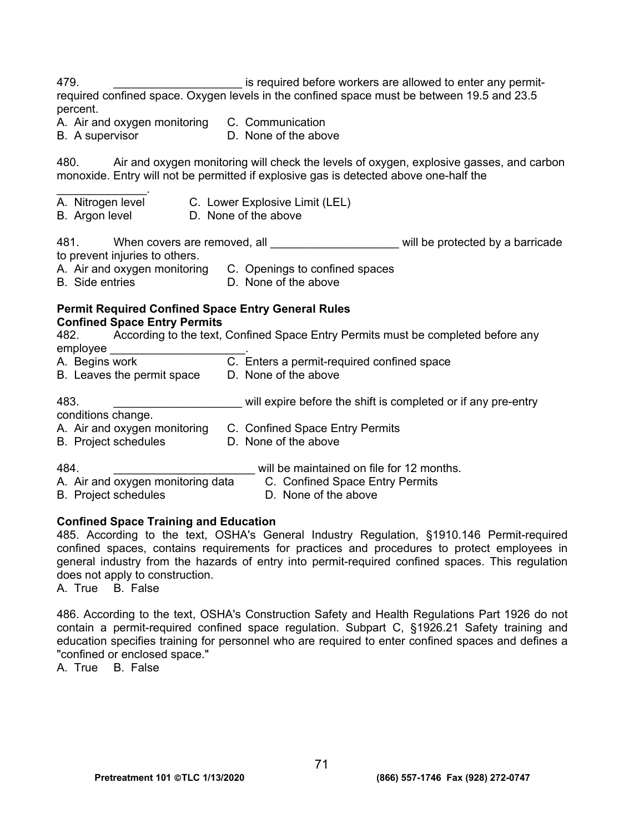479. \_\_\_\_\_\_\_\_\_\_\_\_\_\_\_\_\_\_\_\_\_\_\_\_\_\_\_\_ is required before workers are allowed to enter any permitrequired confined space. Oxygen levels in the confined space must be between 19.5 and 23.5 percent. A. Air and oxygen monitoring C. Communication B. A supervisor **D.** None of the above

480. Air and oxygen monitoring will check the levels of oxygen, explosive gasses, and carbon monoxide. Entry will not be permitted if explosive gas is detected above one-half the

- $\mathcal{L}_\text{max}$  and  $\mathcal{L}_\text{max}$ A. Nitrogen level C. Lower Explosive Limit (LEL)
- B. Argon level D. None of the above

481. When covers are removed, all **Example 20 and Section** will be protected by a barricade to prevent injuries to others.

A. Air and oxygen monitoring C. Openings to confined spaces

B. Side entries **D.** None of the above

#### **Permit Required Confined Space Entry General Rules Confined Space Entry Permits**

482. According to the text, Confined Space Entry Permits must be completed before any employee

- A. Begins work **C. Enters a permit-required confined space** B. Leaves the permit space D. None of the above 483. \_\_\_\_\_\_\_\_\_\_\_\_\_\_\_\_\_\_\_\_ will expire before the shift is completed or if any pre-entry conditions change.
- A. Air and oxygen monitoring C. Confined Space Entry Permits
- B. Project schedules D. None of the above
- 484. **Example 20 All 20 and 20 and 20 and 20 and 20 and 20 and 20 and 20 and 20 and 20 and 20 and 31 and 31 and 31 and 31 and 31 and 31 and 31 and 31 and 31 and 31 and 31 and 31 and 31 and 31 and 31 and 31 and 31 and 31 an**
- A. Air and oxygen monitoring data C. Confined Space Entry Permits

B. Project schedules D. None of the above

# **Confined Space Training and Education**

485. According to the text, OSHA's General Industry Regulation, §1910.146 Permit-required confined spaces, contains requirements for practices and procedures to protect employees in general industry from the hazards of entry into permit-required confined spaces. This regulation does not apply to construction.

A. True B. False

486. According to the text, OSHA's Construction Safety and Health Regulations Part 1926 do not contain a permit-required confined space regulation. Subpart C, §1926.21 Safety training and education specifies training for personnel who are required to enter confined spaces and defines a "confined or enclosed space."

A. True B. False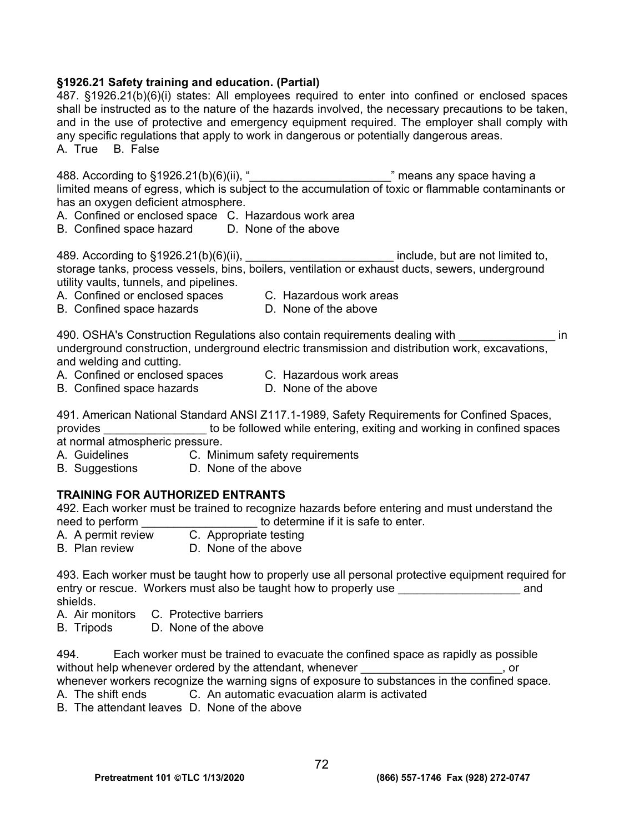#### **§1926.21 Safety training and education. (Partial)**

487. §1926.21(b)(6)(i) states: All employees required to enter into confined or enclosed spaces shall be instructed as to the nature of the hazards involved, the necessary precautions to be taken, and in the use of protective and emergency equipment required. The employer shall comply with any specific regulations that apply to work in dangerous or potentially dangerous areas. A. True B. False

488. According to §1926.21(b)(6)(ii), "\_\_\_\_\_\_\_\_\_\_\_\_\_\_\_\_\_\_\_\_\_\_" means any space having a limited means of egress, which is subject to the accumulation of toxic or flammable contaminants or has an oxygen deficient atmosphere.

- A. Confined or enclosed space C. Hazardous work area
- B. Confined space hazard D. None of the above

489. According to §1926.21(b)(6)(ii), \_\_\_\_\_\_\_\_\_\_\_\_\_\_\_\_\_\_\_\_\_\_\_ include, but are not limited to, storage tanks, process vessels, bins, boilers, ventilation or exhaust ducts, sewers, underground utility vaults, tunnels, and pipelines.

- A. Confined or enclosed spaces C. Hazardous work areas
	-
- B. Confined space hazards **D. None of the above**

490. OSHA's Construction Regulations also contain requirements dealing with **Exercise 2** in underground construction, underground electric transmission and distribution work, excavations, and welding and cutting.

- A. Confined or enclosed spaces C. Hazardous work areas
	-
- B. Confined space hazards **D. None of the above**
- 

491. American National Standard ANSI Z117.1-1989, Safety Requirements for Confined Spaces, provides \_\_\_\_\_\_\_\_\_\_\_\_\_\_\_\_ to be followed while entering, exiting and working in confined spaces at normal atmospheric pressure.

- A. Guidelines C. Minimum safety requirements
- B. Suggestions D. None of the above

## **TRAINING FOR AUTHORIZED ENTRANTS**

492. Each worker must be trained to recognize hazards before entering and must understand the need to perform **to determine if it is safe to enter.** 

- A. A permit review C. Appropriate testing
- B. Plan review D. None of the above

493. Each worker must be taught how to properly use all personal protective equipment required for entry or rescue. Workers must also be taught how to properly use \_\_\_\_\_\_\_\_\_\_\_\_\_\_\_\_\_\_\_\_\_\_\_ and shields.

A. Air monitors C. Protective barriers

B. Tripods D. None of the above

494. Each worker must be trained to evacuate the confined space as rapidly as possible without help whenever ordered by the attendant, whenever  $\_\_$ whenever workers recognize the warning signs of exposure to substances in the confined space.

- A. The shift ends C. An automatic evacuation alarm is activated
- B. The attendant leaves D. None of the above